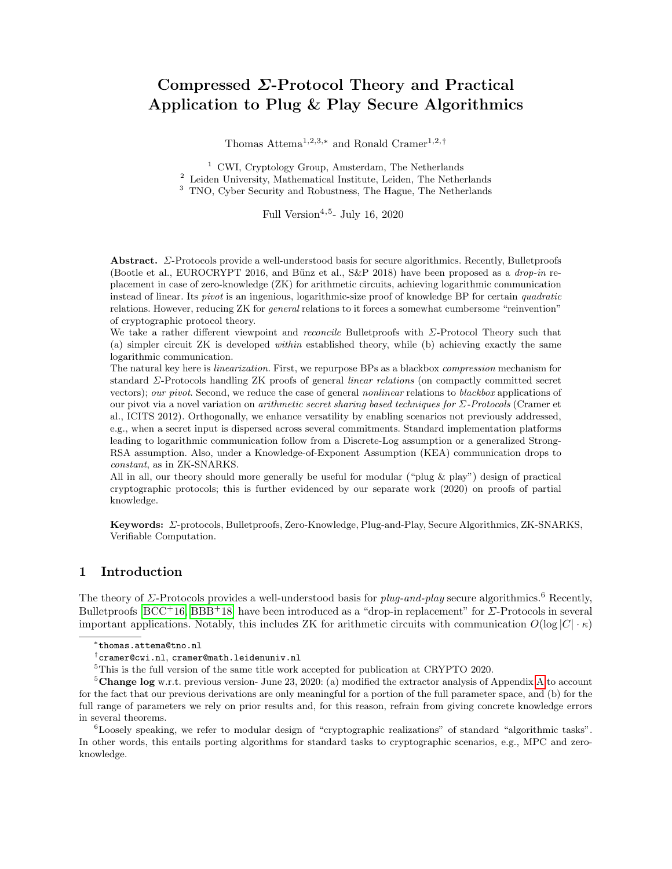# Compressed Σ-Protocol Theory and Practical Application to Plug & Play Secure Algorithmics

Thomas Attema<sup>1,2,3,\*</sup> and Ronald Cramer<sup>1,2,†</sup>

<sup>1</sup> CWI, Cryptology Group, Amsterdam, The Netherlands <sup>2</sup> Leiden University, Mathematical Institute, Leiden, The Netherlands <sup>3</sup> TNO, Cyber Security and Robustness, The Hague, The Netherlands

Full Version<sup>4,5</sup>- July 16, 2020

Abstract. Σ-Protocols provide a well-understood basis for secure algorithmics. Recently, Bulletproofs (Bootle et al., EUROCRYPT 2016, and Bünz et al., S&P 2018) have been proposed as a *drop-in* replacement in case of zero-knowledge (ZK) for arithmetic circuits, achieving logarithmic communication instead of linear. Its pivot is an ingenious, logarithmic-size proof of knowledge BP for certain quadratic relations. However, reducing ZK for general relations to it forces a somewhat cumbersome "reinvention" of cryptographic protocol theory.

We take a rather different viewpoint and reconcile Bulletproofs with Σ-Protocol Theory such that (a) simpler circuit ZK is developed within established theory, while (b) achieving exactly the same logarithmic communication.

The natural key here is linearization. First, we repurpose BPs as a blackbox compression mechanism for standard Σ-Protocols handling ZK proofs of general linear relations (on compactly committed secret vectors); our pivot. Second, we reduce the case of general nonlinear relations to blackbox applications of our pivot via a novel variation on *arithmetic secret sharing based techniques for*  $\Sigma$ -Protocols (Cramer et al., ICITS 2012). Orthogonally, we enhance versatility by enabling scenarios not previously addressed, e.g., when a secret input is dispersed across several commitments. Standard implementation platforms leading to logarithmic communication follow from a Discrete-Log assumption or a generalized Strong-RSA assumption. Also, under a Knowledge-of-Exponent Assumption (KEA) communication drops to constant, as in ZK-SNARKS.

All in all, our theory should more generally be useful for modular ("plug & play") design of practical cryptographic protocols; this is further evidenced by our separate work (2020) on proofs of partial knowledge.

Keywords: Σ-protocols, Bulletproofs, Zero-Knowledge, Plug-and-Play, Secure Algorithmics, ZK-SNARKS, Verifiable Computation.

### 1 Introduction

The theory of  $\Sigma$ -Protocols provides a well-understood basis for *plug-and-play* secure algorithmics.<sup>6</sup> Recently, Bulletproofs  $[BCC+16, BBB+18]$  $[BCC+16, BBB+18]$  $[BCC+16, BBB+18]$  $[BCC+16, BBB+18]$  have been introduced as a "drop-in replacement" for  $\Sigma$ -Protocols in several important applications. Notably, this includes ZK for arithmetic circuits with communication  $O(\log |C| \cdot \kappa)$ 

<sup>5</sup>This is the full version of the same title work accepted for publication at CRYPTO 2020.

<sup>5</sup>Change log w.r.t. previous version- June 23, 2020: (a) modified the extractor analysis of [A](#page-24-0)ppendix A to account for the fact that our previous derivations are only meaningful for a portion of the full parameter space, and (b) for the full range of parameters we rely on prior results and, for this reason, refrain from giving concrete knowledge errors in several theorems.

<sup>6</sup>Loosely speaking, we refer to modular design of "cryptographic realizations" of standard "algorithmic tasks". In other words, this entails porting algorithms for standard tasks to cryptographic scenarios, e.g., MPC and zeroknowledge.

<sup>\*</sup> thomas.attema@tno.nl

cramer@cwi.nl, cramer@math.leidenuniv.nl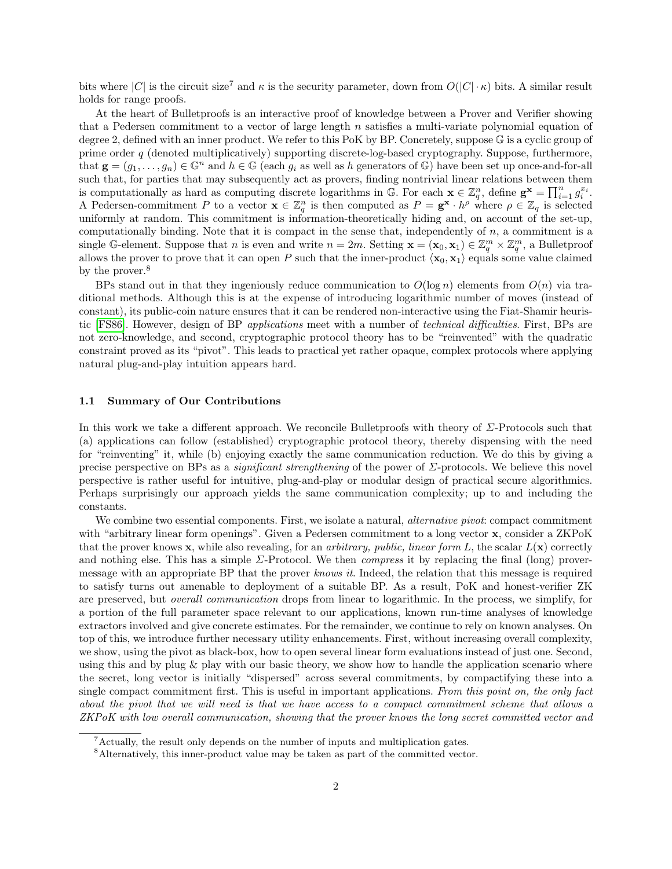bits where |C| is the circuit size<sup>7</sup> and  $\kappa$  is the security parameter, down from  $O(|C| \cdot \kappa)$  bits. A similar result holds for range proofs.

At the heart of Bulletproofs is an interactive proof of knowledge between a Prover and Verifier showing that a Pedersen commitment to a vector of large length  $n$  satisfies a multi-variate polynomial equation of degree 2, defined with an inner product. We refer to this PoK by BP. Concretely, suppose G is a cyclic group of prime order q (denoted multiplicatively) supporting discrete-log-based cryptography. Suppose, furthermore, that  $\mathbf{g} = (g_1, \ldots, g_n) \in \mathbb{G}^n$  and  $h \in \mathbb{G}$  (each  $g_i$  as well as h generators of  $\mathbb{G}$ ) have been set up once-and-for-all such that, for parties that may subsequently act as provers, finding nontrivial linear relations between them is computationally as hard as computing discrete logarithms in  $\mathbb{G}$ . For each  $\mathbf{x} \in \mathbb{Z}_q^n$ , define  $\mathbf{g}^{\mathbf{x}} = \prod_{i=1}^n g_i^{x_i}$ . A Pedersen-commitment P to a vector  $\mathbf{x} \in \mathbb{Z}_q^n$  is then computed as  $P = \mathbf{g}^{\mathbf{x}} \cdot h^{\rho}$  where  $\rho \in \mathbb{Z}_q$  is selected uniformly at random. This commitment is information-theoretically hiding and, on account of the set-up, computationally binding. Note that it is compact in the sense that, independently of  $n$ , a commitment is a single G-element. Suppose that n is even and write  $n = 2m$ . Setting  $\mathbf{x} = (\mathbf{x}_0, \mathbf{x}_1) \in \mathbb{Z}_q^m \times \mathbb{Z}_q^m$ , a Bulletproof allows the prover to prove that it can open P such that the inner-product  $\langle x_0, x_1 \rangle$  equals some value claimed by the prover.<sup>8</sup>

BPs stand out in that they ingeniously reduce communication to  $O(\log n)$  elements from  $O(n)$  via traditional methods. Although this is at the expense of introducing logarithmic number of moves (instead of constant), its public-coin nature ensures that it can be rendered non-interactive using the Fiat-Shamir heuristic [\[FS86\]](#page-23-1). However, design of BP applications meet with a number of technical difficulties. First, BPs are not zero-knowledge, and second, cryptographic protocol theory has to be "reinvented" with the quadratic constraint proved as its "pivot". This leads to practical yet rather opaque, complex protocols where applying natural plug-and-play intuition appears hard.

#### 1.1 Summary of Our Contributions

In this work we take a different approach. We reconcile Bulletproofs with theory of Σ-Protocols such that (a) applications can follow (established) cryptographic protocol theory, thereby dispensing with the need for "reinventing" it, while (b) enjoying exactly the same communication reduction. We do this by giving a precise perspective on BPs as a significant strengthening of the power of Σ-protocols. We believe this novel perspective is rather useful for intuitive, plug-and-play or modular design of practical secure algorithmics. Perhaps surprisingly our approach yields the same communication complexity; up to and including the constants.

We combine two essential components. First, we isolate a natural, *alternative pivot*: compact commitment with "arbitrary linear form openings". Given a Pedersen commitment to a long vector x, consider a ZKPoK that the prover knows **x**, while also revealing, for an *arbitrary*, *public, linear form L*, the scalar  $L(\mathbf{x})$  correctly and nothing else. This has a simple  $\Sigma$ -Protocol. We then *compress* it by replacing the final (long) provermessage with an appropriate BP that the prover knows it. Indeed, the relation that this message is required to satisfy turns out amenable to deployment of a suitable BP. As a result, PoK and honest-verifier ZK are preserved, but overall communication drops from linear to logarithmic. In the process, we simplify, for a portion of the full parameter space relevant to our applications, known run-time analyses of knowledge extractors involved and give concrete estimates. For the remainder, we continue to rely on known analyses. On top of this, we introduce further necessary utility enhancements. First, without increasing overall complexity, we show, using the pivot as black-box, how to open several linear form evaluations instead of just one. Second, using this and by plug  $\&$  play with our basic theory, we show how to handle the application scenario where the secret, long vector is initially "dispersed" across several commitments, by compactifying these into a single compact commitment first. This is useful in important applications. From this point on, the only fact about the pivot that we will need is that we have access to a compact commitment scheme that allows a ZKPoK with low overall communication, showing that the prover knows the long secret committed vector and

<sup>7</sup>Actually, the result only depends on the number of inputs and multiplication gates.

<sup>8</sup>Alternatively, this inner-product value may be taken as part of the committed vector.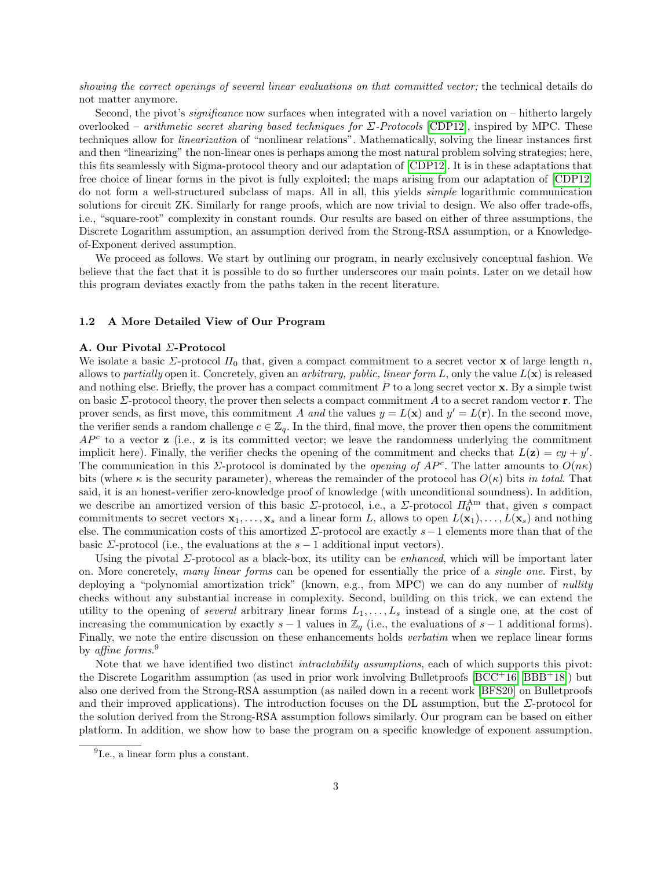showing the correct openings of several linear evaluations on that committed vector; the technical details do not matter anymore.

Second, the pivot's *significance* now surfaces when integrated with a novel variation on – hitherto largely overlooked – arithmetic secret sharing based techniques for  $\Sigma$ -Protocols [\[CDP12\]](#page-23-2), inspired by MPC. These techniques allow for linearization of "nonlinear relations". Mathematically, solving the linear instances first and then "linearizing" the non-linear ones is perhaps among the most natural problem solving strategies; here, this fits seamlessly with Sigma-protocol theory and our adaptation of [\[CDP12\]](#page-23-2). It is in these adaptations that free choice of linear forms in the pivot is fully exploited; the maps arising from our adaptation of [\[CDP12\]](#page-23-2) do not form a well-structured subclass of maps. All in all, this yields simple logarithmic communication solutions for circuit ZK. Similarly for range proofs, which are now trivial to design. We also offer trade-offs, i.e., "square-root" complexity in constant rounds. Our results are based on either of three assumptions, the Discrete Logarithm assumption, an assumption derived from the Strong-RSA assumption, or a Knowledgeof-Exponent derived assumption.

We proceed as follows. We start by outlining our program, in nearly exclusively conceptual fashion. We believe that the fact that it is possible to do so further underscores our main points. Later on we detail how this program deviates exactly from the paths taken in the recent literature.

#### <span id="page-2-0"></span>1.2 A More Detailed View of Our Program

#### A. Our Pivotal Σ-Protocol

We isolate a basic  $\Sigma$ -protocol  $\Pi_0$  that, given a compact commitment to a secret vector **x** of large length n, allows to partially open it. Concretely, given an arbitrary, public, linear form L, only the value  $L(\mathbf{x})$  is released and nothing else. Briefly, the prover has a compact commitment  $P$  to a long secret vector  $\bf{x}$ . By a simple twist on basic  $\Sigma$ -protocol theory, the prover then selects a compact commitment A to a secret random vector  $\mathbf r$ . The prover sends, as first move, this commitment A and the values  $y = L(\mathbf{x})$  and  $y' = L(\mathbf{r})$ . In the second move, the verifier sends a random challenge  $c \in \mathbb{Z}_q$ . In the third, final move, the prover then opens the commitment  $AP<sup>c</sup>$  to a vector **z** (i.e., **z** is its committed vector; we leave the randomness underlying the commitment implicit here). Finally, the verifier checks the opening of the commitment and checks that  $L(\mathbf{z}) = cy + y'$ . The communication in this  $\Sigma$ -protocol is dominated by the *opening of AP<sup>c</sup>*. The latter amounts to  $O(n\kappa)$ bits (where  $\kappa$  is the security parameter), whereas the remainder of the protocol has  $O(\kappa)$  bits in total. That said, it is an honest-verifier zero-knowledge proof of knowledge (with unconditional soundness). In addition, we describe an amortized version of this basic  $\Sigma$ -protocol, i.e., a  $\Sigma$ -protocol  $\Pi_0^{\text{Am}}$  that, given s compact commitments to secret vectors  $x_1, \ldots, x_s$  and a linear form L, allows to open  $L(\mathbf{x}_1), \ldots, L(\mathbf{x}_s)$  and nothing else. The communication costs of this amortized Σ-protocol are exactly s−1 elements more than that of the basic  $\Sigma$ -protocol (i.e., the evaluations at the  $s-1$  additional input vectors).

Using the pivotal  $\Sigma$ -protocol as a black-box, its utility can be *enhanced*, which will be important later on. More concretely, many linear forms can be opened for essentially the price of a single one. First, by deploying a "polynomial amortization trick" (known, e.g., from MPC) we can do any number of nullity checks without any substantial increase in complexity. Second, building on this trick, we can extend the utility to the opening of several arbitrary linear forms  $L_1, \ldots, L_s$  instead of a single one, at the cost of increasing the communication by exactly  $s - 1$  values in  $\mathbb{Z}_q$  (i.e., the evaluations of  $s - 1$  additional forms). Finally, we note the entire discussion on these enhancements holds *verbatim* when we replace linear forms by affine forms. 9

Note that we have identified two distinct *intractability assumptions*, each of which supports this pivot: the Discrete Logarithm assumption (as used in prior work involving Bulletproofs  $[BCC^+16, BBB^+18]$  $[BCC^+16, BBB^+18]$  $[BCC^+16, BBB^+18]$  $[BCC^+16, BBB^+18]$ ) but also one derived from the Strong-RSA assumption (as nailed down in a recent work [\[BFS20\]](#page-23-3) on Bulletproofs and their improved applications). The introduction focuses on the DL assumption, but the  $\Sigma$ -protocol for the solution derived from the Strong-RSA assumption follows similarly. Our program can be based on either platform. In addition, we show how to base the program on a specific knowledge of exponent assumption.

<sup>9</sup> I.e., a linear form plus a constant.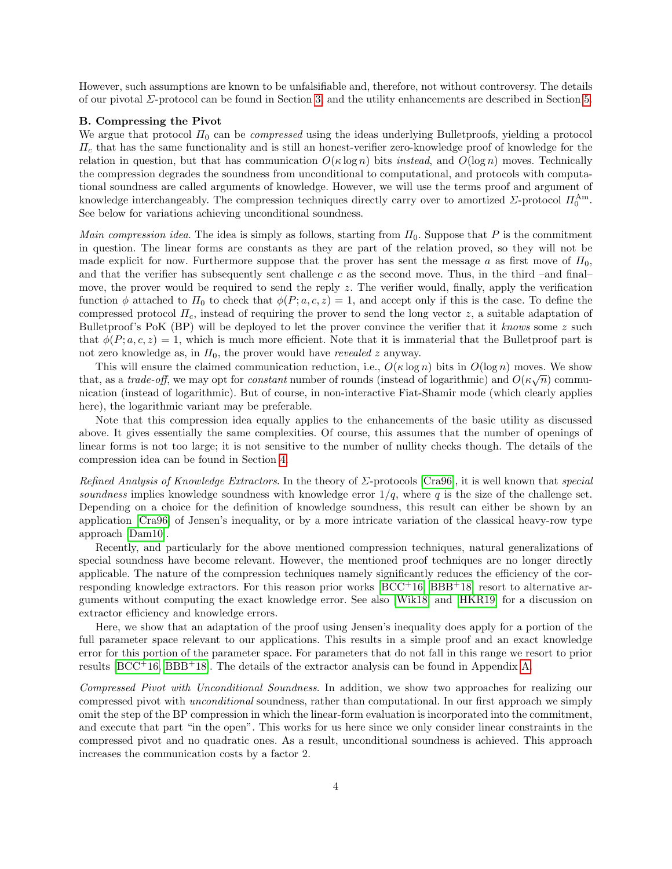However, such assumptions are known to be unfalsifiable and, therefore, not without controversy. The details of our pivotal Σ-protocol can be found in Section [3,](#page-9-0) and the utility enhancements are described in Section [5.](#page-14-0)

#### B. Compressing the Pivot

We argue that protocol  $\Pi_0$  can be *compressed* using the ideas underlying Bulletproofs, yielding a protocol  $\Pi_c$  that has the same functionality and is still an honest-verifier zero-knowledge proof of knowledge for the relation in question, but that has communication  $O(\kappa \log n)$  bits *instead*, and  $O(\log n)$  moves. Technically the compression degrades the soundness from unconditional to computational, and protocols with computational soundness are called arguments of knowledge. However, we will use the terms proof and argument of knowledge interchangeably. The compression techniques directly carry over to amortized  $\Sigma$ -protocol  $\Pi_0^{\text{Am}}$ . See below for variations achieving unconditional soundness.

Main compression idea. The idea is simply as follows, starting from  $\Pi_0$ . Suppose that P is the commitment in question. The linear forms are constants as they are part of the relation proved, so they will not be made explicit for now. Furthermore suppose that the prover has sent the message a as first move of  $\Pi_0$ , and that the verifier has subsequently sent challenge c as the second move. Thus, in the third –and final– move, the prover would be required to send the reply  $z$ . The verifier would, finally, apply the verification function  $\phi$  attached to  $\Pi_0$  to check that  $\phi(P; a, c, z) = 1$ , and accept only if this is the case. To define the compressed protocol  $\Pi_c$ , instead of requiring the prover to send the long vector z, a suitable adaptation of Bulletproof's PoK (BP) will be deployed to let the prover convince the verifier that it knows some z such that  $\phi(P; a, c, z) = 1$ , which is much more efficient. Note that it is immaterial that the Bulletproof part is not zero knowledge as, in  $\Pi_0$ , the prover would have *revealed z* anyway.

This will ensure the claimed communication reduction, i.e.,  $O(\kappa \log n)$  bits in  $O(\log n)$  moves. We show that, as a trade-off, we may opt for constant number of rounds (instead of logarithmic) and  $O(\kappa\sqrt{n})$  communication (instead of logarithmic). But of course, in non-interactive Fiat-Shamir mode (which clearly applies here), the logarithmic variant may be preferable.

Note that this compression idea equally applies to the enhancements of the basic utility as discussed above. It gives essentially the same complexities. Of course, this assumes that the number of openings of linear forms is not too large; it is not sensitive to the number of nullity checks though. The details of the compression idea can be found in Section [4.](#page-10-0)

Refined Analysis of Knowledge Extractors. In the theory of Σ-protocols [\[Cra96\]](#page-23-4), it is well known that special soundness implies knowledge soundness with knowledge error  $1/q$ , where q is the size of the challenge set. Depending on a choice for the definition of knowledge soundness, this result can either be shown by an application [\[Cra96\]](#page-23-4) of Jensen's inequality, or by a more intricate variation of the classical heavy-row type approach [\[Dam10\]](#page-23-5).

Recently, and particularly for the above mentioned compression techniques, natural generalizations of special soundness have become relevant. However, the mentioned proof techniques are no longer directly applicable. The nature of the compression techniques namely significantly reduces the efficiency of the corresponding knowledge extractors. For this reason prior works  $[BCC^+16, BBB^+18]$  $[BCC^+16, BBB^+18]$  $[BCC^+16, BBB^+18]$  $[BCC^+16, BBB^+18]$  resort to alternative arguments without computing the exact knowledge error. See also [\[Wik18\]](#page-24-1) and [\[HKR19\]](#page-23-6) for a discussion on extractor efficiency and knowledge errors.

Here, we show that an adaptation of the proof using Jensen's inequality does apply for a portion of the full parameter space relevant to our applications. This results in a simple proof and an exact knowledge error for this portion of the parameter space. For parameters that do not fall in this range we resort to prior results  $[BCC^+16, BBB^+18]$  $[BCC^+16, BBB^+18]$  $[BCC^+16, BBB^+18]$  $[BCC^+16, BBB^+18]$ . The details of the extractor analysis can be found in Appendix [A.](#page-24-0)

Compressed Pivot with Unconditional Soundness. In addition, we show two approaches for realizing our compressed pivot with unconditional soundness, rather than computational. In our first approach we simply omit the step of the BP compression in which the linear-form evaluation is incorporated into the commitment, and execute that part "in the open". This works for us here since we only consider linear constraints in the compressed pivot and no quadratic ones. As a result, unconditional soundness is achieved. This approach increases the communication costs by a factor 2.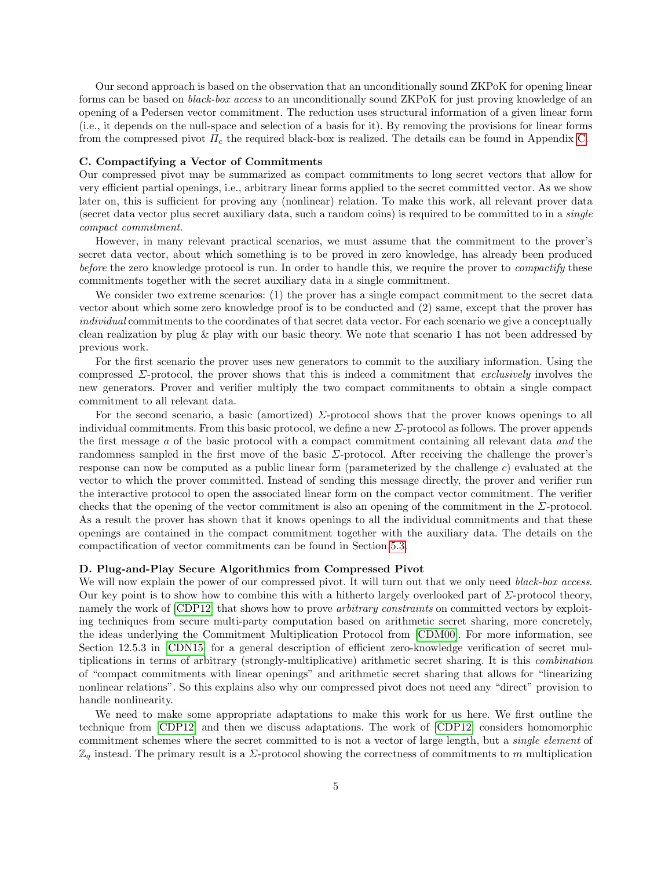Our second approach is based on the observation that an unconditionally sound ZKPoK for opening linear forms can be based on black-box access to an unconditionally sound ZKPoK for just proving knowledge of an opening of a Pedersen vector commitment. The reduction uses structural information of a given linear form (i.e., it depends on the null-space and selection of a basis for it). By removing the provisions for linear forms from the compressed pivot  $\Pi_c$  the required black-box is realized. The details can be found in Appendix [C.](#page-32-0)

### C. Compactifying a Vector of Commitments

Our compressed pivot may be summarized as compact commitments to long secret vectors that allow for very efficient partial openings, i.e., arbitrary linear forms applied to the secret committed vector. As we show later on, this is sufficient for proving any (nonlinear) relation. To make this work, all relevant prover data (secret data vector plus secret auxiliary data, such a random coins) is required to be committed to in a single compact commitment.

However, in many relevant practical scenarios, we must assume that the commitment to the prover's secret data vector, about which something is to be proved in zero knowledge, has already been produced before the zero knowledge protocol is run. In order to handle this, we require the prover to *compactify* these commitments together with the secret auxiliary data in a single commitment.

We consider two extreme scenarios: (1) the prover has a single compact commitment to the secret data vector about which some zero knowledge proof is to be conducted and (2) same, except that the prover has individual commitments to the coordinates of that secret data vector. For each scenario we give a conceptually clean realization by plug & play with our basic theory. We note that scenario 1 has not been addressed by previous work.

For the first scenario the prover uses new generators to commit to the auxiliary information. Using the compressed  $\Sigma$ -protocol, the prover shows that this is indeed a commitment that *exclusively* involves the new generators. Prover and verifier multiply the two compact commitments to obtain a single compact commitment to all relevant data.

For the second scenario, a basic (amortized) Σ-protocol shows that the prover knows openings to all individual commitments. From this basic protocol, we define a new Σ-protocol as follows. The prover appends the first message a of the basic protocol with a compact commitment containing all relevant data and the randomness sampled in the first move of the basic Σ-protocol. After receiving the challenge the prover's response can now be computed as a public linear form (parameterized by the challenge  $c$ ) evaluated at the vector to which the prover committed. Instead of sending this message directly, the prover and verifier run the interactive protocol to open the associated linear form on the compact vector commitment. The verifier checks that the opening of the vector commitment is also an opening of the commitment in the  $\Sigma$ -protocol. As a result the prover has shown that it knows openings to all the individual commitments and that these openings are contained in the compact commitment together with the auxiliary data. The details on the compactification of vector commitments can be found in Section [5.3.](#page-16-0)

### D. Plug-and-Play Secure Algorithmics from Compressed Pivot

We will now explain the power of our compressed pivot. It will turn out that we only need black-box access. Our key point is to show how to combine this with a hitherto largely overlooked part of  $\Sigma$ -protocol theory, namely the work of [\[CDP12\]](#page-23-2) that shows how to prove *arbitrary constraints* on committed vectors by exploiting techniques from secure multi-party computation based on arithmetic secret sharing, more concretely, the ideas underlying the Commitment Multiplication Protocol from [\[CDM00\]](#page-23-7). For more information, see Section 12.5.3 in [\[CDN15\]](#page-23-8) for a general description of efficient zero-knowledge verification of secret multiplications in terms of arbitrary (strongly-multiplicative) arithmetic secret sharing. It is this combination of "compact commitments with linear openings" and arithmetic secret sharing that allows for "linearizing nonlinear relations". So this explains also why our compressed pivot does not need any "direct" provision to handle nonlinearity.

We need to make some appropriate adaptations to make this work for us here. We first outline the technique from [\[CDP12\]](#page-23-2) and then we discuss adaptations. The work of [\[CDP12\]](#page-23-2) considers homomorphic commitment schemes where the secret committed to is not a vector of large length, but a *single element* of  $\mathbb{Z}_q$  instead. The primary result is a  $\Sigma$ -protocol showing the correctness of commitments to m multiplication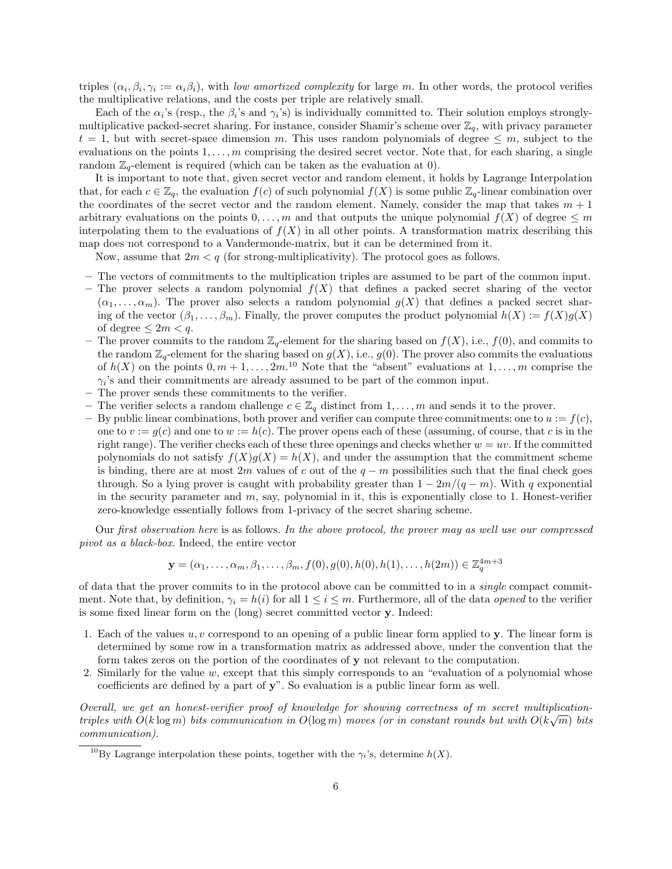triples  $(\alpha_i, \beta_i, \gamma_i) := \alpha_i \beta_i$ , with low amortized complexity for large m. In other words, the protocol verifies the multiplicative relations, and the costs per triple are relatively small.

Each of the  $\alpha_i$ 's (resp., the  $\beta_i$ 's and  $\gamma_i$ 's) is individually committed to. Their solution employs stronglymultiplicative packed-secret sharing. For instance, consider Shamir's scheme over  $\mathbb{Z}_q$ , with privacy parameter  $t = 1$ , but with secret-space dimension m. This uses random polynomials of degree  $\leq m$ , subject to the evaluations on the points  $1, \ldots, m$  comprising the desired secret vector. Note that, for each sharing, a single random  $\mathbb{Z}_q$ -element is required (which can be taken as the evaluation at 0).

It is important to note that, given secret vector and random element, it holds by Lagrange Interpolation that, for each  $c \in \mathbb{Z}_q$ , the evaluation  $f(c)$  of such polynomial  $f(X)$  is some public  $\mathbb{Z}_q$ -linear combination over the coordinates of the secret vector and the random element. Namely, consider the map that takes  $m + 1$ arbitrary evaluations on the points  $0, \ldots, m$  and that outputs the unique polynomial  $f(X)$  of degree  $\leq m$ interpolating them to the evaluations of  $f(X)$  in all other points. A transformation matrix describing this map does not correspond to a Vandermonde-matrix, but it can be determined from it.

Now, assume that  $2m < q$  (for strong-multiplicativity). The protocol goes as follows.

- The vectors of commitments to the multiplication triples are assumed to be part of the common input.
- The prover selects a random polynomial  $f(X)$  that defines a packed secret sharing of the vector  $(\alpha_1, \ldots, \alpha_m)$ . The prover also selects a random polynomial  $g(X)$  that defines a packed secret sharing of the vector  $(\beta_1, \ldots, \beta_m)$ . Finally, the prover computes the product polynomial  $h(X) := f(X)g(X)$ of degree  $\leq 2m < q$ .
- The prover commits to the random  $\mathbb{Z}_q$ -element for the sharing based on  $f(X)$ , i.e.,  $f(0)$ , and commits to the random  $\mathbb{Z}_q$ -element for the sharing based on  $g(X)$ , i.e.,  $g(0)$ . The prover also commits the evaluations of  $h(X)$  on the points  $0, m+1, \ldots, 2m$ .<sup>10</sup> Note that the "absent" evaluations at  $1, \ldots, m$  comprise the  $\gamma_i$ 's and their commitments are already assumed to be part of the common input.
- The prover sends these commitments to the verifier.
- The verifier selects a random challenge  $c \in \mathbb{Z}_q$  distinct from  $1, \ldots, m$  and sends it to the prover.
- By public linear combinations, both prover and verifier can compute three commitments: one to  $u := f(c)$ , one to  $v := g(c)$  and one to  $w := h(c)$ . The prover opens each of these (assuming, of course, that c is in the right range). The verifier checks each of these three openings and checks whether  $w = uv$ . If the committed polynomials do not satisfy  $f(X)g(X) = h(X)$ , and under the assumption that the commitment scheme is binding, there are at most 2m values of c out of the  $q - m$  possibilities such that the final check goes through. So a lying prover is caught with probability greater than  $1 - 2m/(q - m)$ . With q exponential in the security parameter and  $m$ , say, polynomial in it, this is exponentially close to 1. Honest-verifier zero-knowledge essentially follows from 1-privacy of the secret sharing scheme.

Our first observation here is as follows. In the above protocol, the prover may as well use our compressed pivot as a black-box. Indeed, the entire vector

$$
\mathbf{y} = (\alpha_1, \dots, \alpha_m, \beta_1, \dots, \beta_m, f(0), g(0), h(0), h(1), \dots, h(2m)) \in \mathbb{Z}_q^{4m+3}
$$

of data that the prover commits to in the protocol above can be committed to in a single compact commitment. Note that, by definition,  $\gamma_i = h(i)$  for all  $1 \leq i \leq m$ . Furthermore, all of the data *opened* to the verifier is some fixed linear form on the (long) secret committed vector y. Indeed:

- 1. Each of the values  $u, v$  correspond to an opening of a public linear form applied to y. The linear form is determined by some row in a transformation matrix as addressed above, under the convention that the form takes zeros on the portion of the coordinates of y not relevant to the computation.
- 2. Similarly for the value  $w$ , except that this simply corresponds to an "evaluation of a polynomial whose coefficients are defined by a part of y". So evaluation is a public linear form as well.

Overall, we get an honest-verifier proof of knowledge for showing correctness of m secret multiplicationtriples with  $O(k \log m)$  bits communication in  $O(\log m)$  moves (or in constant rounds but with  $O(k \sqrt{m})$  bits communication).

<sup>&</sup>lt;sup>10</sup>By Lagrange interpolation these points, together with the  $\gamma_i$ 's, determine  $h(X)$ .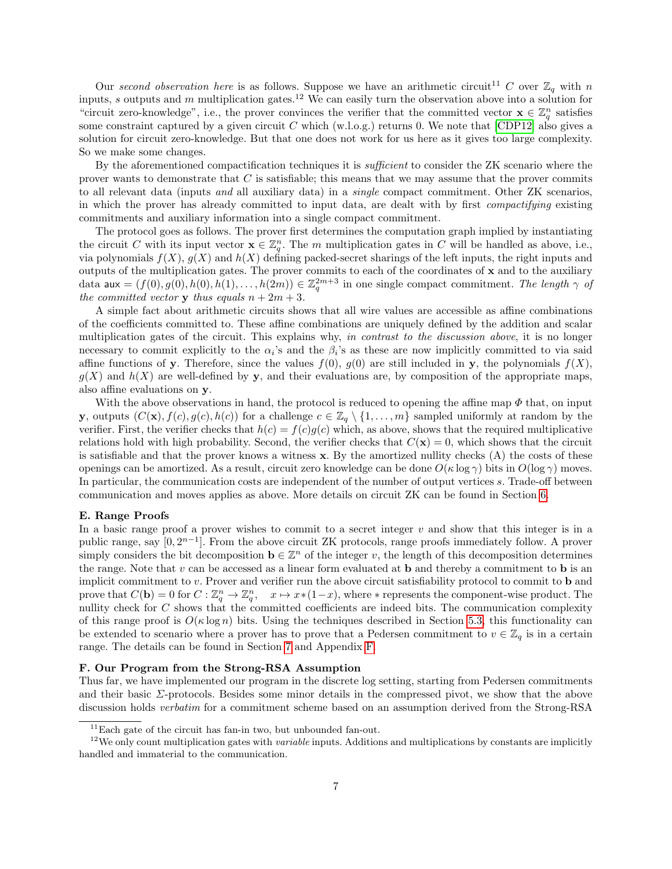Our second observation here is as follows. Suppose we have an arithmetic circuit<sup>11</sup> C over  $\mathbb{Z}_q$  with n inputs, s outputs and m multiplication gates.<sup>12</sup> We can easily turn the observation above into a solution for "circuit zero-knowledge", i.e., the prover convinces the verifier that the committed vector  $\mathbf{x} \in \mathbb{Z}_q^n$  satisfies some constraint captured by a given circuit  $C$  which (w.l.o.g.) returns 0. We note that [\[CDP12\]](#page-23-2) also gives a solution for circuit zero-knowledge. But that one does not work for us here as it gives too large complexity. So we make some changes.

By the aforementioned compactification techniques it is *sufficient* to consider the ZK scenario where the prover wants to demonstrate that  $C$  is satisfiable; this means that we may assume that the prover commits to all relevant data (inputs and all auxiliary data) in a single compact commitment. Other ZK scenarios, in which the prover has already committed to input data, are dealt with by first compactifying existing commitments and auxiliary information into a single compact commitment.

The protocol goes as follows. The prover first determines the computation graph implied by instantiating the circuit C with its input vector  $\mathbf{x} \in \mathbb{Z}_q^n$ . The m multiplication gates in C will be handled as above, i.e., via polynomials  $f(X)$ ,  $g(X)$  and  $h(X)$  defining packed-secret sharings of the left inputs, the right inputs and outputs of the multiplication gates. The prover commits to each of the coordinates of  $x$  and to the auxiliary data aux =  $(f(0), g(0), h(0), h(1), \ldots, h(2m)) \in \mathbb{Z}_q^{2m+3}$  in one single compact commitment. The length  $\gamma$  of the committed vector **v** thus equals  $n + 2m + 3$ .

A simple fact about arithmetic circuits shows that all wire values are accessible as affine combinations of the coefficients committed to. These affine combinations are uniquely defined by the addition and scalar multiplication gates of the circuit. This explains why, in contrast to the discussion above, it is no longer necessary to commit explicitly to the  $\alpha_i$ 's and the  $\beta_i$ 's as these are now implicitly committed to via said affine functions of y. Therefore, since the values  $f(0)$ ,  $g(0)$  are still included in y, the polynomials  $f(X)$ ,  $g(X)$  and  $h(X)$  are well-defined by y, and their evaluations are, by composition of the appropriate maps, also affine evaluations on y.

With the above observations in hand, the protocol is reduced to opening the affine map  $\Phi$  that, on input y, outputs  $(C(\mathbf{x}), f(c), g(c), h(c))$  for a challenge  $c \in \mathbb{Z}_q \setminus \{1, \ldots, m\}$  sampled uniformly at random by the verifier. First, the verifier checks that  $h(c) = f(c)g(c)$  which, as above, shows that the required multiplicative relations hold with high probability. Second, the verifier checks that  $C(\mathbf{x}) = 0$ , which shows that the circuit is satisfiable and that the prover knows a witness  $x$ . By the amortized nullity checks  $(A)$  the costs of these openings can be amortized. As a result, circuit zero knowledge can be done  $O(\kappa \log \gamma)$  bits in  $O(\log \gamma)$  moves. In particular, the communication costs are independent of the number of output vertices s. Trade-off between communication and moves applies as above. More details on circuit ZK can be found in Section [6.](#page-17-0)

#### E. Range Proofs

In a basic range proof a prover wishes to commit to a secret integer  $v$  and show that this integer is in a public range, say  $[0, 2^{n-1}]$ . From the above circuit ZK protocols, range proofs immediately follow. A prover simply considers the bit decomposition  $\mathbf{b} \in \mathbb{Z}^n$  of the integer v, the length of this decomposition determines the range. Note that  $v$  can be accessed as a linear form evaluated at **b** and thereby a commitment to **b** is an implicit commitment to v. Prover and verifier run the above circuit satisfiability protocol to commit to b and prove that  $C(\mathbf{b}) = 0$  for  $C : \mathbb{Z}_q^n \to \mathbb{Z}_q^n$ ,  $x \mapsto x*(1-x)$ , where  $*$  represents the component-wise product. The nullity check for  $C$  shows that the committed coefficients are indeed bits. The communication complexity of this range proof is  $O(\kappa \log n)$  bits. Using the techniques described in Section [5.3,](#page-16-0) this functionality can be extended to scenario where a prover has to prove that a Pedersen commitment to  $v \in \mathbb{Z}_q$  is in a certain range. The details can be found in Section [7](#page-20-0) and Appendix [F.](#page-37-0)

### F. Our Program from the Strong-RSA Assumption

Thus far, we have implemented our program in the discrete log setting, starting from Pedersen commitments and their basic  $\Sigma$ -protocols. Besides some minor details in the compressed pivot, we show that the above discussion holds verbatim for a commitment scheme based on an assumption derived from the Strong-RSA

 $11$ Each gate of the circuit has fan-in two, but unbounded fan-out.

 $12$ We only count multiplication gates with *variable* inputs. Additions and multiplications by constants are implicitly handled and immaterial to the communication.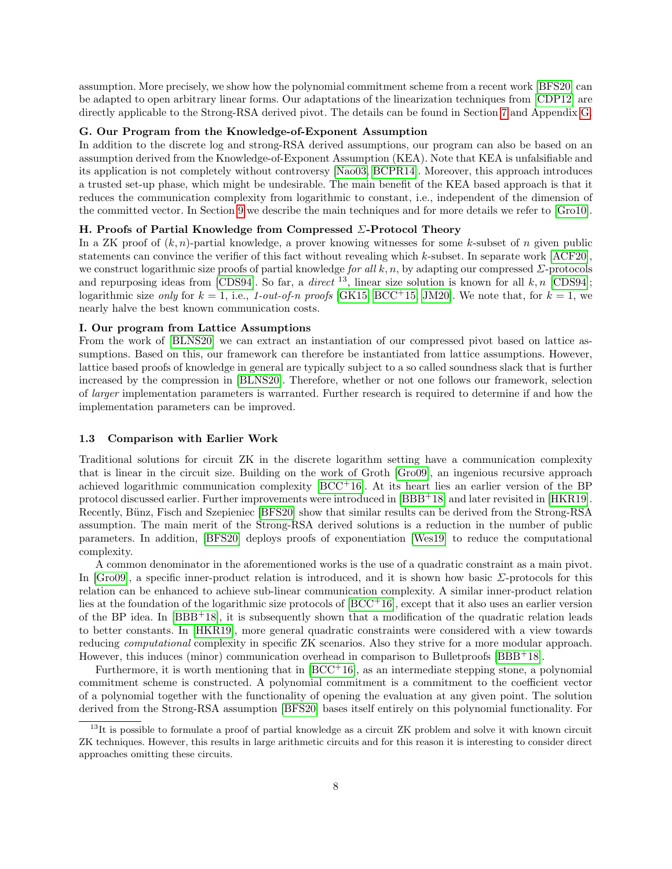assumption. More precisely, we show how the polynomial commitment scheme from a recent work [\[BFS20\]](#page-23-3) can be adapted to open arbitrary linear forms. Our adaptations of the linearization techniques from [\[CDP12\]](#page-23-2) are directly applicable to the Strong-RSA derived pivot. The details can be found in Section [7](#page-20-0) and Appendix [G.](#page-39-0)

### G. Our Program from the Knowledge-of-Exponent Assumption

In addition to the discrete log and strong-RSA derived assumptions, our program can also be based on an assumption derived from the Knowledge-of-Exponent Assumption (KEA). Note that KEA is unfalsifiable and its application is not completely without controversy [\[Nao03,](#page-24-2) [BCPR14\]](#page-23-9). Moreover, this approach introduces a trusted set-up phase, which might be undesirable. The main benefit of the KEA based approach is that it reduces the communication complexity from logarithmic to constant, i.e., independent of the dimension of the committed vector. In Section [9](#page-21-0) we describe the main techniques and for more details we refer to [\[Gro10\]](#page-23-10).

### H. Proofs of Partial Knowledge from Compressed Σ-Protocol Theory

In a ZK proof of  $(k, n)$ -partial knowledge, a prover knowing witnesses for some k-subset of n given public statements can convince the verifier of this fact without revealing which k-subset. In separate work [\[ACF20\]](#page-22-1), we construct logarithmic size proofs of partial knowledge for all k, n, by adapting our compressed  $\Sigma$ -protocols and repurposing ideas from [\[CDS94\]](#page-23-11). So far, a *direct* <sup>13</sup>, linear size solution is known for all k, n [CDS94]; logarithmic size only for  $k = 1$ , i.e., 1-out-of-n proofs [\[GK15,](#page-23-12) [BCC](#page-22-2)+15, [JM20\]](#page-23-13). We note that, for  $k = 1$ , we nearly halve the best known communication costs.

#### I. Our program from Lattice Assumptions

From the work of [\[BLNS20\]](#page-23-14) we can extract an instantiation of our compressed pivot based on lattice assumptions. Based on this, our framework can therefore be instantiated from lattice assumptions. However, lattice based proofs of knowledge in general are typically subject to a so called soundness slack that is further increased by the compression in [\[BLNS20\]](#page-23-14). Therefore, whether or not one follows our framework, selection of larger implementation parameters is warranted. Further research is required to determine if and how the implementation parameters can be improved.

#### 1.3 Comparison with Earlier Work

Traditional solutions for circuit ZK in the discrete logarithm setting have a communication complexity that is linear in the circuit size. Building on the work of Groth [\[Gro09\]](#page-23-15), an ingenious recursive approach achieved logarithmic communication complexity [\[BCC](#page-23-0)+16]. At its heart lies an earlier version of the BP protocol discussed earlier. Further improvements were introduced in [\[BBB](#page-22-0)+18] and later revisited in [\[HKR19\]](#page-23-6). Recently, Bünz, Fisch and Szepieniec [\[BFS20\]](#page-23-3) show that similar results can be derived from the Strong-RSA assumption. The main merit of the Strong-RSA derived solutions is a reduction in the number of public parameters. In addition, [\[BFS20\]](#page-23-3) deploys proofs of exponentiation [\[Wes19\]](#page-24-3) to reduce the computational complexity.

A common denominator in the aforementioned works is the use of a quadratic constraint as a main pivot. In [\[Gro09\]](#page-23-15), a specific inner-product relation is introduced, and it is shown how basic Σ-protocols for this relation can be enhanced to achieve sub-linear communication complexity. A similar inner-product relation lies at the foundation of the logarithmic size protocols of [\[BCC](#page-23-0)<sup>+</sup>16], except that it also uses an earlier version of the BP idea. In [\[BBB](#page-22-0)<sup>+</sup>18], it is subsequently shown that a modification of the quadratic relation leads to better constants. In [\[HKR19\]](#page-23-6), more general quadratic constraints were considered with a view towards reducing computational complexity in specific ZK scenarios. Also they strive for a more modular approach. However, this induces (minor) communication overhead in comparison to Bulletproofs [\[BBB](#page-22-0)<sup>+</sup>18].

Furthermore, it is worth mentioning that in  $[BCC<sup>+</sup>16]$  $[BCC<sup>+</sup>16]$ , as an intermediate stepping stone, a polynomial commitment scheme is constructed. A polynomial commitment is a commitment to the coefficient vector of a polynomial together with the functionality of opening the evaluation at any given point. The solution derived from the Strong-RSA assumption [\[BFS20\]](#page-23-3) bases itself entirely on this polynomial functionality. For

 $13$ It is possible to formulate a proof of partial knowledge as a circuit ZK problem and solve it with known circuit ZK techniques. However, this results in large arithmetic circuits and for this reason it is interesting to consider direct approaches omitting these circuits.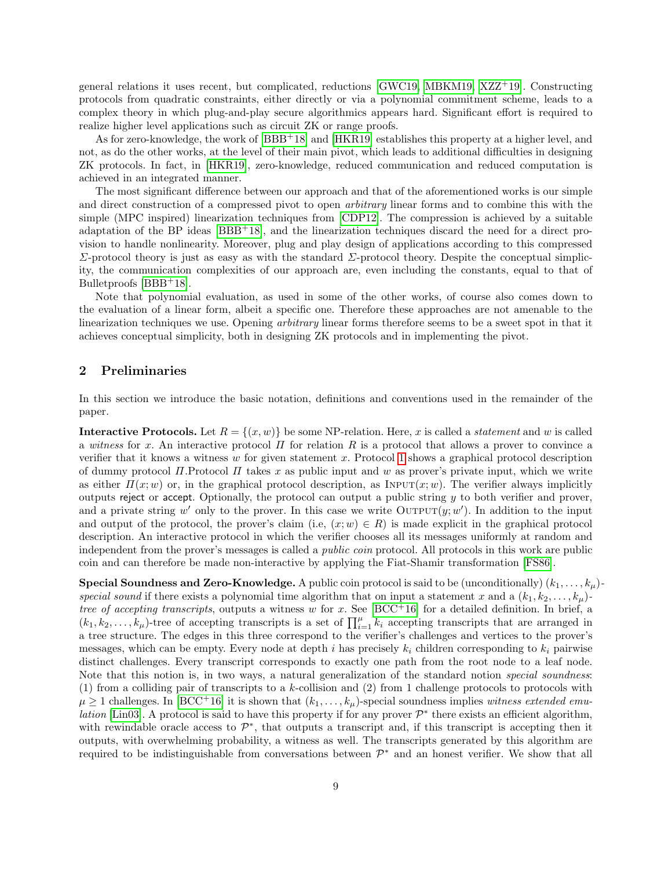general relations it uses recent, but complicated, reductions  $GWC19$ , [MBKM19,](#page-24-4) [XZZ](#page-24-5)<sup>+19</sup>. Constructing protocols from quadratic constraints, either directly or via a polynomial commitment scheme, leads to a complex theory in which plug-and-play secure algorithmics appears hard. Significant effort is required to realize higher level applications such as circuit ZK or range proofs.

As for zero-knowledge, the work of [\[BBB](#page-22-0)+18] and [\[HKR19\]](#page-23-6) establishes this property at a higher level, and not, as do the other works, at the level of their main pivot, which leads to additional difficulties in designing ZK protocols. In fact, in [\[HKR19\]](#page-23-6), zero-knowledge, reduced communication and reduced computation is achieved in an integrated manner.

The most significant difference between our approach and that of the aforementioned works is our simple and direct construction of a compressed pivot to open arbitrary linear forms and to combine this with the simple (MPC inspired) linearization techniques from [\[CDP12\]](#page-23-2). The compression is achieved by a suitable adaptation of the BP ideas [\[BBB](#page-22-0)+18], and the linearization techniques discard the need for a direct provision to handle nonlinearity. Moreover, plug and play design of applications according to this compressed  $Σ$ -protocol theory is just as easy as with the standard  $Σ$ -protocol theory. Despite the conceptual simplicity, the communication complexities of our approach are, even including the constants, equal to that of Bulletproofs [\[BBB](#page-22-0)+18].

Note that polynomial evaluation, as used in some of the other works, of course also comes down to the evaluation of a linear form, albeit a specific one. Therefore these approaches are not amenable to the linearization techniques we use. Opening arbitrary linear forms therefore seems to be a sweet spot in that it achieves conceptual simplicity, both in designing ZK protocols and in implementing the pivot.

### 2 Preliminaries

In this section we introduce the basic notation, definitions and conventions used in the remainder of the paper.

**Interactive Protocols.** Let  $R = \{(x, w)\}\$ be some NP-relation. Here, x is called a *statement* and w is called a witness for x. An interactive protocol  $\Pi$  for relation  $R$  is a protocol that allows a prover to convince a verifier that it knows a witness  $w$  for given statement  $x$ . Protocol [1](#page-9-1) shows a graphical protocol description of dummy protocol  $\Pi$ . Protocol  $\Pi$  takes x as public input and w as prover's private input, which we write as either  $\Pi(x; w)$  or, in the graphical protocol description, as INPUT $(x; w)$ . The verifier always implicitly outputs reject or accept. Optionally, the protocol can output a public string  $y$  to both verifier and prover, and a private string w' only to the prover. In this case we write  $\text{Output}(y; w')$ . In addition to the input and output of the protocol, the prover's claim (i.e,  $(x; w) \in R$ ) is made explicit in the graphical protocol description. An interactive protocol in which the verifier chooses all its messages uniformly at random and independent from the prover's messages is called a *public coin* protocol. All protocols in this work are public coin and can therefore be made non-interactive by applying the Fiat-Shamir transformation [\[FS86\]](#page-23-1).

**Special Soundness and Zero-Knowledge.** A public coin protocol is said to be (unconditionally)  $(k_1, \ldots, k_\mu)$ special sound if there exists a polynomial time algorithm that on input a statement x and a  $(k_1, k_2, \ldots, k_\mu)$ . tree of accepting transcripts, outputs a witness w for x. See [\[BCC](#page-23-0)+16] for a detailed definition. In brief, a  $(k_1, k_2, \ldots, k_\mu)$ -tree of accepting transcripts is a set of  $\prod_{i=1}^\mu k_i$  accepting transcripts that are arranged in a tree structure. The edges in this three correspond to the verifier's challenges and vertices to the prover's messages, which can be empty. Every node at depth i has precisely  $k_i$  children corresponding to  $k_i$  pairwise distinct challenges. Every transcript corresponds to exactly one path from the root node to a leaf node. Note that this notion is, in two ways, a natural generalization of the standard notion special soundness: (1) from a colliding pair of transcripts to a k-collision and (2) from 1 challenge protocols to protocols with  $\mu \geq 1$  challenges. In [\[BCC](#page-23-0)<sup>+</sup>16] it is shown that  $(k_1, \ldots, k_\mu)$ -special soundness implies witness extended emu*lation* [\[Lin03\]](#page-24-6). A protocol is said to have this property if for any prover  $\mathcal{P}^*$  there exists an efficient algorithm, with rewindable oracle access to  $\mathcal{P}^*$ , that outputs a transcript and, if this transcript is accepting then it outputs, with overwhelming probability, a witness as well. The transcripts generated by this algorithm are required to be indistinguishable from conversations between  $\mathcal{P}^*$  and an honest verifier. We show that all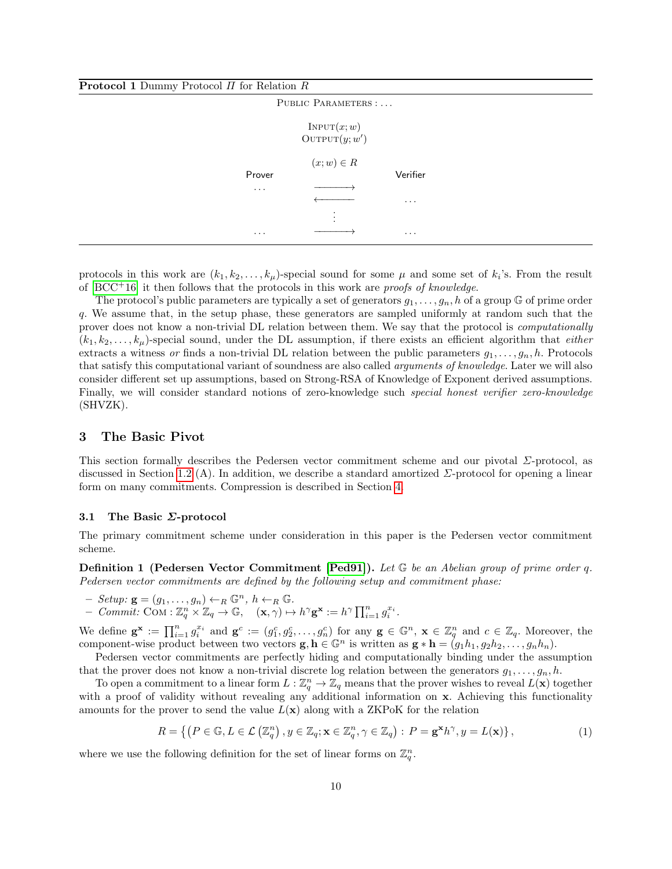<span id="page-9-1"></span>

| <b>Protocol 1</b> Dummy Protocol $\Pi$ for Relation $R$ |                                       |          |  |
|---------------------------------------------------------|---------------------------------------|----------|--|
|                                                         | PUBLIC PARAMETERS :                   |          |  |
|                                                         | INPUT(x; w)<br>$\text{OUTPUT}(y; w')$ |          |  |
| Prover                                                  | $(x; w) \in R$                        | Verifier |  |
| $\cdots$                                                |                                       | $\cdots$ |  |
| $\cdot$                                                 |                                       | $\ddots$ |  |

protocols in this work are  $(k_1, k_2, \ldots, k_\mu)$ -special sound for some  $\mu$  and some set of  $k_i$ 's. From the result of  $[BCC<sup>+</sup>16]$  $[BCC<sup>+</sup>16]$  it then follows that the protocols in this work are *proofs of knowledge*.

The protocol's public parameters are typically a set of generators  $g_1, \ldots, g_n$ , h of a group G of prime order q. We assume that, in the setup phase, these generators are sampled uniformly at random such that the prover does not know a non-trivial DL relation between them. We say that the protocol is computationally  $(k_1, k_2, \ldots, k_\mu)$ -special sound, under the DL assumption, if there exists an efficient algorithm that *either* extracts a witness or finds a non-trivial DL relation between the public parameters  $g_1, \ldots, g_n, h$ . Protocols that satisfy this computational variant of soundness are also called *arguments of knowledge*. Later we will also consider different set up assumptions, based on Strong-RSA of Knowledge of Exponent derived assumptions. Finally, we will consider standard notions of zero-knowledge such special honest verifier zero-knowledge (SHVZK).

### <span id="page-9-0"></span>3 The Basic Pivot

This section formally describes the Pedersen vector commitment scheme and our pivotal  $\Sigma$ -protocol, as discussed in Section [1.2](#page-2-0) (A). In addition, we describe a standard amortized  $\Sigma$ -protocol for opening a linear form on many commitments. Compression is described in Section [4.](#page-10-0)

#### 3.1 The Basic Σ-protocol

The primary commitment scheme under consideration in this paper is the Pedersen vector commitment scheme.

**Definition 1 (Pedersen Vector Commitment [\[Ped91\]](#page-24-7)).** Let  $\mathbb{G}$  be an Abelian group of prime order q. Pedersen vector commitments are defined by the following setup and commitment phase:

- $-$  Setup:  $\mathbf{g} = (g_1, \ldots, g_n) \leftarrow_R \mathbb{G}^n, h \leftarrow_R \mathbb{G}.$
- $-$  Commit: COM :  $\mathbb{Z}_q^n \times \mathbb{Z}_q \to \mathbb{G}$ ,  $(\mathbf{x}, \gamma) \mapsto h^{\gamma} \mathbf{g}^{\mathbf{x}} := h^{\gamma} \prod_{i=1}^n g_i^{x_i}$ .

We define  $\mathbf{g}^{\mathbf{x}} := \prod_{i=1}^n g_i^{x_i}$  and  $\mathbf{g}^c := (g_1^c, g_2^c, \dots, g_n^c)$  for any  $\mathbf{g} \in \mathbb{G}^n$ ,  $\mathbf{x} \in \mathbb{Z}_q^n$  and  $c \in \mathbb{Z}_q$ . Moreover, the component-wise product between two vectors  $\mathbf{g}, \mathbf{h} \in \mathbb{G}^n$  is written as  $\mathbf{g} * \mathbf{h} = (g_1h_1, g_2h_2, \ldots, g_nh_n)$ .

Pedersen vector commitments are perfectly hiding and computationally binding under the assumption that the prover does not know a non-trivial discrete log relation between the generators  $g_1, \ldots, g_n, h$ .

To open a commitment to a linear form  $L: \mathbb{Z}_q^n \to \mathbb{Z}_q$  means that the prover wishes to reveal  $L(\mathbf{x})$  together with a proof of validity without revealing any additional information on x. Achieving this functionality amounts for the prover to send the value  $L(\mathbf{x})$  along with a ZKPoK for the relation

$$
R = \left\{ \left( P \in \mathbb{G}, L \in \mathcal{L} \left( \mathbb{Z}_q^n \right), y \in \mathbb{Z}_q; \mathbf{x} \in \mathbb{Z}_q^n, \gamma \in \mathbb{Z}_q \right) : P = \mathbf{g}^\mathbf{x} h^\gamma, y = L(\mathbf{x}) \right\},\tag{1}
$$

<span id="page-9-2"></span>where we use the following definition for the set of linear forms on  $\mathbb{Z}_q^n$ .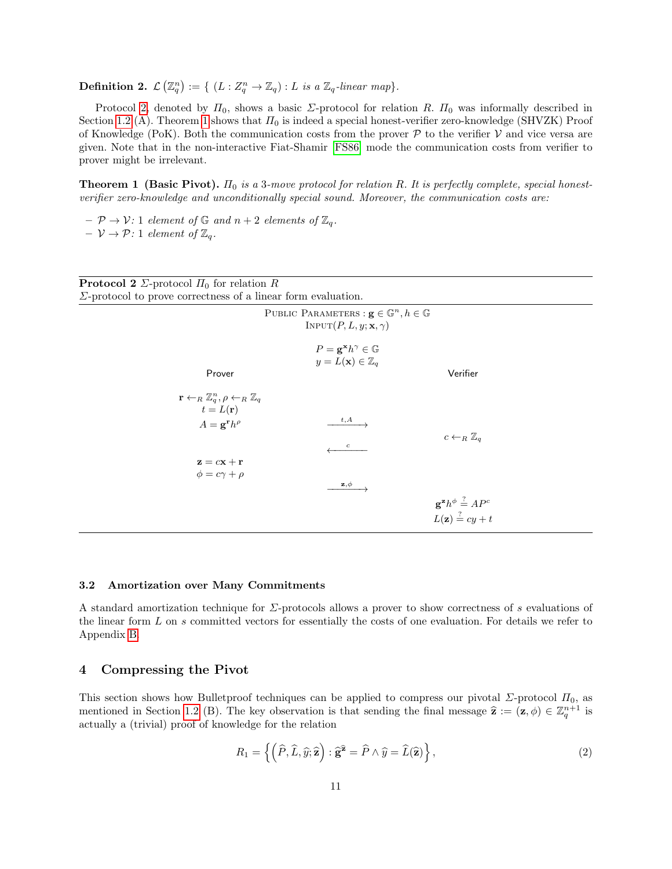**Definition 2.**  $\mathcal{L}(\mathbb{Z}_q^n) := \{ (L : Z_q^n \to \mathbb{Z}_q) : L \text{ is a } \mathbb{Z}_q\text{-linear map} \}.$ 

Protocol [2,](#page-10-1) denoted by  $\Pi_0$ , shows a basic  $\Sigma$ -protocol for relation R.  $\Pi_0$  was informally described in Section [1.2](#page-2-0) (A). Theorem [1](#page-10-2) shows that  $\Pi_0$  is indeed a special honest-verifier zero-knowledge (SHVZK) Proof of Knowledge (PoK). Both the communication costs from the prover  $P$  to the verifier  $V$  and vice versa are given. Note that in the non-interactive Fiat-Shamir [\[FS86\]](#page-23-1) mode the communication costs from verifier to prover might be irrelevant.

<span id="page-10-2"></span>**Theorem 1 (Basic Pivot).**  $\Pi_0$  is a 3-move protocol for relation R. It is perfectly complete, special honestverifier zero-knowledge and unconditionally special sound. Moreover, the communication costs are:

 $-\mathcal{P} \rightarrow \mathcal{V}$ : 1 element of G and  $n+2$  elements of  $\mathbb{Z}_q$ .  $-\nu \rightarrow \mathcal{P}: 1$  element of  $\mathbb{Z}_q$ .

<span id="page-10-1"></span>

| <b>Protocol 2</b> $\Sigma$ -protocol $\Pi_0$ for relation R                                                                               |                                                                                                              |
|-------------------------------------------------------------------------------------------------------------------------------------------|--------------------------------------------------------------------------------------------------------------|
| $\Sigma$ -protocol to prove correctness of a linear form evaluation.                                                                      |                                                                                                              |
|                                                                                                                                           | PUBLIC PARAMETERS : $\mathbf{g} \in \mathbb{G}^n, h \in \mathbb{G}$<br>INPUT $(P, L, y; \mathbf{x}, \gamma)$ |
|                                                                                                                                           | $P = \mathbf{g}^{\mathbf{x}} h^{\gamma} \in \mathbb{G}$<br>$y = L(\mathbf{x}) \in \mathbb{Z}_q$              |
| Prover                                                                                                                                    | Verifier                                                                                                     |
| $\mathbf{r} \leftarrow_R \mathbb{Z}_q^n, \rho \leftarrow_R \mathbb{Z}_q$<br>$t = L(\mathbf{r})$<br>$A = \mathbf{g}^{\mathbf{r}} h^{\rho}$ | t,A<br>$c \leftarrow_R \mathbb{Z}_q$<br>$\boldsymbol{c}$                                                     |
| $z = cx + r$<br>$\phi = c\gamma + \rho$                                                                                                   | $\mathbf{z}, \phi$                                                                                           |
|                                                                                                                                           | $\mathbf{g}^{\mathbf{z}}h^{\phi} \stackrel{?}{=} AP^c$<br>$L(\mathbf{z}) \stackrel{?}{=} cy + t$             |

#### <span id="page-10-3"></span>3.2 Amortization over Many Commitments

A standard amortization technique for Σ-protocols allows a prover to show correctness of s evaluations of the linear form L on s committed vectors for essentially the costs of one evaluation. For details we refer to Appendix [B.](#page-31-0)

## <span id="page-10-0"></span>4 Compressing the Pivot

This section shows how Bulletproof techniques can be applied to compress our pivotal  $\Sigma$ -protocol  $\Pi_0$ , as mentioned in Section [1.2](#page-2-0) (B). The key observation is that sending the final message  $\hat{\mathbf{z}} := (\mathbf{z}, \phi) \in \mathbb{Z}_q^{n+1}$  is actually a (trivial) proof of knowledge for the relation

$$
R_1 = \left\{ \left( \widehat{P}, \widehat{L}, \widehat{y}; \widehat{\mathbf{z}} \right) : \widehat{\mathbf{g}}^2 = \widehat{P} \wedge \widehat{y} = \widehat{L}(\widehat{\mathbf{z}}) \right\},\tag{2}
$$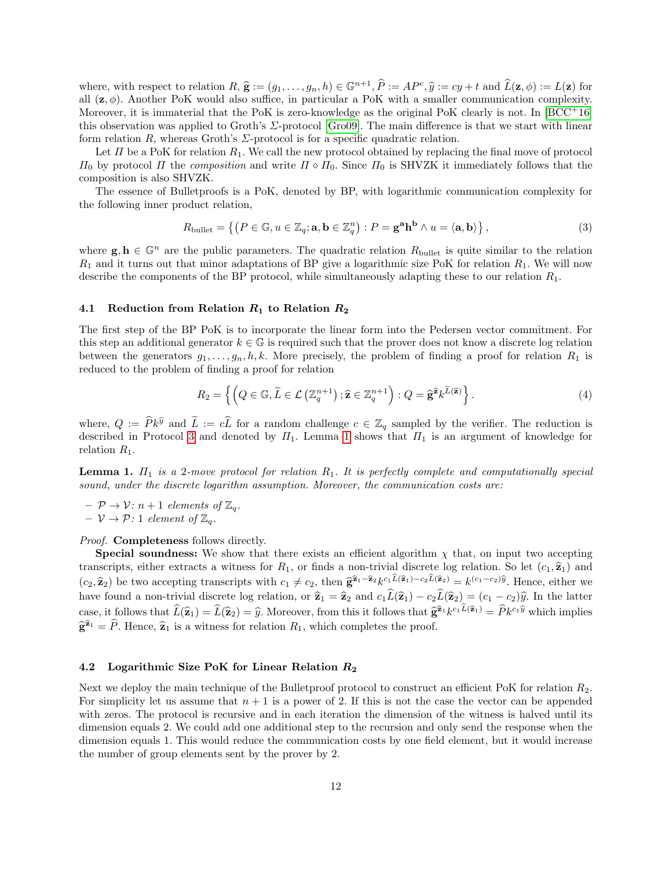where, with respect to relation  $R, \hat{\mathbf{g}} := (g_1, \ldots, g_n, h) \in \mathbb{G}^{n+1}, \hat{P} := AP^c, \hat{y} := cy + t$  and  $\hat{L}(\mathbf{z}, \phi) := L(\mathbf{z})$  for all  $(\mathbf{z}, \phi)$ . Another PoK would also suffice in particular a PoK with a smaller communication all  $(z, \phi)$ . Another PoK would also suffice, in particular a PoK with a smaller communication complexity. Moreover, it is immaterial that the PoK is zero-knowledge as the original PoK clearly is not. In  $[BCC^+16]$  $[BCC^+16]$ this observation was applied to Groth's Σ-protocol [\[Gro09\]](#page-23-15). The main difference is that we start with linear form relation R, whereas Groth's  $\Sigma$ -protocol is for a specific quadratic relation.

Let  $\Pi$  be a PoK for relation  $R_1$ . We call the new protocol obtained by replacing the final move of protocol  $\Pi_0$  by protocol  $\Pi$  the composition and write  $\Pi \circ \Pi_0$ . Since  $\Pi_0$  is SHVZK it immediately follows that the composition is also SHVZK.

The essence of Bulletproofs is a PoK, denoted by BP, with logarithmic communication complexity for the following inner product relation,

$$
R_{\text{bullet}} = \left\{ \left( P \in \mathbb{G}, u \in \mathbb{Z}_q; \mathbf{a}, \mathbf{b} \in \mathbb{Z}_q^n \right) : P = \mathbf{g}^{\mathbf{a}} \mathbf{h}^{\mathbf{b}} \wedge u = \langle \mathbf{a}, \mathbf{b} \rangle \right\},\tag{3}
$$

where  $g, h \in \mathbb{G}^n$  are the public parameters. The quadratic relation  $R_{\text{bullet}}$  is quite similar to the relation  $R_1$  and it turns out that minor adaptations of BP give a logarithmic size PoK for relation  $R_1$ . We will now describe the components of the BP protocol, while simultaneously adapting these to our relation  $R_1$ .

#### 4.1 Reduction from Relation  $R_1$  to Relation  $R_2$

The first step of the BP PoK is to incorporate the linear form into the Pedersen vector commitment. For this step an additional generator  $k \in \mathbb{G}$  is required such that the prover does not know a discrete log relation between the generators  $g_1, \ldots, g_n, h, k$ . More precisely, the problem of finding a proof for relation  $R_1$  is reduced to the problem of finding a proof for relation

$$
R_2 = \left\{ \left( Q \in \mathbb{G}, \widetilde{L} \in \mathcal{L} \left( \mathbb{Z}_q^{n+1} \right); \widehat{\mathbf{z}} \in \mathbb{Z}_q^{n+1} \right) : Q = \widehat{\mathbf{g}}^{\widehat{\mathbf{z}}} k^{\widetilde{L}(\widehat{\mathbf{z}})} \right\}.
$$
\n
$$
(4)
$$

where,  $Q := \hat{P}k^{\hat{y}}$  and  $\tilde{L} := c\hat{L}$  for a random challenge  $c \in \mathbb{Z}_q$  sampled by the verifier. The reduction is described in Protocol [3](#page-12-0) and denoted by  $\Pi_1$ . Lemma [1](#page-11-0) shows that  $\Pi_1$  is an argument of knowledge for relation  $R_1$ .

<span id="page-11-0"></span>**Lemma 1.**  $\Pi_1$  is a 2-move protocol for relation  $R_1$ . It is perfectly complete and computationally special sound, under the discrete logarithm assumption. Moreover, the communication costs are:

 $- \mathcal{P} \rightarrow \mathcal{V}$ :  $n+1$  elements of  $\mathbb{Z}_q$ .

 $- \nu \rightarrow \mathcal{P}: 1$  element of  $\mathbb{Z}_q$ .

*Proof.* **Completeness** follows directly.

**Special soundness:** We show that there exists an efficient algorithm  $\chi$  that, on input two accepting transcripts, either extracts a witness for  $R_1$ , or finds a non-trivial discrete log relation. So let  $(c_1, \hat{z}_1)$  and  $(c_2, \hat{\mathbf{z}}_2)$  be two accepting transcripts with  $c_1 \neq c_2$ , then  $\hat{\mathbf{g}}^{\hat{\mathbf{z}}_1 - \hat{\mathbf{z}}_2} k^{c_1 L(\hat{\mathbf{z}}_1) - c_2 L(\hat{\mathbf{z}}_2)} = k^{(c_1 - c_2)\hat{y}}$ . Hence, either we have a particular transcripts with  $c_1 \neq c_2$ , th have found a non-trivial discrete log relation, or  $\hat{\mathbf{z}}_1 = \hat{\mathbf{z}}_2$  and  $c_1\hat{L}(\hat{\mathbf{z}}_1) - c_2\hat{L}(\hat{\mathbf{z}}_2) = (c_1 - c_2)\hat{y}$ . In the latter case, it follows that  $\widehat{L}(\widehat{\mathbf{z}}_1) = \widehat{L}(\widehat{\mathbf{z}}_2) = \widehat{y}$ . Moreover, from this it follows that  $\widehat{\mathbf{g}}^{\widehat{\mathbf{z}}_1} k^{c_1 L(\widehat{\mathbf{z}}_1)} = \widehat{P} k^{c_1 \widehat{y}}$  which implies  $\hat{\mathbf{g}}^{\hat{\mathbf{z}}_1} = \hat{P}$ . Hence,  $\hat{\mathbf{z}}_1$  is a witness for relation  $R_1$ , which completes the proof.

### 4.2 Logarithmic Size PoK for Linear Relation  $R_2$

Next we deploy the main technique of the Bulletproof protocol to construct an efficient PoK for relation  $R_2$ . For simplicity let us assume that  $n + 1$  is a power of 2. If this is not the case the vector can be appended with zeros. The protocol is recursive and in each iteration the dimension of the witness is halved until its dimension equals 2. We could add one additional step to the recursion and only send the response when the dimension equals 1. This would reduce the communication costs by one field element, but it would increase the number of group elements sent by the prover by 2.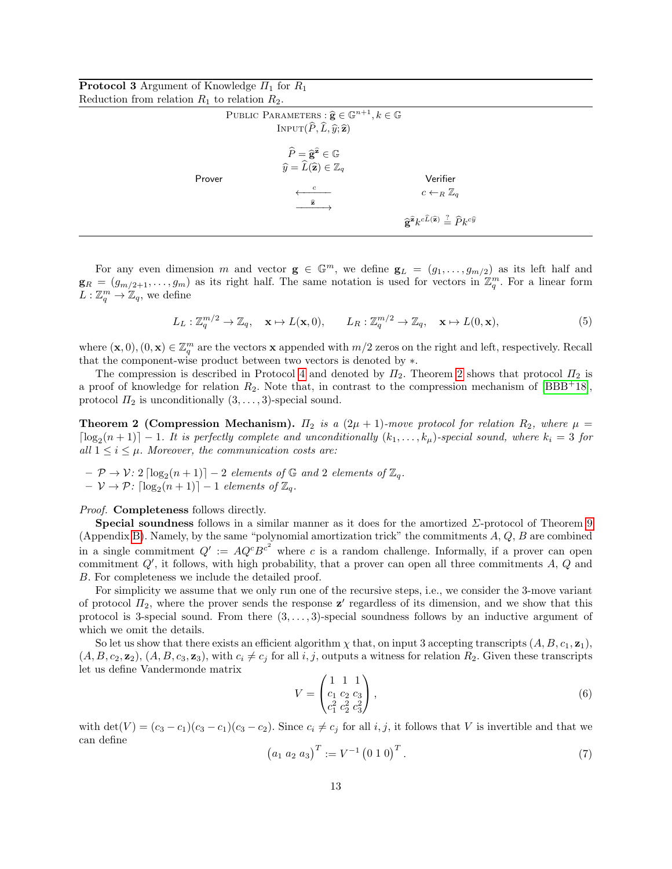<span id="page-12-0"></span>

| <b>Protocol 3</b> Argument of Knowledge $\Pi_1$ for $R_1$ |  |  |
|-----------------------------------------------------------|--|--|
| Reduction from relation $R_1$ to relation $R_2$ .         |  |  |

| PUBLIC PARAMETERS : $\hat{\mathbf{g}} \in \mathbb{G}^{n+1}, k \in \mathbb{G}$<br>INPUT $(\widehat{P}, \widehat{L}, \widehat{y}; \widehat{z})$                                          |                                                                                                                                                                              |
|----------------------------------------------------------------------------------------------------------------------------------------------------------------------------------------|------------------------------------------------------------------------------------------------------------------------------------------------------------------------------|
| $\widehat{P} = \widehat{\mathbf{g}}^{\widehat{\mathbf{z}}} \in \mathbb{G}$<br>$\widehat{y} = \widetilde{L}(\widehat{\mathbf{z}}) \in \mathbb{Z}_q$<br>Prover<br>$\widehat{\mathbf{z}}$ | Verifier<br>$c \leftarrow_R \mathbb{Z}_q$<br>$\widehat{\mathbf{e}}^{\widehat{\mathbf{z}}}k^{c\widehat{L}(\widehat{\mathbf{z}})} \stackrel{?}{=} \widehat{P}k^{c\widehat{y}}$ |

For any even dimension m and vector  $g \in \mathbb{G}^m$ , we define  $g_L = (g_1, \ldots, g_{m/2})$  as its left half and  $\mathbf{g}_R = (g_{m/2+1}, \ldots, g_m)$  as its right half. The same notation is used for vectors in  $\mathbb{Z}_q^m$ . For a linear form  $L: \mathbb{Z}_q^m \to \mathbb{Z}_q$ , we define

$$
L_L: \mathbb{Z}_q^{m/2} \to \mathbb{Z}_q, \quad \mathbf{x} \mapsto L(\mathbf{x}, 0), \qquad L_R: \mathbb{Z}_q^{m/2} \to \mathbb{Z}_q, \quad \mathbf{x} \mapsto L(0, \mathbf{x}), \tag{5}
$$

where  $(\mathbf{x},0), (0,\mathbf{x}) \in \mathbb{Z}_q^m$  are the vectors **x** appended with  $m/2$  zeros on the right and left, respectively. Recall that the component-wise product between two vectors is denoted by ∗.

The compression is described in Protocol [4](#page-13-0) and denoted by  $\Pi_2$ . Theorem [2](#page-12-1) shows that protocol  $\Pi_2$  is a proof of knowledge for relation  $R_2$ . Note that, in contrast to the compression mechanism of [\[BBB](#page-22-0)+18], protocol  $\Pi_2$  is unconditionally  $(3,\ldots,3)$ -special sound.

<span id="page-12-1"></span>**Theorem 2 (Compression Mechanism).**  $\Pi_2$  is a  $(2\mu + 1)$ -move protocol for relation  $R_2$ , where  $\mu =$  $\lceil \log_2(n+1) \rceil - 1$ . It is perfectly complete and unconditionally  $(k_1, \ldots, k_\mu)$ -special sound, where  $k_i = 3$  for all  $1 \leq i \leq \mu$ . Moreover, the communication costs are:

 $- \mathcal{P} \rightarrow \mathcal{V}$ : 2  $\lceil \log_2(n+1) \rceil - 2$  elements of  $\mathbb{G}$  and 2 elements of  $\mathbb{Z}_q$ .  $- \nu \rightarrow \mathcal{P}$ :  $\lceil \log_2(n+1) \rceil - 1$  elements of  $\mathbb{Z}_q$ .

Proof. Completeness follows directly.

**Special soundness** follows in a similar manner as it does for the amortized  $\Sigma$ -protocol of Theorem [9](#page-31-1) (Appendix [B\)](#page-31-0). Namely, by the same "polynomial amortization trick" the commitments A, Q, B are combined in a single commitment  $Q' := AQ<sup>c</sup>B<sup>c</sup>$  where c is a random challenge. Informally, if a prover can open commitment  $Q'$ , it follows, with high probability, that a prover can open all three commitments  $A, Q$  and B. For completeness we include the detailed proof.

For simplicity we assume that we only run one of the recursive steps, i.e., we consider the 3-move variant of protocol  $\Pi_2$ , where the prover sends the response  $\mathbf{z}'$  regardless of its dimension, and we show that this protocol is 3-special sound. From there  $(3, \ldots, 3)$ -special soundness follows by an inductive argument of which we omit the details.

So let us show that there exists an efficient algorithm  $\chi$  that, on input 3 accepting transcripts  $(A, B, c_1, z_1)$ ,  $(A, B, c_2, \mathbf{z}_2), (A, B, c_3, \mathbf{z}_3)$ , with  $c_i \neq c_j$  for all i, j, outputs a witness for relation  $R_2$ . Given these transcripts let us define Vandermonde matrix

$$
V = \begin{pmatrix} 1 & 1 & 1 \\ c_1 & c_2 & c_3 \\ c_1^2 & c_2^2 & c_3^2 \end{pmatrix},\tag{6}
$$

with  $\det(V) = (c_3 - c_1)(c_3 - c_1)(c_3 - c_2)$ . Since  $c_i \neq c_j$  for all  $i, j$ , it follows that V is invertible and that we can define

$$
(a_1 \ a_2 \ a_3)^T := V^{-1} (0 \ 1 \ 0)^T. \tag{7}
$$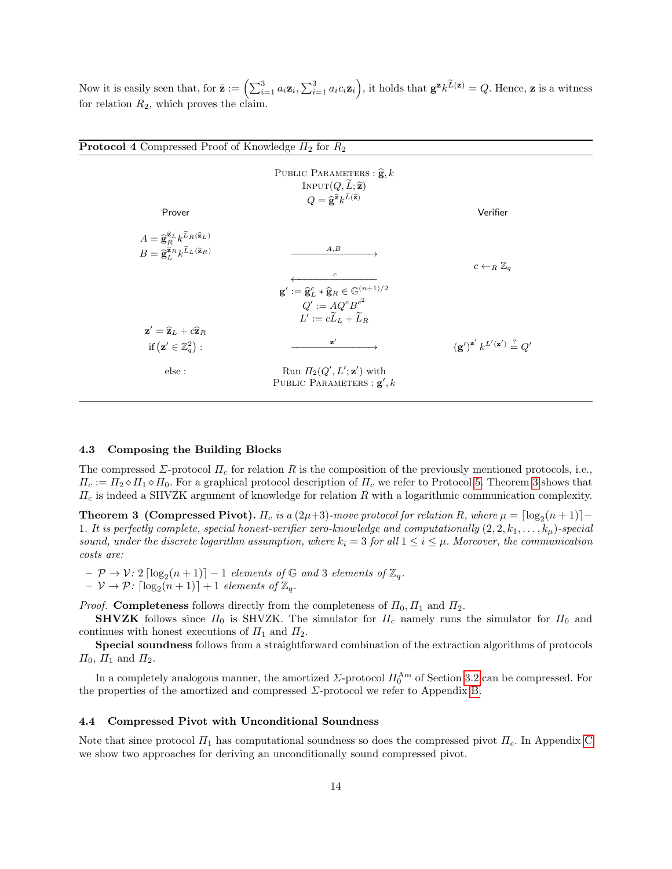Now it is easily seen that, for  $\bar{\mathbf{z}} := \left( \sum_{i=1}^3 a_i \mathbf{z}_i, \sum_{i=1}^3 a_i c_i \mathbf{z}_i \right)$ , it holds that  $\mathbf{g}^{\bar{\mathbf{z}}} k^{\widetilde{L}(\bar{\mathbf{z}})} = Q$ . Hence,  $\mathbf{z}$  is a witness for relation  $R_2$ , which proves the claim.

<span id="page-13-0"></span>

| <b>Protocol 4</b> Compressed Proof of Knowledge $\Pi_2$ for $R_2$                                                                                                                |                                                                                                                                                                                                    |
|----------------------------------------------------------------------------------------------------------------------------------------------------------------------------------|----------------------------------------------------------------------------------------------------------------------------------------------------------------------------------------------------|
| PUBLIC PARAMETERS : $\hat{\mathbf{g}}$ , k<br>INPUT $(Q, \tilde{L}; \hat{\mathbf{z}})$<br>$Q=\widehat{\mathbf{g}}^{\widehat{\mathbf{z}}}k^{\widetilde{L}(\widehat{\mathbf{z}})}$ | Verifier                                                                                                                                                                                           |
|                                                                                                                                                                                  |                                                                                                                                                                                                    |
|                                                                                                                                                                                  |                                                                                                                                                                                                    |
| A, B                                                                                                                                                                             |                                                                                                                                                                                                    |
|                                                                                                                                                                                  | $c \leftarrow_R \mathbb{Z}_q$                                                                                                                                                                      |
|                                                                                                                                                                                  |                                                                                                                                                                                                    |
|                                                                                                                                                                                  |                                                                                                                                                                                                    |
|                                                                                                                                                                                  |                                                                                                                                                                                                    |
|                                                                                                                                                                                  |                                                                                                                                                                                                    |
|                                                                                                                                                                                  |                                                                                                                                                                                                    |
|                                                                                                                                                                                  | $({\bf g}')^{{\bf z}'} k^{L'({\bf z}')} \stackrel{?}{=} Q'$                                                                                                                                        |
| Run $\Pi_2(Q', L'; \mathbf{z}')$ with<br>PUBLIC PARAMETERS : $\mathbf{g}'$ , k                                                                                                   |                                                                                                                                                                                                    |
|                                                                                                                                                                                  | $\mathfrak{c}$<br>$\mathbf{g}':=\widehat{\mathbf{g}}_L^c\ast \widehat{\mathbf{g}}_R\in \mathbb{G}^{(n+1)/2}$<br>$Q' := AQ^cB^{c^2}$<br>$L' := c\widetilde{L}_L + \widetilde{L}_B$<br>$\mathbf{z}'$ |

#### <span id="page-13-2"></span>4.3 Composing the Building Blocks

The compressed  $\Sigma$ -protocol  $\Pi_c$  for relation R is the composition of the previously mentioned protocols, i.e.,  $\Pi_c := \Pi_2 \diamond \Pi_1 \diamond \Pi_0$ . For a graphical protocol description of  $\Pi_c$  we refer to Protocol [5.](#page-14-1) Theorem [3](#page-13-1) shows that  $\Pi_c$  is indeed a SHVZK argument of knowledge for relation R with a logarithmic communication complexity.

<span id="page-13-1"></span>**Theorem 3 (Compressed Pivot).**  $\Pi_c$  is a  $(2\mu+3)$ -move protocol for relation R, where  $\mu = \lceil \log_2(n+1) \rceil -$ 1. It is perfectly complete, special honest-verifier zero-knowledge and computationally  $(2, 2, k_1, \ldots, k_\mu)$ -special sound, under the discrete logarithm assumption, where  $k_i = 3$  for all  $1 \le i \le \mu$ . Moreover, the communication costs are:

 $- \mathcal{P} \rightarrow \mathcal{V}$ : 2  $\lceil \log_2(n+1) \rceil - 1$  elements of  $\mathbb{G}$  and 3 elements of  $\mathbb{Z}_q$ .  $- \nu \rightarrow \mathcal{P}$ :  $\lceil \log_2(n+1) \rceil + 1$  elements of  $\mathbb{Z}_q$ .

*Proof.* Completeness follows directly from the completeness of  $\Pi_0$ ,  $\Pi_1$  and  $\Pi_2$ .

**SHVZK** follows since  $\Pi_0$  is SHVZK. The simulator for  $\Pi_c$  namely runs the simulator for  $\Pi_0$  and continues with honest executions of  $\Pi_1$  and  $\Pi_2$ .

Special soundness follows from a straightforward combination of the extraction algorithms of protocols  $\Pi_0$ ,  $\Pi_1$  and  $\Pi_2$ .

In a completely analogous manner, the amortized  $\Sigma$ -protocol  $\Pi_0^{\text{Am}}$  of Section [3.2](#page-10-3) can be compressed. For the properties of the amortized and compressed  $\Sigma$ -protocol we refer to Appendix [B.](#page-31-0)

#### 4.4 Compressed Pivot with Unconditional Soundness

Note that since protocol  $\Pi_1$  has computational soundness so does the compressed pivot  $\Pi_c$ . In Appendix [C](#page-32-0) we show two approaches for deriving an unconditionally sound compressed pivot.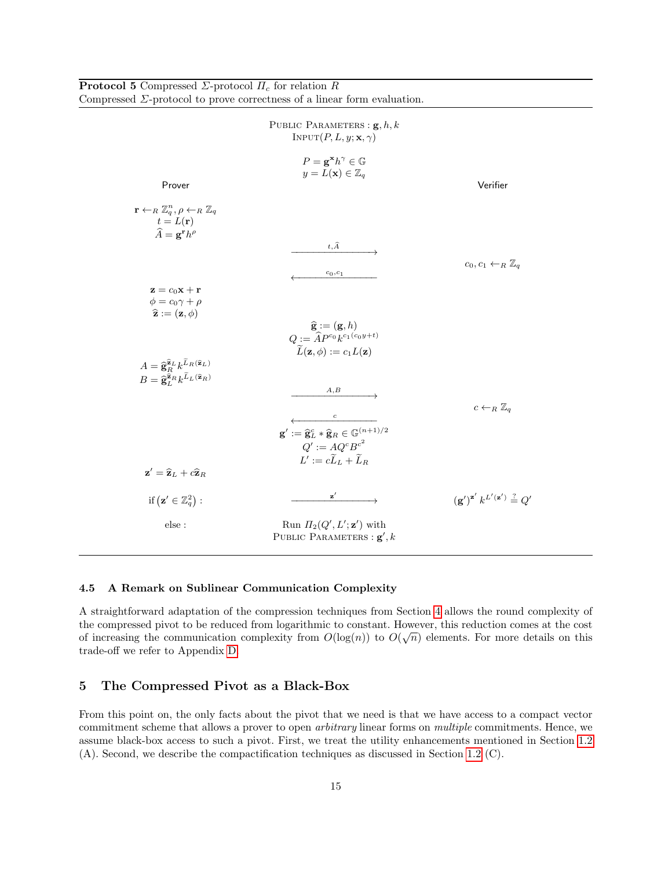|                                                                                                                                                                                                                                | Compressed $\Sigma$ -protocol to prove correctness of a linear form evaluation.                                      |                                                             |
|--------------------------------------------------------------------------------------------------------------------------------------------------------------------------------------------------------------------------------|----------------------------------------------------------------------------------------------------------------------|-------------------------------------------------------------|
|                                                                                                                                                                                                                                | PUBLIC PARAMETERS : $\mathbf{g}, h, k$<br>INPUT $(P, L, y; \mathbf{x}, \gamma)$                                      |                                                             |
| Prover                                                                                                                                                                                                                         | $P = \mathbf{g}^{\mathbf{x}} h^{\gamma} \in \mathbb{G}$<br>$y = L(\mathbf{x}) \in \mathbb{Z}_q$                      | Verifier                                                    |
| $\mathbf{r} \leftarrow_R \mathbb{Z}_q^n, \rho \leftarrow_R \mathbb{Z}_q$<br>$t = L(r)$<br>$\widehat{A} = \mathbf{g}^{\mathbf{r}} h^{\rho}$                                                                                     | $t,\widehat{A}$                                                                                                      |                                                             |
| $\mathbf{z} = c_0 \mathbf{x} + \mathbf{r}$                                                                                                                                                                                     | $c_0, c_1$                                                                                                           | $c_0, c_1 \leftarrow_R \mathbb{Z}_q$                        |
| $\phi = c_0 \gamma + \rho$<br>$\hat{\mathbf{z}} := (\mathbf{z}, \phi)$                                                                                                                                                         | $\begin{array}{c} \widehat{\mathbf{g}} := (\mathbf{g}, h) \\ Q := \widehat{A} P^{c_0} k^{c_1(c_0y + t)} \end{array}$ |                                                             |
| $A=\widehat{\mathbf{g}}_{\scriptscriptstyle{R}}^{\widehat{\mathbf{z}}_L}k^{\widetilde{L}_R(\widehat{\mathbf{z}}_L)}$<br>$B=\widehat{\mathbf{g}}_{L}^{\widehat{\mathbf{z}}_{R}}k^{\widetilde{L}_{L}(\widehat{\mathbf{z}}_{R})}$ | $\widetilde{L}(\mathbf{z},\phi) := c_1 L(\mathbf{z})$                                                                |                                                             |
|                                                                                                                                                                                                                                | A, B<br>$\overline{c}$<br>$\mathbf{g}':=\widehat{\mathbf{g}}_L^c\ast \widehat{\mathbf{g}}_R\in\mathbb{G}^{(n+1)/2}$  | $c \leftarrow_R \mathbb{Z}_q$                               |
| $\mathbf{z}' = \widehat{\mathbf{z}}_L + c\widehat{\mathbf{z}}_R$                                                                                                                                                               | $Q' := AQ^cB^{c^2}$<br>$L' := c\widetilde{L}_L + \widetilde{L}_R$                                                    |                                                             |
| if $(\mathbf{z}' \in \mathbb{Z}_q^2)$ :                                                                                                                                                                                        | $\mathbf{z}'$                                                                                                        | $({\bf g}')^{{\bf z}'} k^{L'({\bf z}')} \stackrel{?}{=} Q'$ |
| else :                                                                                                                                                                                                                         | Run $\Pi_2(Q',L';\mathbf{z}')$ with<br>PUBLIC PARAMETERS : $\mathbf{g}'$ , k                                         |                                                             |

#### 4.5 A Remark on Sublinear Communication Complexity

A straightforward adaptation of the compression techniques from Section [4](#page-10-0) allows the round complexity of the compressed pivot to be reduced from logarithmic to constant. However, this reduction comes at the cost √ of increasing the communication complexity from  $O(\log(n))$  to  $O(\sqrt{n})$  elements. For more details on this trade-off we refer to Appendix [D.](#page-32-1)

### <span id="page-14-0"></span>5 The Compressed Pivot as a Black-Box

<span id="page-14-1"></span>**Protocol 5** Compressed  $\Sigma$ -protocol  $\Pi_c$  for relation R

From this point on, the only facts about the pivot that we need is that we have access to a compact vector commitment scheme that allows a prover to open arbitrary linear forms on multiple commitments. Hence, we assume black-box access to such a pivot. First, we treat the utility enhancements mentioned in Section [1.2](#page-2-0) (A). Second, we describe the compactification techniques as discussed in Section [1.2](#page-2-0) (C).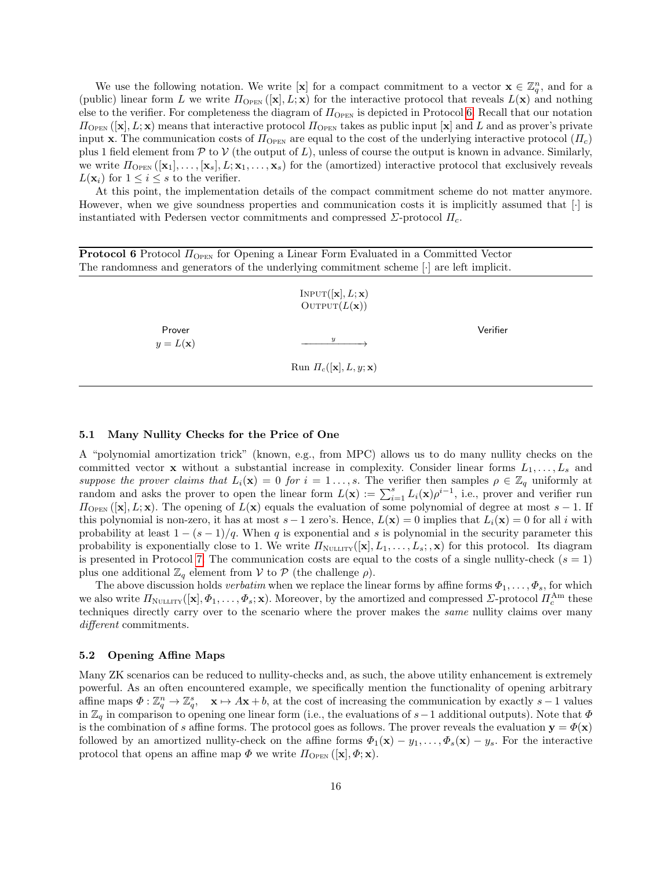We use the following notation. We write [**x**] for a compact commitment to a vector  $\mathbf{x} \in \mathbb{Z}_q^n$ , and for a (public) linear form L we write  $\Pi_{\text{OPEN}}([\mathbf{x}], L; \mathbf{x})$  for the interactive protocol that reveals  $L(\mathbf{x})$  and nothing else to the verifier. For completeness the diagram of  $\Pi_{\text{OPEN}}$  is depicted in Protocol [6.](#page-15-0) Recall that our notation  $\Pi_{\text{OPEN}}([\mathbf{x}], L; \mathbf{x})$  means that interactive protocol  $\Pi_{\text{OPEN}}$  takes as public input  $[\mathbf{x}]$  and L and as prover's private input x. The communication costs of  $\Pi_{\text{OPEN}}$  are equal to the cost of the underlying interactive protocol  $(\Pi_c)$ plus 1 field element from  $\mathcal P$  to  $\mathcal V$  (the output of L), unless of course the output is known in advance. Similarly, we write  $\Pi_{\text{OPEN}}([\mathbf{x}_1], \ldots, [\mathbf{x}_s], L; \mathbf{x}_1, \ldots, \mathbf{x}_s)$  for the (amortized) interactive protocol that exclusively reveals  $L(\mathbf{x}_i)$  for  $1 \leq i \leq s$  to the verifier.

At this point, the implementation details of the compact commitment scheme do not matter anymore. However, when we give soundness properties and communication costs it is implicitly assumed that [·] is instantiated with Pedersen vector commitments and compressed  $\Sigma$ -protocol  $\Pi_c$ .

<span id="page-15-0"></span>**Protocol 6** Protocol  $\Pi_{\text{OPEN}}$  for Opening a Linear Form Evaluated in a Committed Vector The randomness and generators of the underlying commitment scheme [·] are left implicit.

|                             | $INPUT([\mathbf{x}], L; \mathbf{x})$<br>OUTPUT $(L(\mathbf{x}))$ |          |
|-----------------------------|------------------------------------------------------------------|----------|
| Prover<br>$y=L(\mathbf{x})$ | $\boldsymbol{y}$                                                 | Verifier |
|                             | Run $\Pi_c([\mathbf{x}], L, y; \mathbf{x})$                      |          |

#### <span id="page-15-1"></span>5.1 Many Nullity Checks for the Price of One

A "polynomial amortization trick" (known, e.g., from MPC) allows us to do many nullity checks on the committed vector **x** without a substantial increase in complexity. Consider linear forms  $L_1, \ldots, L_s$  and suppose the prover claims that  $L_i(\mathbf{x}) = 0$  for  $i = 1, \ldots, s$ . The verifier then samples  $\rho \in \mathbb{Z}_q$  uniformly at random and asks the prover to open the linear form  $L(\mathbf{x}) := \sum_{i=1}^{s} L_i(\mathbf{x}) \rho^{i-1}$ , i.e., prover and verifier run  $\Pi_{\text{OPEN}}([\mathbf{x}], L; \mathbf{x})$ . The opening of  $L(\mathbf{x})$  equals the evaluation of some polynomial of degree at most  $s - 1$ . If this polynomial is non-zero, it has at most  $s - 1$  zero's. Hence,  $L(\mathbf{x}) = 0$  implies that  $L_i(\mathbf{x}) = 0$  for all i with probability at least  $1 - (s - 1)/q$ . When q is exponential and s is polynomial in the security parameter this probability is exponentially close to 1. We write  $\Pi_{\text{NULITY}}([\mathbf{x}], L_1, \ldots, L_s; \mathbf{x})$  for this protocol. Its diagram is presented in Protocol [7.](#page-16-1) The communication costs are equal to the costs of a single nullity-check  $(s = 1)$ plus one additional  $\mathbb{Z}_q$  element from  $\mathcal V$  to  $\mathcal P$  (the challenge  $\rho$ ).

The above discussion holds verbatim when we replace the linear forms by affine forms  $\Phi_1, \ldots, \Phi_s$ , for which we also write  $\Pi_{\text{NULLITY}}([\mathbf{x}], \Phi_1, \ldots, \Phi_s; \mathbf{x})$ . Moreover, by the amortized and compressed  $\Sigma$ -protocol  $\Pi_c^{\text{Am}}$  these techniques directly carry over to the scenario where the prover makes the same nullity claims over many different commitments.

#### 5.2 Opening Affine Maps

Many ZK scenarios can be reduced to nullity-checks and, as such, the above utility enhancement is extremely powerful. As an often encountered example, we specifically mention the functionality of opening arbitrary affine maps  $\Phi: \mathbb{Z}_q^n \to \mathbb{Z}_q^s$ ,  $\mathbf{x} \mapsto A\mathbf{x} + b$ , at the cost of increasing the communication by exactly  $s-1$  values in  $\mathbb{Z}_q$  in comparison to opening one linear form (i.e., the evaluations of s−1 additional outputs). Note that  $\Phi$ is the combination of s affine forms. The protocol goes as follows. The prover reveals the evaluation  $y = \Phi(x)$ followed by an amortized nullity-check on the affine forms  $\Phi_1(\mathbf{x}) - y_1, \ldots, \Phi_s(\mathbf{x}) - y_s$ . For the interactive protocol that opens an affine map  $\Phi$  we write  $\Pi_{\text{OPEN}}([\mathbf{x}], \Phi; \mathbf{x})$ .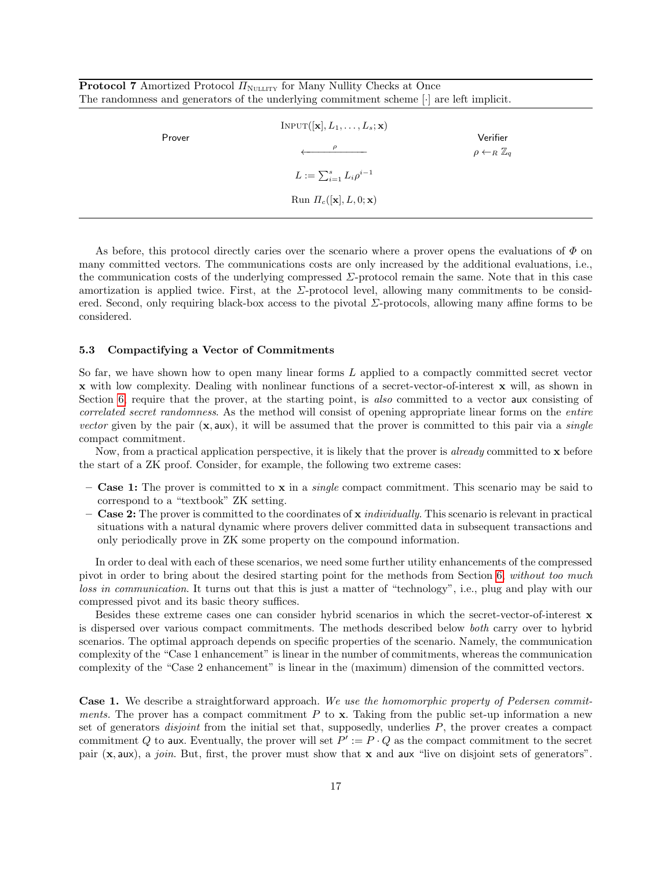<span id="page-16-1"></span>**Protocol 7** Amortized Protocol  $\Pi_{\text{NULLITY}}$  for Many Nullity Checks at Once The randomness and generators of the underlying commitment scheme [·] are left implicit.

| Prover | $INPUT([\mathbf{x}], L_1, \ldots, L_s; \mathbf{x})$<br>$\ell$ - $\rho$ | Verifier<br>$\rho \leftarrow_R \mathbb{Z}_q$ |
|--------|------------------------------------------------------------------------|----------------------------------------------|
|        | $L := \sum_{i=1}^{s} L_i \rho^{i-1}$                                   |                                              |
|        | Run $\Pi_c([\mathbf{x}], L, 0; \mathbf{x})$                            |                                              |

As before, this protocol directly caries over the scenario where a prover opens the evaluations of  $\Phi$  on many committed vectors. The communications costs are only increased by the additional evaluations, i.e., the communication costs of the underlying compressed  $\Sigma$ -protocol remain the same. Note that in this case amortization is applied twice. First, at the  $\Sigma$ -protocol level, allowing many commitments to be considered. Second, only requiring black-box access to the pivotal  $\Sigma$ -protocols, allowing many affine forms to be considered.

### <span id="page-16-0"></span>5.3 Compactifying a Vector of Commitments

So far, we have shown how to open many linear forms L applied to a compactly committed secret vector x with low complexity. Dealing with nonlinear functions of a secret-vector-of-interest x will, as shown in Section [6,](#page-17-0) require that the prover, at the starting point, is also committed to a vector aux consisting of correlated secret randomness. As the method will consist of opening appropriate linear forms on the entire vector given by the pair  $(x, aux)$ , it will be assumed that the prover is committed to this pair via a *single* compact commitment.

Now, from a practical application perspective, it is likely that the prover is *already* committed to  $x$  before the start of a ZK proof. Consider, for example, the following two extreme cases:

- Case 1: The prover is committed to  $x$  in a *single* compact commitment. This scenario may be said to correspond to a "textbook" ZK setting.
- Case 2: The prover is committed to the coordinates of x *individually*. This scenario is relevant in practical situations with a natural dynamic where provers deliver committed data in subsequent transactions and only periodically prove in ZK some property on the compound information.

In order to deal with each of these scenarios, we need some further utility enhancements of the compressed pivot in order to bring about the desired starting point for the methods from Section [6,](#page-17-0) without too much loss in communication. It turns out that this is just a matter of "technology", i.e., plug and play with our compressed pivot and its basic theory suffices.

Besides these extreme cases one can consider hybrid scenarios in which the secret-vector-of-interest x is dispersed over various compact commitments. The methods described below both carry over to hybrid scenarios. The optimal approach depends on specific properties of the scenario. Namely, the communication complexity of the "Case 1 enhancement" is linear in the number of commitments, whereas the communication complexity of the "Case 2 enhancement" is linear in the (maximum) dimension of the committed vectors.

Case 1. We describe a straightforward approach. We use the homomorphic property of Pedersen commitments. The prover has a compact commitment P to  $x$ . Taking from the public set-up information a new set of generators *disjoint* from the initial set that, supposedly, underlies  $P$ , the prover creates a compact commitment Q to aux. Eventually, the prover will set  $P' := P \cdot Q$  as the compact commitment to the secret pair (x, aux), a join. But, first, the prover must show that x and aux "live on disjoint sets of generators".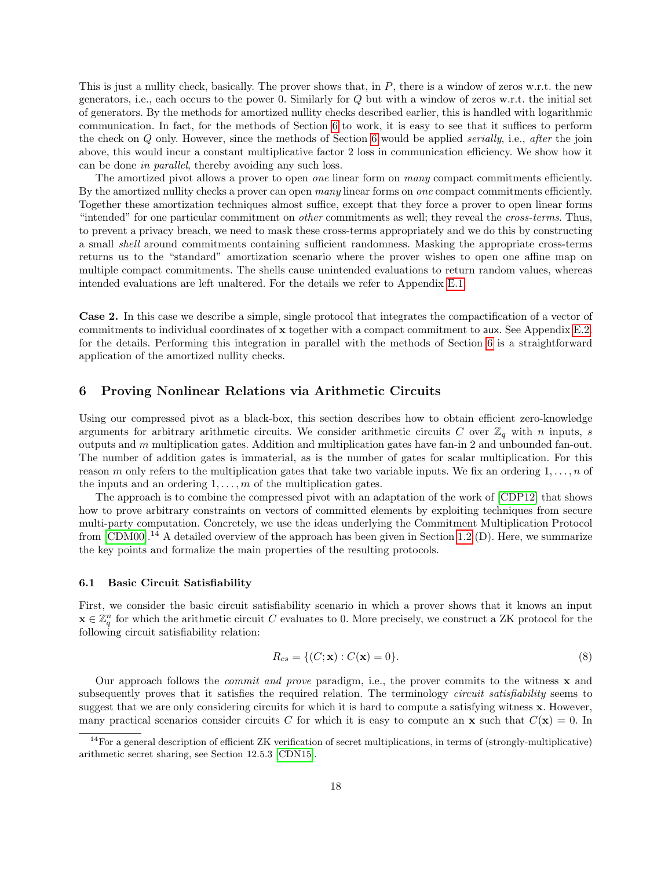This is just a nullity check, basically. The prover shows that, in  $P$ , there is a window of zeros w.r.t. the new generators, i.e., each occurs to the power 0. Similarly for Q but with a window of zeros w.r.t. the initial set of generators. By the methods for amortized nullity checks described earlier, this is handled with logarithmic communication. In fact, for the methods of Section [6](#page-17-0) to work, it is easy to see that it suffices to perform the check on Q only. However, since the methods of Section [6](#page-17-0) would be applied *serially*, i.e., *after* the join above, this would incur a constant multiplicative factor 2 loss in communication efficiency. We show how it can be done in parallel, thereby avoiding any such loss.

The amortized pivot allows a prover to open *one* linear form on *many* compact commitments efficiently. By the amortized nullity checks a prover can open many linear forms on one compact commitments efficiently. Together these amortization techniques almost suffice, except that they force a prover to open linear forms "intended" for one particular commitment on *other* commitments as well; they reveal the *cross-terms*. Thus, to prevent a privacy breach, we need to mask these cross-terms appropriately and we do this by constructing a small shell around commitments containing sufficient randomness. Masking the appropriate cross-terms returns us to the "standard" amortization scenario where the prover wishes to open one affine map on multiple compact commitments. The shells cause unintended evaluations to return random values, whereas intended evaluations are left unaltered. For the details we refer to Appendix [E.1.](#page-33-0)

Case 2. In this case we describe a simple, single protocol that integrates the compactification of a vector of commitments to individual coordinates of x together with a compact commitment to aux. See Appendix [E.2.](#page-35-0) for the details. Performing this integration in parallel with the methods of Section [6](#page-17-0) is a straightforward application of the amortized nullity checks.

### <span id="page-17-0"></span>6 Proving Nonlinear Relations via Arithmetic Circuits

Using our compressed pivot as a black-box, this section describes how to obtain efficient zero-knowledge arguments for arbitrary arithmetic circuits. We consider arithmetic circuits C over  $\mathbb{Z}_q$  with n inputs, s outputs and m multiplication gates. Addition and multiplication gates have fan-in 2 and unbounded fan-out. The number of addition gates is immaterial, as is the number of gates for scalar multiplication. For this reason m only refers to the multiplication gates that take two variable inputs. We fix an ordering  $1, \ldots, n$  of the inputs and an ordering  $1, \ldots, m$  of the multiplication gates.

The approach is to combine the compressed pivot with an adaptation of the work of [\[CDP12\]](#page-23-2) that shows how to prove arbitrary constraints on vectors of committed elements by exploiting techniques from secure multi-party computation. Concretely, we use the ideas underlying the Commitment Multiplication Protocol from  $[CDM00]$ .<sup>14</sup> A detailed overview of the approach has been given in Section [1.2](#page-2-0) (D). Here, we summarize the key points and formalize the main properties of the resulting protocols.

#### 6.1 Basic Circuit Satisfiability

First, we consider the basic circuit satisfiability scenario in which a prover shows that it knows an input  $\mathbf{x} \in \mathbb{Z}_q^n$  for which the arithmetic circuit C evaluates to 0. More precisely, we construct a ZK protocol for the following circuit satisfiability relation:

$$
R_{cs} = \{ (C; \mathbf{x}) : C(\mathbf{x}) = 0 \}.
$$
 (8)

Our approach follows the *commit and prove* paradigm, i.e., the prover commits to the witness  $\bf{x}$  and subsequently proves that it satisfies the required relation. The terminology *circuit satisfiability* seems to suggest that we are only considering circuits for which it is hard to compute a satisfying witness x. However, many practical scenarios consider circuits C for which it is easy to compute an **x** such that  $C(\mathbf{x}) = 0$ . In

 $^{14}$  For a general description of efficient ZK verification of secret multiplications, in terms of (strongly-multiplicative) arithmetic secret sharing, see Section 12.5.3 [\[CDN15\]](#page-23-8).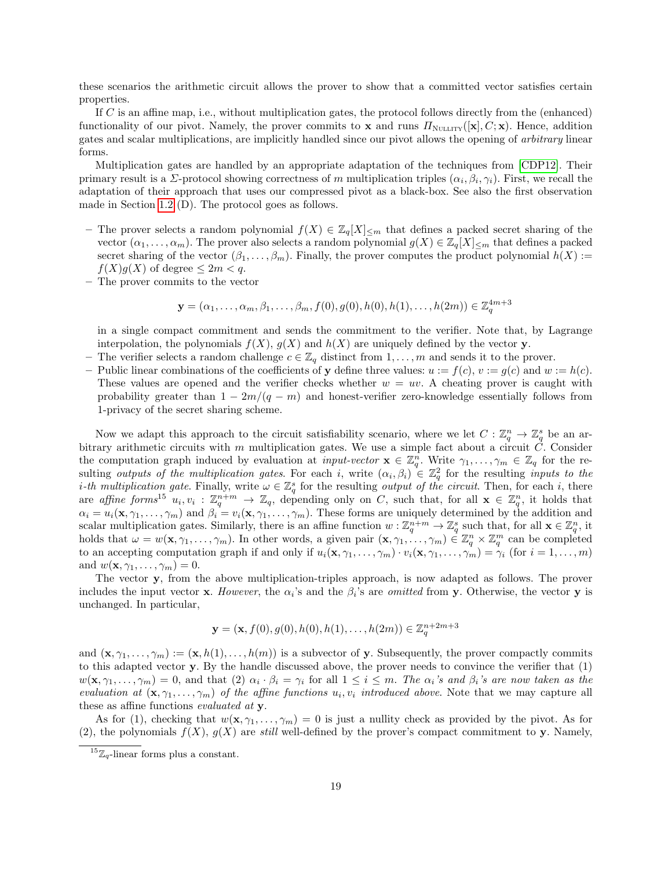these scenarios the arithmetic circuit allows the prover to show that a committed vector satisfies certain properties.

If C is an affine map, i.e., without multiplication gates, the protocol follows directly from the (enhanced) functionality of our pivot. Namely, the prover commits to x and runs  $\Pi_{\text{NULLITY}}([\mathbf{x}], C; \mathbf{x})$ . Hence, addition gates and scalar multiplications, are implicitly handled since our pivot allows the opening of arbitrary linear forms.

Multiplication gates are handled by an appropriate adaptation of the techniques from [\[CDP12\]](#page-23-2). Their primary result is a *Σ*-protocol showing correctness of m multiplication triples  $(\alpha_i, \beta_i, \gamma_i)$ . First, we recall the adaptation of their approach that uses our compressed pivot as a black-box. See also the first observation made in Section [1.2](#page-2-0) (D). The protocol goes as follows.

- The prover selects a random polynomial  $f(X) \in \mathbb{Z}_q[X]_{\leq m}$  that defines a packed secret sharing of the vector  $(\alpha_1, \ldots, \alpha_m)$ . The prover also selects a random polynomial  $g(X) \in \mathbb{Z}_q[X]_{\leq m}$  that defines a packed secret sharing of the vector  $(\beta_1, \ldots, \beta_m)$ . Finally, the prover computes the product polynomial  $h(X)$  :=  $f(X)g(X)$  of degree  $\leq 2m < q$ .
- The prover commits to the vector

$$
\mathbf{y} = (\alpha_1, \dots, \alpha_m, \beta_1, \dots, \beta_m, f(0), g(0), h(0), h(1), \dots, h(2m)) \in \mathbb{Z}_q^{4m+3}
$$

in a single compact commitment and sends the commitment to the verifier. Note that, by Lagrange interpolation, the polynomials  $f(X)$ ,  $g(X)$  and  $h(X)$  are uniquely defined by the vector **y**.

- The verifier selects a random challenge  $c \in \mathbb{Z}_q$  distinct from  $1, \ldots, m$  and sends it to the prover.
- Public linear combinations of the coefficients of y define three values:  $u := f(c)$ ,  $v := g(c)$  and  $w := h(c)$ . These values are opened and the verifier checks whether  $w = uv$ . A cheating prover is caught with probability greater than  $1 - 2m/(q - m)$  and honest-verifier zero-knowledge essentially follows from 1-privacy of the secret sharing scheme.

Now we adapt this approach to the circuit satisfiability scenario, where we let  $C: \mathbb{Z}_q^n \to \mathbb{Z}_q^s$  be an arbitrary arithmetic circuits with  $m$  multiplication gates. We use a simple fact about a circuit  $C$ . Consider the computation graph induced by evaluation at *input-vector*  $\mathbf{x} \in \mathbb{Z}_q^n$ . Write  $\gamma_1, \ldots, \gamma_m \in \mathbb{Z}_q$  for the resulting *outputs of the multiplication gates*. For each i, write  $(\alpha_i, \beta_i) \in \mathbb{Z}_q^2$  for the resulting *inputs to the i-th multiplication gate.* Finally, write  $\omega \in \mathbb{Z}_q^s$  for the resulting *output of the circuit.* Then, for each *i*, there are affine forms<sup>15</sup>  $u_i, v_i : \mathbb{Z}_q^{n+m} \to \mathbb{Z}_q$ , depending only on C, such that, for all  $\mathbf{x} \in \mathbb{Z}_q^n$ , it holds that  $\alpha_i = u_i(\mathbf{x}, \gamma_1, \dots, \gamma_m)$  and  $\beta_i = v_i(\mathbf{x}, \gamma_1, \dots, \gamma_m)$ . These forms are uniquely determined by the addition and scalar multiplication gates. Similarly, there is an affine function  $w: \mathbb{Z}_q^{n+m} \to \mathbb{Z}_q^s$  such that, for all  $\mathbf{x} \in \mathbb{Z}_q^n$ , it holds that  $\omega = w(\mathbf{x}, \gamma_1, \dots, \gamma_m)$ . In other words, a given pair  $(\mathbf{x}, \gamma_1, \dots, \gamma_m) \in \mathbb{Z}_q^n \times \mathbb{Z}_q^m$  can be completed to an accepting computation graph if and only if  $u_i(\mathbf{x}, \gamma_1, \dots, \gamma_m) \cdot v_i(\mathbf{x}, \gamma_1, \dots, \gamma_m) = \gamma_i$  (for  $i = 1, \dots, m$ ) and  $w(\mathbf{x}, \gamma_1, \ldots, \gamma_m) = 0$ .

The vector y, from the above multiplication-triples approach, is now adapted as follows. The prover includes the input vector **x**. However, the  $\alpha_i$ 's and the  $\beta_i$ 's are *omitted* from **y**. Otherwise, the vector **y** is unchanged. In particular,

$$
\mathbf{y} = (\mathbf{x}, f(0), g(0), h(0), h(1), \dots, h(2m)) \in \mathbb{Z}_q^{n+2m+3}
$$

and  $(\mathbf{x}, \gamma_1, \ldots, \gamma_m) := (\mathbf{x}, h(1), \ldots, h(m))$  is a subvector of y. Subsequently, the prover compactly commits to this adapted vector y. By the handle discussed above, the prover needs to convince the verifier that (1)  $w(\mathbf{x}, \gamma_1, \dots, \gamma_m) = 0$ , and that  $(2)$   $\alpha_i \cdot \beta_i = \gamma_i$  for all  $1 \leq i \leq m$ . The  $\alpha_i$ 's and  $\beta_i$ 's are now taken as the evaluation at  $(\mathbf{x}, \gamma_1, \ldots, \gamma_m)$  of the affine functions  $u_i, v_i$  introduced above. Note that we may capture all these as affine functions *evaluated at* y.

As for (1), checking that  $w(\mathbf{x}, \gamma_1, \dots, \gamma_m) = 0$  is just a nullity check as provided by the pivot. As for (2), the polynomials  $f(X)$ ,  $g(X)$  are still well-defined by the prover's compact commitment to y. Namely,

<sup>&</sup>lt;sup>15</sup> $\mathbb{Z}_q$ -linear forms plus a constant.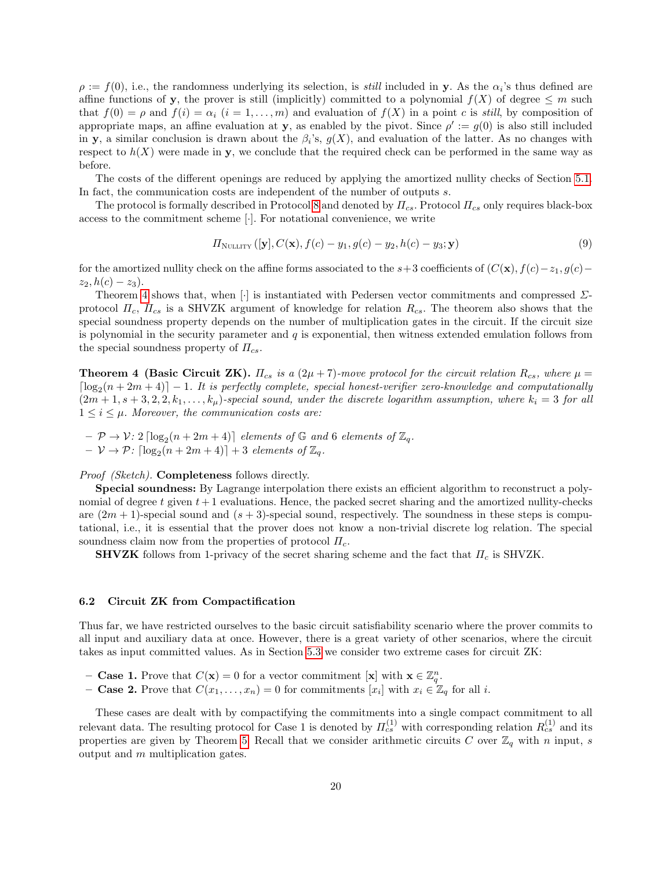$\rho := f(0)$ , i.e., the randomness underlying its selection, is *still* included in y. As the  $\alpha_i$ 's thus defined are affine functions of y, the prover is still (implicitly) committed to a polynomial  $f(X)$  of degree  $\leq m$  such that  $f(0) = \rho$  and  $f(i) = \alpha_i$   $(i = 1, ..., m)$  and evaluation of  $f(X)$  in a point c is still, by composition of appropriate maps, an affine evaluation at y, as enabled by the pivot. Since  $\rho' := g(0)$  is also still included in y, a similar conclusion is drawn about the  $\beta_i$ 's,  $g(X)$ , and evaluation of the latter. As no changes with respect to  $h(X)$  were made in y, we conclude that the required check can be performed in the same way as before.

The costs of the different openings are reduced by applying the amortized nullity checks of Section [5.1.](#page-15-1) In fact, the communication costs are independent of the number of outputs s.

The protocol is formally described in Protocol [8](#page-20-1) and denoted by  $\Pi_{cs}$ . Protocol  $\Pi_{cs}$  only requires black-box access to the commitment scheme [·]. For notational convenience, we write

$$
\Pi_{\text{NULLITY}}\left( [\mathbf{y}], C(\mathbf{x}), f(c) - y_1, g(c) - y_2, h(c) - y_3; \mathbf{y} \right) \tag{9}
$$

for the amortized nullity check on the affine forms associated to the s+3 coefficients of  $(C(\mathbf{x}), f(c)-z_1, g(c)-z_2)$  $z_2$ ,  $h(c) - z_3$ ).

Theorem [4](#page-19-0) shows that, when [·] is instantiated with Pedersen vector commitments and compressed  $\Sigma$ protocol  $\Pi_c$ ,  $\Pi_{cs}$  is a SHVZK argument of knowledge for relation  $R_{cs}$ . The theorem also shows that the special soundness property depends on the number of multiplication gates in the circuit. If the circuit size is polynomial in the security parameter and  $q$  is exponential, then witness extended emulation follows from the special soundness property of  $\Pi_{cs}$ .

<span id="page-19-0"></span>**Theorem 4 (Basic Circuit ZK).**  $\Pi_{cs}$  is a (2 $\mu$  + 7)-move protocol for the circuit relation  $R_{cs}$ , where  $\mu$  =  $\lceil \log_2(n + 2m + 4) \rceil - 1$ . It is perfectly complete, special honest-verifier zero-knowledge and computationally  $(2m+1, s+3, 2, 2, k_1, \ldots, k_\mu)$ -special sound, under the discrete logarithm assumption, where  $k_i = 3$  for all  $1 \leq i \leq \mu$ . Moreover, the communication costs are:

 $- \mathcal{P} \rightarrow \mathcal{V}: 2 \lceil \log_2(n + 2m + 4) \rceil$  elements of  $\mathbb{G}$  and 6 elements of  $\mathbb{Z}_q$ .  $- \mathcal{V} \rightarrow \mathcal{P}$ :  $\lceil \log_2(n + 2m + 4) \rceil + 3$  elements of  $\mathbb{Z}_q$ .

### Proof (Sketch). **Completeness** follows directly.

Special soundness: By Lagrange interpolation there exists an efficient algorithm to reconstruct a polynomial of degree t given  $t + 1$  evaluations. Hence, the packed secret sharing and the amortized nullity-checks are  $(2m + 1)$ -special sound and  $(s + 3)$ -special sound, respectively. The soundness in these steps is computational, i.e., it is essential that the prover does not know a non-trivial discrete log relation. The special soundness claim now from the properties of protocol  $\Pi_c$ .

**SHVZK** follows from 1-privacy of the secret sharing scheme and the fact that  $\Pi_c$  is SHVZK.

#### 6.2 Circuit ZK from Compactification

Thus far, we have restricted ourselves to the basic circuit satisfiability scenario where the prover commits to all input and auxiliary data at once. However, there is a great variety of other scenarios, where the circuit takes as input committed values. As in Section [5.3](#page-16-0) we consider two extreme cases for circuit ZK:

- Case 1. Prove that  $C(\mathbf{x}) = 0$  for a vector commitment  $[\mathbf{x}]$  with  $\mathbf{x} \in \mathbb{Z}_q^n$ .
- **Case 2.** Prove that  $C(x_1, \ldots, x_n) = 0$  for commitments  $[x_i]$  with  $x_i \in \mathbb{Z}_q$  for all i.

<span id="page-19-1"></span>These cases are dealt with by compactifying the commitments into a single compact commitment to all relevant data. The resulting protocol for Case 1 is denoted by  $\Pi_{cs}^{(1)}$  with corresponding relation  $R_{cs}^{(1)}$  and its properties are given by Theorem [5.](#page-19-1) Recall that we consider arithmetic circuits C over  $\mathbb{Z}_q$  with n input, s output and m multiplication gates.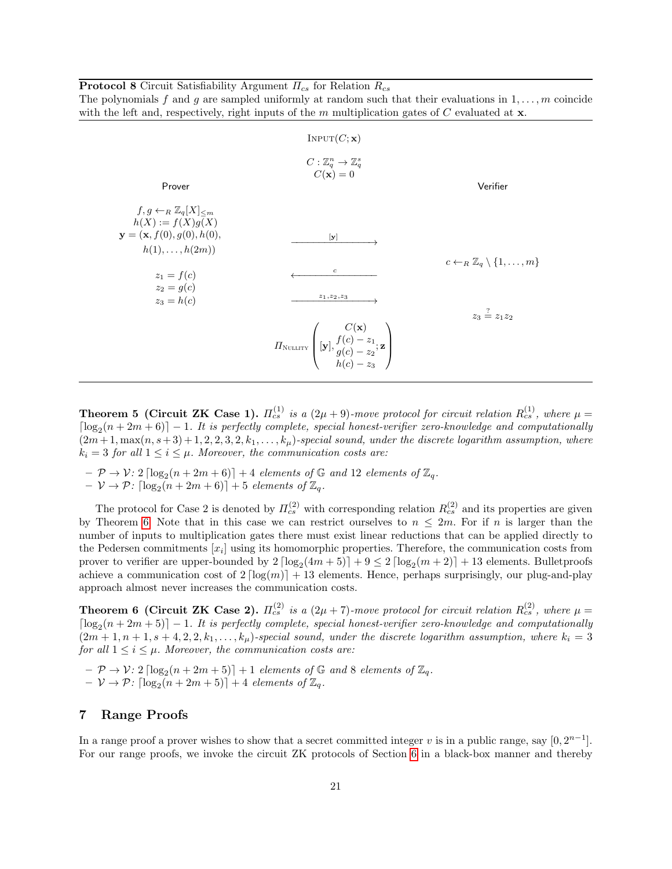<span id="page-20-1"></span>**Protocol 8** Circuit Satisfiability Argument  $\Pi_{cs}$  for Relation  $R_{cs}$ The polynomials f and g are sampled uniformly at random such that their evaluations in  $1, \ldots, m$  coincide with the left and, respectively, right inputs of the m multiplication gates of  $C$  evaluated at  $x$ .

|                                                                                              | INPUT(C; x)                                                                                                                     |                                                          |
|----------------------------------------------------------------------------------------------|---------------------------------------------------------------------------------------------------------------------------------|----------------------------------------------------------|
| Prover                                                                                       | $C:\mathbb{Z}_q^n\to\mathbb{Z}_q^s$<br>$C(\mathbf{x})=0$                                                                        | Verifier                                                 |
| $f, g \leftarrow_R \mathbb{Z}_q[X] < m$<br>$h(X) := f(X)g(X)$<br>$y = (x, f(0), g(0), h(0),$ | $[\mathbf{y}]$                                                                                                                  |                                                          |
| $h(1),\ldots,h(2m))$<br>$z_1 = f(c)$<br>$z_2 = g(c)$                                         | $\boldsymbol{c}$                                                                                                                | $c \leftarrow_R \mathbb{Z}_q \setminus \{1, \ldots, m\}$ |
| $z_3 = h(c)$                                                                                 | $z_1, z_2, z_3$                                                                                                                 | $z_3 \stackrel{?}{=} z_1 z_2$                            |
|                                                                                              | $H_{\text{NULITY}}\left(\begin{matrix}C(\mathbf{x})\[1mm] [\mathbf{y}], f(c)-z_1;\mathbf{z}\[1mm] b(c)-z_2 \end{matrix}\right)$ |                                                          |

**Theorem 5 (Circuit ZK Case 1).**  $\Pi_{cs}^{(1)}$  is a  $(2\mu + 9)$ -move protocol for circuit relation  $R_{cs}^{(1)}$ , where  $\mu =$  $\lceil \log_2(n + 2m + 6) \rceil - 1$ . It is perfectly complete, special honest-verifier zero-knowledge and computationally  $(2m+1, \max(n, s+3)+1, 2, 2, 3, 2, k_1, \ldots, k_\mu)$ -special sound, under the discrete logarithm assumption, where  $k_i = 3$  for all  $1 \leq i \leq \mu$ . Moreover, the communication costs are:

- $\mathcal{P} \rightarrow \mathcal{V}$ : 2  $\lceil \log_2(n + 2m + 6) \rceil + 4$  elements of  $\mathbb{G}$  and 12 elements of  $\mathbb{Z}_q$ .
- $\nu \rightarrow \mathcal{P}$ :  $\lceil \log_2(n + 2m + 6) \rceil + 5$  elements of  $\mathbb{Z}_q$ .

The protocol for Case 2 is denoted by  $\Pi_{cs}^{(2)}$  with corresponding relation  $R_{cs}^{(2)}$  and its properties are given by Theorem [6.](#page-20-2) Note that in this case we can restrict ourselves to  $n \leq 2m$ . For if n is larger than the number of inputs to multiplication gates there must exist linear reductions that can be applied directly to the Pedersen commitments  $[x_i]$  using its homomorphic properties. Therefore, the communication costs from prover to verifier are upper-bounded by  $2 \lceil \log_2(4m + 5) \rceil + 9 \leq 2 \lceil \log_2(m + 2) \rceil + 13$  elements. Bulletproofs achieve a communication cost of  $2 \lceil \log(m) \rceil + 13$  elements. Hence, perhaps surprisingly, our plug-and-play approach almost never increases the communication costs.

<span id="page-20-2"></span>**Theorem 6 (Circuit ZK Case 2).**  $\Pi_{cs}^{(2)}$  is a  $(2\mu + 7)$ -move protocol for circuit relation  $R_{cs}^{(2)}$ , where  $\mu =$  $\lceil \log_2(n + 2m + 5) \rceil - 1$ . It is perfectly complete, special honest-verifier zero-knowledge and computationally  $(2m+1, n+1, s+4, 2, 2, k_1, \ldots, k_\mu)$ -special sound, under the discrete logarithm assumption, where  $k_i = 3$ for all  $1 \leq i \leq \mu$ . Moreover, the communication costs are:

 $- \mathcal{P} \rightarrow \mathcal{V}: 2 \lceil \log_2(n + 2m + 5) \rceil + 1$  elements of  $\mathbb{G}$  and 8 elements of  $\mathbb{Z}_q$ .  $- \nu \rightarrow \mathcal{P}$ :  $\lceil \log_2(n + 2m + 5) \rceil + 4$  elements of  $\mathbb{Z}_q$ .

### <span id="page-20-0"></span>7 Range Proofs

In a range proof a prover wishes to show that a secret committed integer v is in a public range, say  $[0, 2^{n-1}]$ . For our range proofs, we invoke the circuit ZK protocols of Section [6](#page-17-0) in a black-box manner and thereby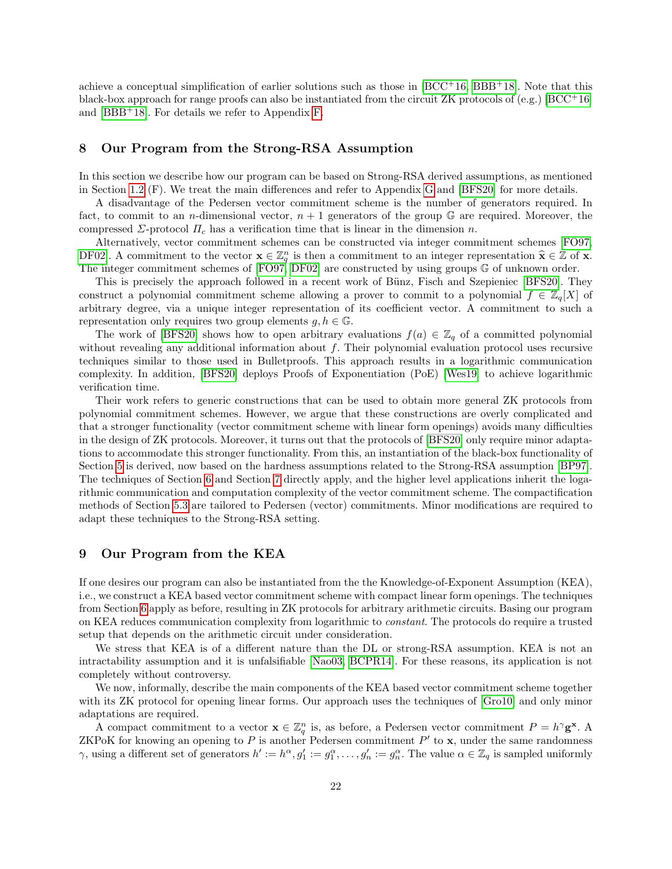achieve a conceptual simplification of earlier solutions such as those in  $[BCC+16, BBB+18]$  $[BCC+16, BBB+18]$  $[BCC+16, BBB+18]$  $[BCC+16, BBB+18]$ . Note that this black-box approach for range proofs can also be instantiated from the circuit ZK protocols of (e.g.) [\[BCC](#page-23-0)+16] and [\[BBB](#page-22-0)+18]. For details we refer to Appendix [F.](#page-37-0)

### 8 Our Program from the Strong-RSA Assumption

In this section we describe how our program can be based on Strong-RSA derived assumptions, as mentioned in Section [1.2](#page-2-0) (F). We treat the main differences and refer to Appendix [G](#page-39-0) and [\[BFS20\]](#page-23-3) for more details.

A disadvantage of the Pedersen vector commitment scheme is the number of generators required. In fact, to commit to an *n*-dimensional vector,  $n + 1$  generators of the group  $\mathbb{G}$  are required. Moreover, the compressed  $\Sigma$ -protocol  $\Pi_c$  has a verification time that is linear in the dimension n.

Alternatively, vector commitment schemes can be constructed via integer commitment schemes [\[FO97,](#page-23-17) [DF02\]](#page-23-18). A commitment to the vector  $\mathbf{x} \in \mathbb{Z}_q^n$  is then a commitment to an integer representation  $\hat{\mathbf{x}} \in \mathbb{Z}$  of  $\mathbf{x}$ .<br>The integer commitment schemes of  $[\text{EO}^{07} \text{ DE}^{02}]$  are constructed by using groups  $\$ The integer commitment schemes of [\[FO97,](#page-23-17) [DF02\]](#page-23-18) are constructed by using groups G of unknown order.

This is precisely the approach followed in a recent work of Bünz, Fisch and Szepieniec [\[BFS20\]](#page-23-3). They construct a polynomial commitment scheme allowing a prover to commit to a polynomial  $f \in \mathbb{Z}_q[X]$  of arbitrary degree, via a unique integer representation of its coefficient vector. A commitment to such a representation only requires two group elements  $g, h \in \mathbb{G}$ .

The work of [\[BFS20\]](#page-23-3) shows how to open arbitrary evaluations  $f(a) \in \mathbb{Z}_q$  of a committed polynomial without revealing any additional information about  $f$ . Their polynomial evaluation protocol uses recursive techniques similar to those used in Bulletproofs. This approach results in a logarithmic communication complexity. In addition, [\[BFS20\]](#page-23-3) deploys Proofs of Exponentiation (PoE) [\[Wes19\]](#page-24-3) to achieve logarithmic verification time.

Their work refers to generic constructions that can be used to obtain more general ZK protocols from polynomial commitment schemes. However, we argue that these constructions are overly complicated and that a stronger functionality (vector commitment scheme with linear form openings) avoids many difficulties in the design of ZK protocols. Moreover, it turns out that the protocols of [\[BFS20\]](#page-23-3) only require minor adaptations to accommodate this stronger functionality. From this, an instantiation of the black-box functionality of Section [5](#page-14-0) is derived, now based on the hardness assumptions related to the Strong-RSA assumption [\[BP97\]](#page-23-19). The techniques of Section [6](#page-17-0) and Section [7](#page-20-0) directly apply, and the higher level applications inherit the logarithmic communication and computation complexity of the vector commitment scheme. The compactification methods of Section [5.3](#page-16-0) are tailored to Pedersen (vector) commitments. Minor modifications are required to adapt these techniques to the Strong-RSA setting.

### <span id="page-21-0"></span>9 Our Program from the KEA

If one desires our program can also be instantiated from the the Knowledge-of-Exponent Assumption (KEA), i.e., we construct a KEA based vector commitment scheme with compact linear form openings. The techniques from Section [6](#page-17-0) apply as before, resulting in ZK protocols for arbitrary arithmetic circuits. Basing our program on KEA reduces communication complexity from logarithmic to constant. The protocols do require a trusted setup that depends on the arithmetic circuit under consideration.

We stress that KEA is of a different nature than the DL or strong-RSA assumption. KEA is not an intractability assumption and it is unfalsifiable [\[Nao03,](#page-24-2) [BCPR14\]](#page-23-9). For these reasons, its application is not completely without controversy.

We now, informally, describe the main components of the KEA based vector commitment scheme together with its ZK protocol for opening linear forms. Our approach uses the techniques of [\[Gro10\]](#page-23-10) and only minor adaptations are required.

A compact commitment to a vector  $\mathbf{x} \in \mathbb{Z}_q^n$  is, as before, a Pedersen vector commitment  $P = h^{\gamma} \mathbf{g}^{\mathbf{x}}$ . A ZKPoK for knowing an opening to P is another Pedersen commitment  $P'$  to  $\mathbf{x}$ , under the same randomness  $\gamma$ , using a different set of generators  $h' := h^{\alpha}, g_1' := g_1^{\alpha}, \ldots, g_n' := g_n^{\alpha}$ . The value  $\alpha \in \mathbb{Z}_q$  is sampled uniformly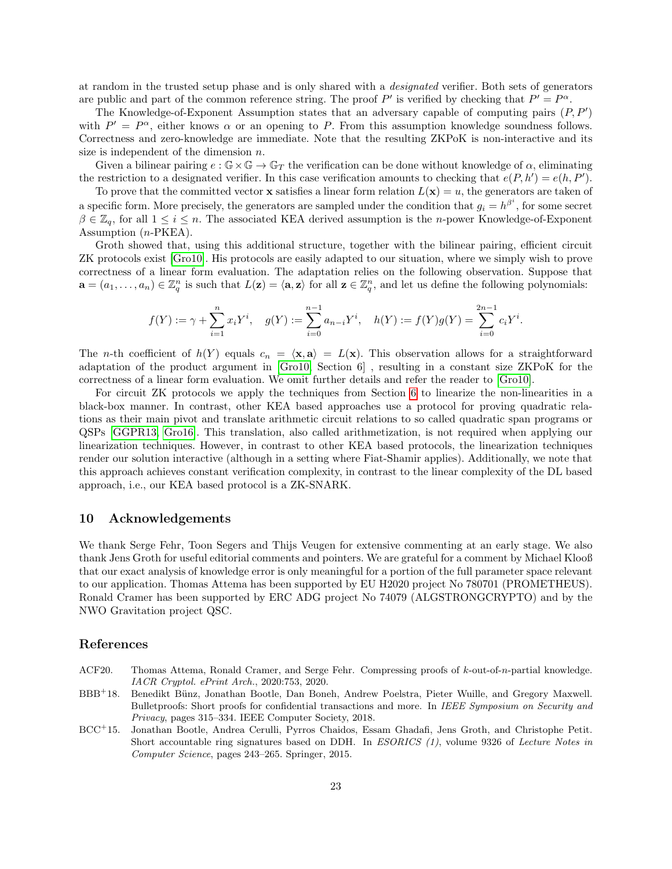at random in the trusted setup phase and is only shared with a designated verifier. Both sets of generators are public and part of the common reference string. The proof P' is verified by checking that  $P' = P^{\alpha}$ .

The Knowledge-of-Exponent Assumption states that an adversary capable of computing pairs  $(P, P')$ with  $P' = P^{\alpha}$ , either knows  $\alpha$  or an opening to P. From this assumption knowledge soundness follows. Correctness and zero-knowledge are immediate. Note that the resulting ZKPoK is non-interactive and its size is independent of the dimension  $n$ .

Given a bilinear pairing  $e : \mathbb{G} \times \mathbb{G} \to \mathbb{G}_T$  the verification can be done without knowledge of  $\alpha$ , eliminating the restriction to a designated verifier. In this case verification amounts to checking that  $e(P, h') = e(h, P')$ .

To prove that the committed vector **x** satisfies a linear form relation  $L(\mathbf{x}) = u$ , the generators are taken of a specific form. More precisely, the generators are sampled under the condition that  $g_i = h^{\beta^i}$ , for some secret  $\beta \in \mathbb{Z}_q$ , for all  $1 \leq i \leq n$ . The associated KEA derived assumption is the *n*-power Knowledge-of-Exponent Assumption (n-PKEA).

Groth showed that, using this additional structure, together with the bilinear pairing, efficient circuit ZK protocols exist [\[Gro10\]](#page-23-10). His protocols are easily adapted to our situation, where we simply wish to prove correctness of a linear form evaluation. The adaptation relies on the following observation. Suppose that  $\mathbf{a} = (a_1, \ldots, a_n) \in \mathbb{Z}_q^n$  is such that  $L(\mathbf{z}) = \langle \mathbf{a}, \mathbf{z} \rangle$  for all  $\mathbf{z} \in \mathbb{Z}_q^n$ , and let us define the following polynomials:

$$
f(Y) := \gamma + \sum_{i=1}^{n} x_i Y^i, \quad g(Y) := \sum_{i=0}^{n-1} a_{n-i} Y^i, \quad h(Y) := f(Y)g(Y) = \sum_{i=0}^{2n-1} c_i Y^i.
$$

The n-th coefficient of  $h(Y)$  equals  $c_n = \langle \mathbf{x}, \mathbf{a} \rangle = L(\mathbf{x})$ . This observation allows for a straightforward adaptation of the product argument in [\[Gro10,](#page-23-10) Section 6] , resulting in a constant size ZKPoK for the correctness of a linear form evaluation. We omit further details and refer the reader to [\[Gro10\]](#page-23-10).

For circuit ZK protocols we apply the techniques from Section [6](#page-17-0) to linearize the non-linearities in a black-box manner. In contrast, other KEA based approaches use a protocol for proving quadratic relations as their main pivot and translate arithmetic circuit relations to so called quadratic span programs or QSPs [\[GGPR13,](#page-23-20) [Gro16\]](#page-23-21). This translation, also called arithmetization, is not required when applying our linearization techniques. However, in contrast to other KEA based protocols, the linearization techniques render our solution interactive (although in a setting where Fiat-Shamir applies). Additionally, we note that this approach achieves constant verification complexity, in contrast to the linear complexity of the DL based approach, i.e., our KEA based protocol is a ZK-SNARK.

### 10 Acknowledgements

We thank Serge Fehr, Toon Segers and Thijs Veugen for extensive commenting at an early stage. We also thank Jens Groth for useful editorial comments and pointers. We are grateful for a comment by Michael Klooß that our exact analysis of knowledge error is only meaningful for a portion of the full parameter space relevant to our application. Thomas Attema has been supported by EU H2020 project No 780701 (PROMETHEUS). Ronald Cramer has been supported by ERC ADG project No 74079 (ALGSTRONGCRYPTO) and by the NWO Gravitation project QSC.

### References

- <span id="page-22-1"></span>ACF20. Thomas Attema, Ronald Cramer, and Serge Fehr. Compressing proofs of k-out-of-n-partial knowledge. IACR Cryptol. ePrint Arch., 2020:753, 2020.
- <span id="page-22-0"></span>BBB<sup>+</sup>18. Benedikt Bünz, Jonathan Bootle, Dan Boneh, Andrew Poelstra, Pieter Wuille, and Gregory Maxwell. Bulletproofs: Short proofs for confidential transactions and more. In IEEE Symposium on Security and Privacy, pages 315–334. IEEE Computer Society, 2018.
- <span id="page-22-2"></span>BCC<sup>+</sup>15. Jonathan Bootle, Andrea Cerulli, Pyrros Chaidos, Essam Ghadafi, Jens Groth, and Christophe Petit. Short accountable ring signatures based on DDH. In ESORICS (1), volume 9326 of Lecture Notes in Computer Science, pages 243–265. Springer, 2015.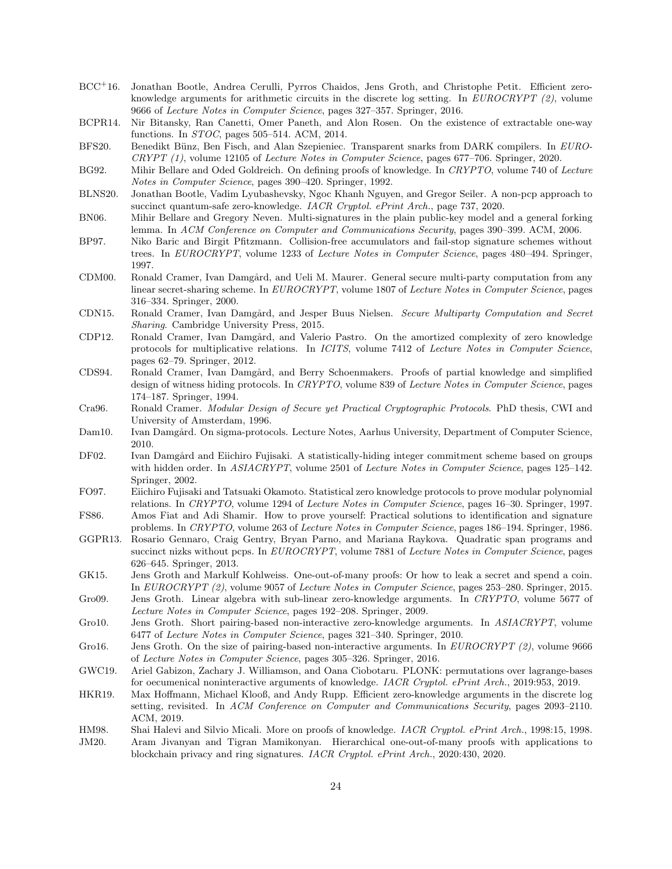- <span id="page-23-0"></span>BCC<sup>+</sup>16. Jonathan Bootle, Andrea Cerulli, Pyrros Chaidos, Jens Groth, and Christophe Petit. Efficient zeroknowledge arguments for arithmetic circuits in the discrete log setting. In  $EUROCRYPT (2)$ , volume 9666 of Lecture Notes in Computer Science, pages 327–357. Springer, 2016.
- <span id="page-23-9"></span>BCPR14. Nir Bitansky, Ran Canetti, Omer Paneth, and Alon Rosen. On the existence of extractable one-way functions. In STOC, pages 505–514. ACM, 2014.
- <span id="page-23-3"></span>BFS20. Benedikt Bünz, Ben Fisch, and Alan Szepieniec. Transparent snarks from DARK compilers. In EURO-CRYPT (1), volume 12105 of Lecture Notes in Computer Science, pages 677–706. Springer, 2020.
- <span id="page-23-22"></span>BG92. Mihir Bellare and Oded Goldreich. On defining proofs of knowledge. In CRYPTO, volume 740 of Lecture Notes in Computer Science, pages 390–420. Springer, 1992.
- <span id="page-23-14"></span>BLNS20. Jonathan Bootle, Vadim Lyubashevsky, Ngoc Khanh Nguyen, and Gregor Seiler. A non-pcp approach to succinct quantum-safe zero-knowledge. IACR Cryptol. ePrint Arch., page 737, 2020.
- <span id="page-23-24"></span>BN06. Mihir Bellare and Gregory Neven. Multi-signatures in the plain public-key model and a general forking lemma. In ACM Conference on Computer and Communications Security, pages 390–399. ACM, 2006.
- <span id="page-23-19"></span>BP97. Niko Baric and Birgit Pfitzmann. Collision-free accumulators and fail-stop signature schemes without trees. In EUROCRYPT, volume 1233 of Lecture Notes in Computer Science, pages 480–494. Springer, 1997.
- <span id="page-23-7"></span>CDM00. Ronald Cramer, Ivan Damgård, and Ueli M. Maurer. General secure multi-party computation from any linear secret-sharing scheme. In EUROCRYPT, volume 1807 of Lecture Notes in Computer Science, pages 316–334. Springer, 2000.
- <span id="page-23-8"></span>CDN15. Ronald Cramer, Ivan Damgård, and Jesper Buus Nielsen. Secure Multiparty Computation and Secret Sharing. Cambridge University Press, 2015.
- <span id="page-23-2"></span>CDP12. Ronald Cramer, Ivan Damgård, and Valerio Pastro. On the amortized complexity of zero knowledge protocols for multiplicative relations. In ICITS, volume 7412 of Lecture Notes in Computer Science, pages 62–79. Springer, 2012.
- <span id="page-23-11"></span>CDS94. Ronald Cramer, Ivan Damgård, and Berry Schoenmakers. Proofs of partial knowledge and simplified design of witness hiding protocols. In CRYPTO, volume 839 of Lecture Notes in Computer Science, pages 174–187. Springer, 1994.
- <span id="page-23-4"></span>Cra96. Ronald Cramer. Modular Design of Secure yet Practical Cryptographic Protocols. PhD thesis, CWI and University of Amsterdam, 1996.
- <span id="page-23-5"></span>Dam10. Ivan Damgård. On sigma-protocols. Lecture Notes, Aarhus University, Department of Computer Science, 2010.
- <span id="page-23-18"></span>DF02. Ivan Damgård and Eiichiro Fujisaki. A statistically-hiding integer commitment scheme based on groups with hidden order. In ASIACRYPT, volume 2501 of Lecture Notes in Computer Science, pages 125–142. Springer, 2002.
- <span id="page-23-17"></span>FO97. Eiichiro Fujisaki and Tatsuaki Okamoto. Statistical zero knowledge protocols to prove modular polynomial relations. In CRYPTO, volume 1294 of Lecture Notes in Computer Science, pages 16–30. Springer, 1997.
- <span id="page-23-1"></span>FS86. Amos Fiat and Adi Shamir. How to prove yourself: Practical solutions to identification and signature problems. In CRYPTO, volume 263 of Lecture Notes in Computer Science, pages 186–194. Springer, 1986.
- <span id="page-23-20"></span>GGPR13. Rosario Gennaro, Craig Gentry, Bryan Parno, and Mariana Raykova. Quadratic span programs and succinct nizks without pcps. In EUROCRYPT, volume 7881 of Lecture Notes in Computer Science, pages 626–645. Springer, 2013.
- <span id="page-23-12"></span>GK15. Jens Groth and Markulf Kohlweiss. One-out-of-many proofs: Or how to leak a secret and spend a coin. In EUROCRYPT (2), volume 9057 of Lecture Notes in Computer Science, pages 253–280. Springer, 2015.
- <span id="page-23-15"></span>Gro09. Jens Groth. Linear algebra with sub-linear zero-knowledge arguments. In CRYPTO, volume 5677 of Lecture Notes in Computer Science, pages 192–208. Springer, 2009.
- <span id="page-23-10"></span>Gro10. Jens Groth. Short pairing-based non-interactive zero-knowledge arguments. In ASIACRYPT, volume 6477 of Lecture Notes in Computer Science, pages 321–340. Springer, 2010.
- <span id="page-23-21"></span>Gro16. Jens Groth. On the size of pairing-based non-interactive arguments. In EUROCRYPT (2), volume 9666 of Lecture Notes in Computer Science, pages 305–326. Springer, 2016.
- <span id="page-23-16"></span>GWC19. Ariel Gabizon, Zachary J. Williamson, and Oana Ciobotaru. PLONK: permutations over lagrange-bases for oecumenical noninteractive arguments of knowledge. IACR Cryptol. ePrint Arch., 2019:953, 2019.
- <span id="page-23-6"></span>HKR19. Max Hoffmann, Michael Klooß, and Andy Rupp. Efficient zero-knowledge arguments in the discrete log setting, revisited. In ACM Conference on Computer and Communications Security, pages 2093-2110. ACM, 2019.
- <span id="page-23-23"></span><span id="page-23-13"></span>HM98. Shai Halevi and Silvio Micali. More on proofs of knowledge. IACR Cryptol. ePrint Arch., 1998:15, 1998. JM20. Aram Jivanyan and Tigran Mamikonyan. Hierarchical one-out-of-many proofs with applications to blockchain privacy and ring signatures. IACR Cryptol. ePrint Arch., 2020:430, 2020.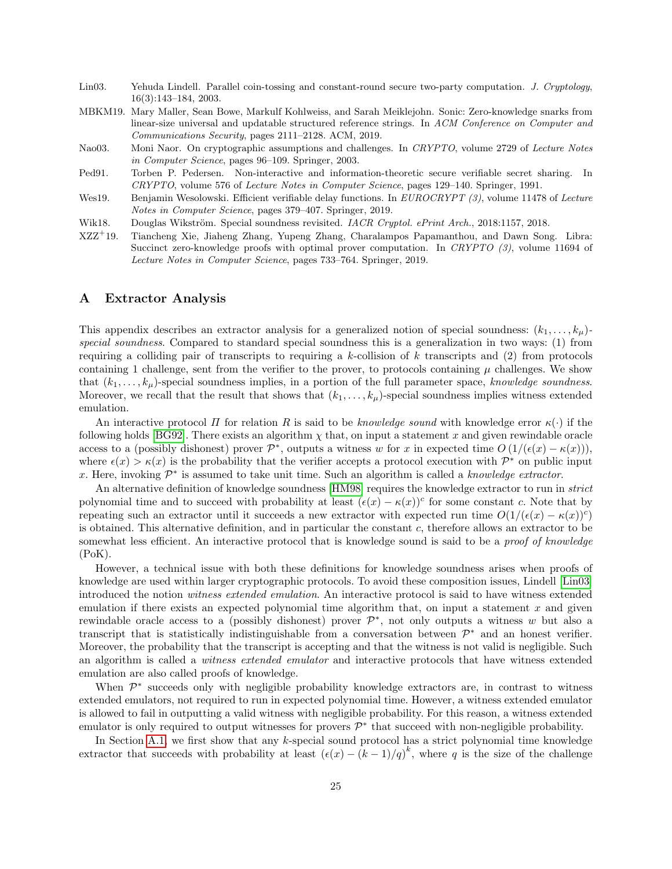- <span id="page-24-6"></span>Lin03. Yehuda Lindell. Parallel coin-tossing and constant-round secure two-party computation. J. Cryptology, 16(3):143–184, 2003.
- <span id="page-24-4"></span>MBKM19. Mary Maller, Sean Bowe, Markulf Kohlweiss, and Sarah Meiklejohn. Sonic: Zero-knowledge snarks from linear-size universal and updatable structured reference strings. In ACM Conference on Computer and Communications Security, pages 2111–2128. ACM, 2019.
- <span id="page-24-2"></span>Nao03. Moni Naor. On cryptographic assumptions and challenges. In CRYPTO, volume 2729 of Lecture Notes in Computer Science, pages 96–109. Springer, 2003.
- <span id="page-24-7"></span>Ped91. Torben P. Pedersen. Non-interactive and information-theoretic secure verifiable secret sharing. In CRYPTO, volume 576 of Lecture Notes in Computer Science, pages 129–140. Springer, 1991.
- <span id="page-24-3"></span>Wes19. Benjamin Wesolowski. Efficient verifiable delay functions. In EUROCRYPT (3), volume 11478 of Lecture Notes in Computer Science, pages 379–407. Springer, 2019.
- <span id="page-24-1"></span>Wik18. Douglas Wikström. Special soundness revisited. IACR Cryptol. ePrint Arch., 2018:1157, 2018.
- <span id="page-24-5"></span>XZZ<sup>+</sup>19. Tiancheng Xie, Jiaheng Zhang, Yupeng Zhang, Charalampos Papamanthou, and Dawn Song. Libra: Succinct zero-knowledge proofs with optimal prover computation. In CRYPTO (3), volume 11694 of Lecture Notes in Computer Science, pages 733–764. Springer, 2019.

### <span id="page-24-0"></span>A Extractor Analysis

This appendix describes an extractor analysis for a generalized notion of special soundness:  $(k_1, \ldots, k_\mu)$ special soundness. Compared to standard special soundness this is a generalization in two ways: (1) from requiring a colliding pair of transcripts to requiring a  $k$ -collision of  $k$  transcripts and (2) from protocols containing 1 challenge, sent from the verifier to the prover, to protocols containing  $\mu$  challenges. We show that  $(k_1, \ldots, k_\mu)$ -special soundness implies, in a portion of the full parameter space, knowledge soundness. Moreover, we recall that the result that shows that  $(k_1, \ldots, k_\mu)$ -special soundness implies witness extended emulation.

An interactive protocol  $\Pi$  for relation  $R$  is said to be knowledge sound with knowledge error  $\kappa(\cdot)$  if the following holds [\[BG92\]](#page-23-22). There exists an algorithm  $\chi$  that, on input a statement x and given rewindable oracle access to a (possibly dishonest) prover  $\mathcal{P}^*$ , outputs a witness w for x in expected time  $O(1/(\epsilon(x) - \kappa(x))),$ where  $\epsilon(x) > \kappa(x)$  is the probability that the verifier accepts a protocol execution with  $\mathcal{P}^*$  on public input x. Here, invoking  $\mathcal{P}^*$  is assumed to take unit time. Such an algorithm is called a knowledge extractor.

An alternative definition of knowledge soundness [\[HM98\]](#page-23-23) requires the knowledge extractor to run in *strict* polynomial time and to succeed with probability at least  $(\epsilon(x) - \kappa(x))^c$  for some constant c. Note that by repeating such an extractor until it succeeds a new extractor with expected run time  $O(1/(\epsilon(x) - \kappa(x))^c)$ is obtained. This alternative definition, and in particular the constant  $c$ , therefore allows an extractor to be somewhat less efficient. An interactive protocol that is knowledge sound is said to be a *proof of knowledge*  $(PoK)$ .

However, a technical issue with both these definitions for knowledge soundness arises when proofs of knowledge are used within larger cryptographic protocols. To avoid these composition issues, Lindell [\[Lin03\]](#page-24-6) introduced the notion witness extended emulation. An interactive protocol is said to have witness extended emulation if there exists an expected polynomial time algorithm that, on input a statement  $x$  and given rewindable oracle access to a (possibly dishonest) prover  $\mathcal{P}^*$ , not only outputs a witness w but also a transcript that is statistically indistinguishable from a conversation between  $\mathcal{P}^*$  and an honest verifier. Moreover, the probability that the transcript is accepting and that the witness is not valid is negligible. Such an algorithm is called a witness extended emulator and interactive protocols that have witness extended emulation are also called proofs of knowledge.

When  $\mathcal{P}^*$  succeeds only with negligible probability knowledge extractors are, in contrast to witness extended emulators, not required to run in expected polynomial time. However, a witness extended emulator is allowed to fail in outputting a valid witness with negligible probability. For this reason, a witness extended emulator is only required to output witnesses for provers  $\mathcal{P}^*$  that succeed with non-negligible probability.

In Section [A.1,](#page-25-0) we first show that any k-special sound protocol has a strict polynomial time knowledge extractor that succeeds with probability at least  $(\epsilon(x) - (k-1)/q)^k$ , where q is the size of the challenge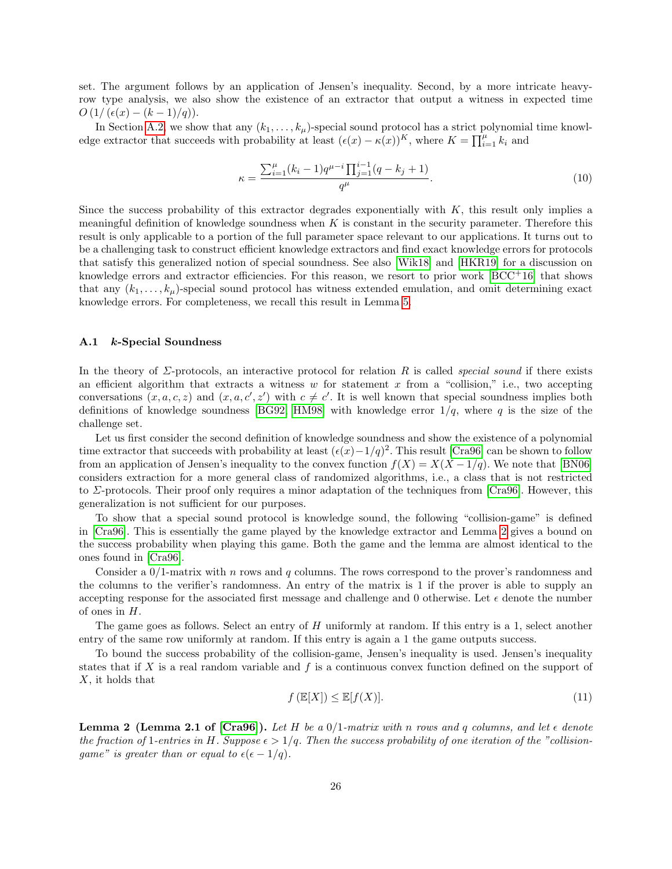set. The argument follows by an application of Jensen's inequality. Second, by a more intricate heavyrow type analysis, we also show the existence of an extractor that output a witness in expected time  $O(1/(\epsilon(x)-(k-1)/q)).$ 

In Section [A.2,](#page-28-0) we show that any  $(k_1, \ldots, k_\mu)$ -special sound protocol has a strict polynomial time knowledge extractor that succeeds with probability at least  $(\epsilon(x) - \kappa(x))^K$ , where  $K = \prod_{i=1}^{\mu} k_i$  and

$$
\kappa = \frac{\sum_{i=1}^{\mu} (k_i - 1) q^{\mu - i} \prod_{j=1}^{i-1} (q - k_j + 1)}{q^{\mu}}.
$$
\n(10)

Since the success probability of this extractor degrades exponentially with  $K$ , this result only implies a meaningful definition of knowledge soundness when  $K$  is constant in the security parameter. Therefore this result is only applicable to a portion of the full parameter space relevant to our applications. It turns out to be a challenging task to construct efficient knowledge extractors and find exact knowledge errors for protocols that satisfy this generalized notion of special soundness. See also [\[Wik18\]](#page-24-1) and [\[HKR19\]](#page-23-6) for a discussion on knowledge errors and extractor efficiencies. For this reason, we resort to prior work  $[BCC^+16]$  $[BCC^+16]$  that shows that any  $(k_1, \ldots, k_\mu)$ -special sound protocol has witness extended emulation, and omit determining exact knowledge errors. For completeness, we recall this result in Lemma [5.](#page-31-2)

### <span id="page-25-0"></span>A.1 k-Special Soundness

In the theory of  $\Sigma$ -protocols, an interactive protocol for relation R is called *special sound* if there exists an efficient algorithm that extracts a witness w for statement x from a "collision," i.e., two accepting conversations  $(x, a, c, z)$  and  $(x, a, c', z')$  with  $c \neq c'$ . It is well known that special soundness implies both definitions of knowledge soundness [\[BG92,](#page-23-22) [HM98\]](#page-23-23) with knowledge error  $1/q$ , where q is the size of the challenge set.

Let us first consider the second definition of knowledge soundness and show the existence of a polynomial time extractor that succeeds with probability at least  $(\epsilon(x)-1/q)^2$ . This result [\[Cra96\]](#page-23-4) can be shown to follow from an application of Jensen's inequality to the convex function  $f(X) = X(X - 1/q)$ . We note that [\[BN06\]](#page-23-24) considers extraction for a more general class of randomized algorithms, i.e., a class that is not restricted to  $\Sigma$ -protocols. Their proof only requires a minor adaptation of the techniques from [\[Cra96\]](#page-23-4). However, this generalization is not sufficient for our purposes.

To show that a special sound protocol is knowledge sound, the following "collision-game" is defined in [\[Cra96\]](#page-23-4). This is essentially the game played by the knowledge extractor and Lemma [2](#page-25-1) gives a bound on the success probability when playing this game. Both the game and the lemma are almost identical to the ones found in [\[Cra96\]](#page-23-4).

Consider a  $0/1$ -matrix with n rows and q columns. The rows correspond to the prover's randomness and the columns to the verifier's randomness. An entry of the matrix is 1 if the prover is able to supply an accepting response for the associated first message and challenge and 0 otherwise. Let  $\epsilon$  denote the number of ones in H.

The game goes as follows. Select an entry of  $H$  uniformly at random. If this entry is a 1, select another entry of the same row uniformly at random. If this entry is again a 1 the game outputs success.

To bound the success probability of the collision-game, Jensen's inequality is used. Jensen's inequality states that if X is a real random variable and  $f$  is a continuous convex function defined on the support of  $X$ , it holds that

$$
f\left(\mathbb{E}[X]\right) \le \mathbb{E}[f(X)].\tag{11}
$$

<span id="page-25-1"></span>**Lemma 2 (Lemma 2.1 of [\[Cra96\]](#page-23-4)).** Let H be a  $0/1$ -matrix with n rows and q columns, and let  $\epsilon$  denote the fraction of 1-entries in H. Suppose  $\epsilon > 1/q$ . Then the success probability of one iteration of the "collisiongame" is greater than or equal to  $\epsilon(\epsilon - 1/q)$ .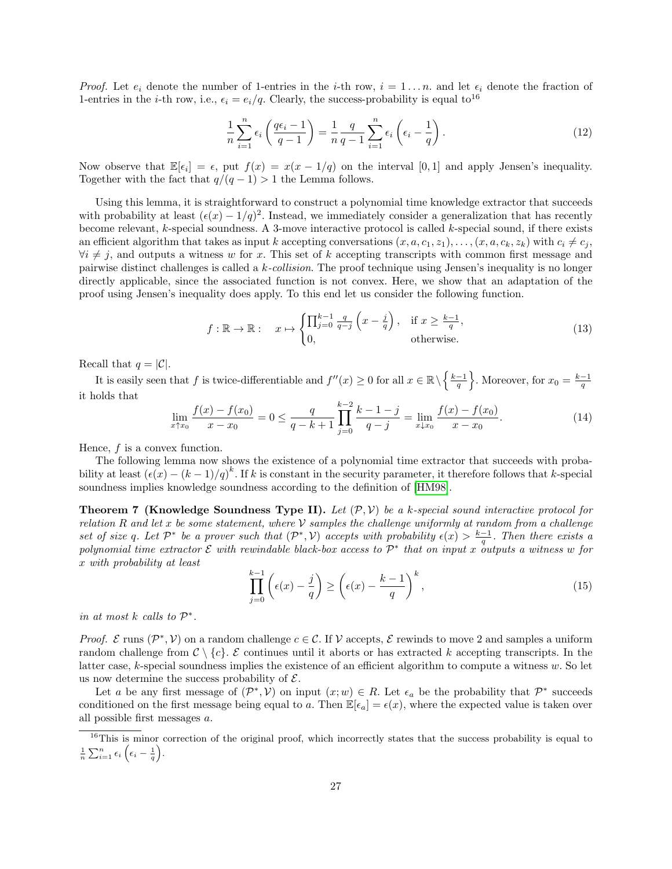*Proof.* Let  $e_i$  denote the number of 1-entries in the *i*-th row,  $i = 1 \dots n$ . and let  $\epsilon_i$  denote the fraction of 1-entries in the *i*-th row, i.e.,  $\epsilon_i = e_i/q$ . Clearly, the success-probability is equal to<sup>16</sup>

$$
\frac{1}{n}\sum_{i=1}^{n}\epsilon_{i}\left(\frac{q\epsilon_{i}-1}{q-1}\right)=\frac{1}{n}\frac{q}{q-1}\sum_{i=1}^{n}\epsilon_{i}\left(\epsilon_{i}-\frac{1}{q}\right).
$$
\n(12)

Now observe that  $\mathbb{E}[\epsilon_i] = \epsilon$ , put  $f(x) = x(x - 1/q)$  on the interval [0, 1] and apply Jensen's inequality. Together with the fact that  $q/(q-1) > 1$  the Lemma follows.

Using this lemma, it is straightforward to construct a polynomial time knowledge extractor that succeeds with probability at least  $(\epsilon(x) - 1/q)^2$ . Instead, we immediately consider a generalization that has recently become relevant, k-special soundness. A 3-move interactive protocol is called k-special sound, if there exists an efficient algorithm that takes as input k accepting conversations  $(x, a, c_1, z_1), \ldots, (x, a, c_k, z_k)$  with  $c_i \neq c_j$ ,  $\forall i \neq j$ , and outputs a witness w for x. This set of k accepting transcripts with common first message and pairwise distinct challenges is called a k-collision. The proof technique using Jensen's inequality is no longer directly applicable, since the associated function is not convex. Here, we show that an adaptation of the proof using Jensen's inequality does apply. To this end let us consider the following function.

<span id="page-26-0"></span>
$$
f: \mathbb{R} \to \mathbb{R}: \quad x \mapsto \begin{cases} \prod_{j=0}^{k-1} \frac{q}{q-j} \left( x - \frac{j}{q} \right), & \text{if } x \ge \frac{k-1}{q}, \\ 0, & \text{otherwise.} \end{cases}
$$
(13)

Recall that  $q = |\mathcal{C}|$ .

It is easily seen that f is twice-differentiable and  $f''(x) \geq 0$  for all  $x \in \mathbb{R} \setminus \left\{ \frac{k-1}{q} \right\}$ . Moreover, for  $x_0 = \frac{k-1}{q}$ it holds that

$$
\lim_{x \uparrow x_0} \frac{f(x) - f(x_0)}{x - x_0} = 0 \le \frac{q}{q - k + 1} \prod_{j=0}^{k-2} \frac{k - 1 - j}{q - j} = \lim_{x \downarrow x_0} \frac{f(x) - f(x_0)}{x - x_0}.
$$
\n(14)

Hence,  $f$  is a convex function.

The following lemma now shows the existence of a polynomial time extractor that succeeds with probability at least  $(\epsilon(x) - (k-1)/q)^k$ . If k is constant in the security parameter, it therefore follows that k-special soundness implies knowledge soundness according to the definition of [\[HM98\]](#page-23-23).

<span id="page-26-1"></span>**Theorem 7 (Knowledge Soundness Type II).** Let  $(\mathcal{P}, \mathcal{V})$  be a k-special sound interactive protocol for relation R and let x be some statement, where V samples the challenge uniformly at random from a challenge set of size q. Let  $\mathcal{P}^*$  be a prover such that  $(\mathcal{P}^*, V)$  accepts with probability  $\epsilon(x) > \frac{k-1}{q}$ . Then there exists a polynomial time extractor  $\mathcal E$  with rewindable black-box access to  $\mathcal P^*$  that on input x outputs a witness w for x with probability at least

$$
\prod_{j=0}^{k-1} \left( \epsilon(x) - \frac{j}{q} \right) \ge \left( \epsilon(x) - \frac{k-1}{q} \right)^k,
$$
\n(15)

in at most  $k$  calls to  $\mathcal{P}^*$ .

*Proof.*  $\mathcal{E}$  runs  $(\mathcal{P}^*, \mathcal{V})$  on a random challenge  $c \in \mathcal{C}$ . If  $\mathcal{V}$  accepts,  $\mathcal{E}$  rewinds to move 2 and samples a uniform random challenge from  $C \setminus \{c\}$ . E continues until it aborts or has extracted k accepting transcripts. In the latter case, k-special soundness implies the existence of an efficient algorithm to compute a witness w. So let us now determine the success probability of  $\mathcal{E}.$ 

Let a be any first message of  $(\mathcal{P}^*, \mathcal{V})$  on input  $(x; w) \in R$ . Let  $\epsilon_a$  be the probability that  $\mathcal{P}^*$  succeeds conditioned on the first message being equal to a. Then  $\mathbb{E}[\epsilon_a] = \epsilon(x)$ , where the expected value is taken over all possible first messages a.

<sup>&</sup>lt;sup>16</sup>This is minor correction of the original proof, which incorrectly states that the success probability is equal to  $\frac{1}{n}\sum_{i=1}^n \epsilon_i \left(\epsilon_i - \frac{1}{q}\right).$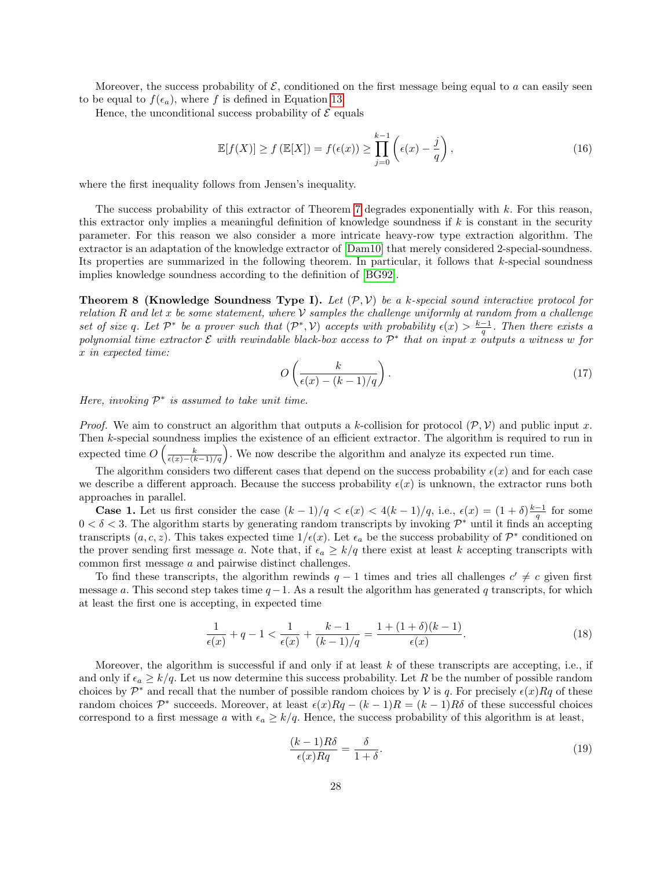Moreover, the success probability of  $\mathcal{E}$ , conditioned on the first message being equal to a can easily seen to be equal to  $f(\epsilon_a)$ , where f is defined in Equation [13.](#page-26-0)

Hence, the unconditional success probability of  $\mathcal E$  equals

$$
\mathbb{E}[f(X)] \ge f(\mathbb{E}[X]) = f(\epsilon(x)) \ge \prod_{j=0}^{k-1} \left(\epsilon(x) - \frac{j}{q}\right),\tag{16}
$$

where the first inequality follows from Jensen's inequality.

The success probability of this extractor of Theorem [7](#page-26-1) degrades exponentially with k. For this reason, this extractor only implies a meaningful definition of knowledge soundness if  $k$  is constant in the security parameter. For this reason we also consider a more intricate heavy-row type extraction algorithm. The extractor is an adaptation of the knowledge extractor of [\[Dam10\]](#page-23-5) that merely considered 2-special-soundness. Its properties are summarized in the following theorem. In particular, it follows that k-special soundness implies knowledge soundness according to the definition of [\[BG92\]](#page-23-22).

**Theorem 8 (Knowledge Soundness Type I).** Let  $(\mathcal{P}, \mathcal{V})$  be a k-special sound interactive protocol for relation R and let x be some statement, where V samples the challenge uniformly at random from a challenge set of size q. Let  $\mathcal{P}^*$  be a prover such that  $(\mathcal{P}^*, V)$  accepts with probability  $\epsilon(x) > \frac{k-1}{q}$ . Then there exists a polynomial time extractor  $\mathcal E$  with rewindable black-box access to  $\mathcal P^*$  that on input x outputs a witness w for x in expected time:

$$
O\left(\frac{k}{\epsilon(x) - (k-1)/q}\right). \tag{17}
$$

Here, invoking  $\mathcal{P}^*$  is assumed to take unit time.

*Proof.* We aim to construct an algorithm that outputs a k-collision for protocol  $(\mathcal{P}, \mathcal{V})$  and public input x. Then k-special soundness implies the existence of an efficient extractor. The algorithm is required to run in expected time  $O\left(\frac{k}{\epsilon(x)-(k-1)/q}\right)$ . We now describe the algorithm and analyze its expected run time.

The algorithm considers two different cases that depend on the success probability  $\epsilon(x)$  and for each case we describe a different approach. Because the success probability  $\epsilon(x)$  is unknown, the extractor runs both approaches in parallel.

**Case 1.** Let us first consider the case  $(k-1)/q < \epsilon(x) < 4(k-1)/q$ , i.e.,  $\epsilon(x) = (1+\delta)\frac{k-1}{q}$  for some  $0 < \delta < 3$ . The algorithm starts by generating random transcripts by invoking  $\mathcal{P}^*$  until it finds an accepting transcripts  $(a, c, z)$ . This takes expected time  $1/\epsilon(x)$ . Let  $\epsilon_a$  be the success probability of  $\mathcal{P}^*$  conditioned on the prover sending first message a. Note that, if  $\epsilon_a \geq k/q$  there exist at least k accepting transcripts with common first message a and pairwise distinct challenges.

To find these transcripts, the algorithm rewinds  $q-1$  times and tries all challenges  $c' \neq c$  given first message a. This second step takes time  $q-1$ . As a result the algorithm has generated q transcripts, for which at least the first one is accepting, in expected time

$$
\frac{1}{\epsilon(x)} + q - 1 < \frac{1}{\epsilon(x)} + \frac{k - 1}{(k - 1)/q} = \frac{1 + (1 + \delta)(k - 1)}{\epsilon(x)}.\tag{18}
$$

Moreover, the algorithm is successful if and only if at least  $k$  of these transcripts are accepting, i.e., if and only if  $\epsilon_a \geq k/q$ . Let us now determine this success probability. Let R be the number of possible random choices by  $\mathcal{P}^*$  and recall that the number of possible random choices by V is q. For precisely  $\epsilon(x)Rq$  of these random choices  $\mathcal{P}^*$  succeeds. Moreover, at least  $\epsilon(x)Rq - (k-1)R = (k-1)R\delta$  of these successful choices correspond to a first message a with  $\epsilon_a \geq k/q$ . Hence, the success probability of this algorithm is at least,

$$
\frac{(k-1)R\delta}{\epsilon(x)Rq} = \frac{\delta}{1+\delta}.\tag{19}
$$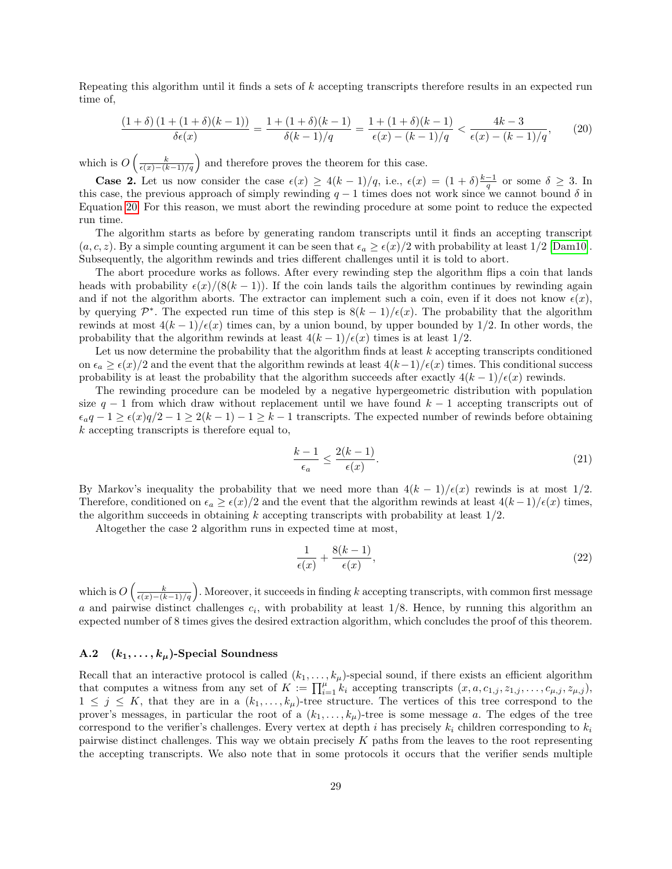Repeating this algorithm until it finds a sets of k accepting transcripts therefore results in an expected run time of,

<span id="page-28-1"></span>
$$
\frac{(1+\delta)(1+(1+\delta)(k-1))}{\delta\epsilon(x)} = \frac{1+(1+\delta)(k-1)}{\delta(k-1)/q} = \frac{1+(1+\delta)(k-1)}{\epsilon(x)-(k-1)/q} < \frac{4k-3}{\epsilon(x)-(k-1)/q},\tag{20}
$$

which is  $O\left(\frac{k}{\epsilon(x)-(k-1)/q}\right)$  and therefore proves the theorem for this case.

**Case 2.** Let us now consider the case  $\epsilon(x) \geq 4(k-1)/q$ , i.e.,  $\epsilon(x) = (1+\delta)\frac{k-1}{q}$  or some  $\delta \geq 3$ . In this case, the previous approach of simply rewinding  $q - 1$  times does not work since we cannot bound  $\delta$  in Equation [20.](#page-28-1) For this reason, we must abort the rewinding procedure at some point to reduce the expected run time.

The algorithm starts as before by generating random transcripts until it finds an accepting transcript  $(a, c, z)$ . By a simple counting argument it can be seen that  $\epsilon_a \geq \frac{\epsilon(x)}{2}$  with probability at least  $1/2$  [\[Dam10\]](#page-23-5). Subsequently, the algorithm rewinds and tries different challenges until it is told to abort.

The abort procedure works as follows. After every rewinding step the algorithm flips a coin that lands heads with probability  $\epsilon(x)/(8(k-1))$ . If the coin lands tails the algorithm continues by rewinding again and if not the algorithm aborts. The extractor can implement such a coin, even if it does not know  $\epsilon(x)$ , by querying  $\mathcal{P}^*$ . The expected run time of this step is  $8(k-1)/\epsilon(x)$ . The probability that the algorithm rewinds at most  $4(k-1)/\epsilon(x)$  times can, by a union bound, by upper bounded by 1/2. In other words, the probability that the algorithm rewinds at least  $4(k-1)/\epsilon(x)$  times is at least 1/2.

Let us now determine the probability that the algorithm finds at least  $k$  accepting transcripts conditioned on  $\epsilon_a \geq \epsilon(x)/2$  and the event that the algorithm rewinds at least  $4(k-1)/\epsilon(x)$  times. This conditional success probability is at least the probability that the algorithm succeeds after exactly  $4(k-1)/\epsilon(x)$  rewinds.

The rewinding procedure can be modeled by a negative hypergeometric distribution with population size  $q - 1$  from which draw without replacement until we have found  $k - 1$  accepting transcripts out of  $\epsilon_a q - 1 \geq \epsilon(x)q/2 - 1 \geq 2(k-1) - 1 \geq k-1$  transcripts. The expected number of rewinds before obtaining k accepting transcripts is therefore equal to,

$$
\frac{k-1}{\epsilon_a} \le \frac{2(k-1)}{\epsilon(x)}.\tag{21}
$$

By Markov's inequality the probability that we need more than  $4(k-1)/\epsilon(x)$  rewinds is at most  $1/2$ . Therefore, conditioned on  $\epsilon_a \geq \epsilon(x)/2$  and the event that the algorithm rewinds at least  $4(k-1)/\epsilon(x)$  times, the algorithm succeeds in obtaining k accepting transcripts with probability at least  $1/2$ .

Altogether the case 2 algorithm runs in expected time at most,

$$
\frac{1}{\epsilon(x)} + \frac{8(k-1)}{\epsilon(x)},\tag{22}
$$

which is  $O\left(\frac{k}{\epsilon(x)-(k-1)/q}\right)$ . Moreover, it succeeds in finding k accepting transcripts, with common first message a and pairwise distinct challenges  $c_i$ , with probability at least  $1/8$ . Hence, by running this algorithm an expected number of 8 times gives the desired extraction algorithm, which concludes the proof of this theorem.

## <span id="page-28-0"></span>A.2  $(k_1, \ldots, k_\mu)$ -Special Soundness

Recall that an interactive protocol is called  $(k_1, \ldots, k_\mu)$ -special sound, if there exists an efficient algorithm that computes a witness from any set of  $K := \prod_{i=1}^{\mu} k_i$  accepting transcripts  $(x, a, c_{1,j}, z_{1,j}, \ldots, c_{\mu,j}, z_{\mu,j})$ ,  $1 \leq j \leq K$ , that they are in a  $(k_1,\ldots,k_\mu)$ -tree structure. The vertices of this tree correspond to the prover's messages, in particular the root of a  $(k_1, \ldots, k_\mu)$ -tree is some message a. The edges of the tree correspond to the verifier's challenges. Every vertex at depth i has precisely  $k_i$  children corresponding to  $k_i$ pairwise distinct challenges. This way we obtain precisely K paths from the leaves to the root representing the accepting transcripts. We also note that in some protocols it occurs that the verifier sends multiple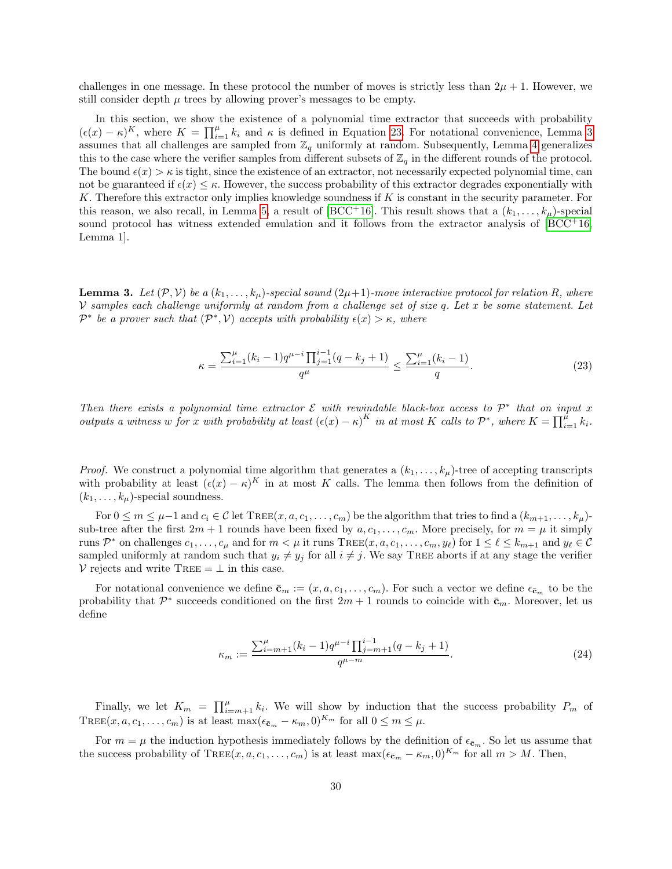challenges in one message. In these protocol the number of moves is strictly less than  $2\mu + 1$ . However, we still consider depth  $\mu$  trees by allowing prover's messages to be empty.

In this section, we show the existence of a polynomial time extractor that succeeds with probability  $(\epsilon(x) - \kappa)^K$ , where  $K = \prod_{i=1}^{\mu} k_i$  and  $\kappa$  is defined in Equation [23.](#page-29-0) For notational convenience, Lemma [3](#page-29-1) assumes that all challenges are sampled from  $\mathbb{Z}_q$  uniformly at random. Subsequently, Lemma [4](#page-30-0) generalizes this to the case where the verifier samples from different subsets of  $\mathbb{Z}_q$  in the different rounds of the protocol. The bound  $\epsilon(x) > \kappa$  is tight, since the existence of an extractor, not necessarily expected polynomial time, can not be guaranteed if  $\epsilon(x) \leq \kappa$ . However, the success probability of this extractor degrades exponentially with K. Therefore this extractor only implies knowledge soundness if  $K$  is constant in the security parameter. For this reason, we also recall, in Lemma [5,](#page-31-2) a result of [\[BCC](#page-23-0)+16]. This result shows that a  $(k_1, \ldots, k_\mu)$ -special sound protocol has witness extended emulation and it follows from the extractor analysis of  $[BCC^+16$  $[BCC^+16$ , Lemma 1].

<span id="page-29-1"></span>**Lemma 3.** Let  $(\mathcal{P}, \mathcal{V})$  be a  $(k_1, \ldots, k_\mu)$ -special sound  $(2\mu+1)$ -move interactive protocol for relation R, where V samples each challenge uniformly at random from a challenge set of size  $q$ . Let  $x$  be some statement. Let  $\mathcal{P}^*$  be a prover such that  $(\mathcal{P}^*, \mathcal{V})$  accepts with probability  $\epsilon(x) > \kappa$ , where

<span id="page-29-0"></span>
$$
\kappa = \frac{\sum_{i=1}^{\mu} (k_i - 1) q^{\mu - i} \prod_{j=1}^{i-1} (q - k_j + 1)}{q^{\mu}} \le \frac{\sum_{i=1}^{\mu} (k_i - 1)}{q}.
$$
\n(23)

Then there exists a polynomial time extractor  $\mathcal E$  with rewindable black-box access to  $\mathcal P^*$  that on input x outputs a witness w for x with probability at least  $(\epsilon(x) - \kappa)^K$  in at most K calls to  $\mathcal{P}^*$ , where  $K = \prod_{i=1}^{\hat{\mu}} k_i$ .

*Proof.* We construct a polynomial time algorithm that generates a  $(k_1, \ldots, k_\mu)$ -tree of accepting transcripts with probability at least  $(\epsilon(x) - \kappa)^K$  in at most K calls. The lemma then follows from the definition of  $(k_1, \ldots, k_\mu)$ -special soundness.

For  $0 \le m \le \mu-1$  and  $c_i \in \mathcal{C}$  let TREE $(x, a, c_1, \ldots, c_m)$  be the algorithm that tries to find a  $(k_{m+1}, \ldots, k_{\mu})$ sub-tree after the first  $2m + 1$  rounds have been fixed by  $a, c_1, \ldots, c_m$ . More precisely, for  $m = \mu$  it simply runs  $\mathcal{P}^*$  on challenges  $c_1, \ldots, c_\mu$  and for  $m < \mu$  it runs  $\text{Tree}(x, a, c_1, \ldots, c_m, y_\ell)$  for  $1 \leq \ell \leq k_{m+1}$  and  $y_\ell \in \mathcal{C}$ sampled uniformly at random such that  $y_i \neq y_j$  for all  $i \neq j$ . We say TREE aborts if at any stage the verifier  $V$  rejects and write TREE =  $\perp$  in this case.

For notational convenience we define  $\bar{\mathbf{c}}_m := (x, a, c_1, \dots, c_m)$ . For such a vector we define  $\epsilon_{\bar{\mathbf{c}}_m}$  to be the probability that  $\mathcal{P}^*$  succeeds conditioned on the first  $2m+1$  rounds to coincide with  $\bar{\mathbf{c}}_m$ . Moreover, let us define

$$
\kappa_m := \frac{\sum_{i=m+1}^{\mu} (k_i - 1) q^{\mu - i} \prod_{j=m+1}^{i-1} (q - k_j + 1)}{q^{\mu - m}}.
$$
\n(24)

Finally, we let  $K_m = \prod_{i=m+1}^{\mu} k_i$ . We will show by induction that the success probability  $P_m$  of TREE $(x, a, c_1, \ldots, c_m)$  is at least  $\max(\epsilon_{\bar{c}_m} - \kappa_m, 0)^{K_m}$  for all  $0 \le m \le \mu$ .

For  $m = \mu$  the induction hypothesis immediately follows by the definition of  $\epsilon_{\bar{c}_m}$ . So let us assume that the success probability of TREE $(x, a, c_1, \ldots, c_m)$  is at least max $(\epsilon_{\bar{c}_m} - \kappa_m, 0)^{K_m}$  for all  $m > M$ . Then,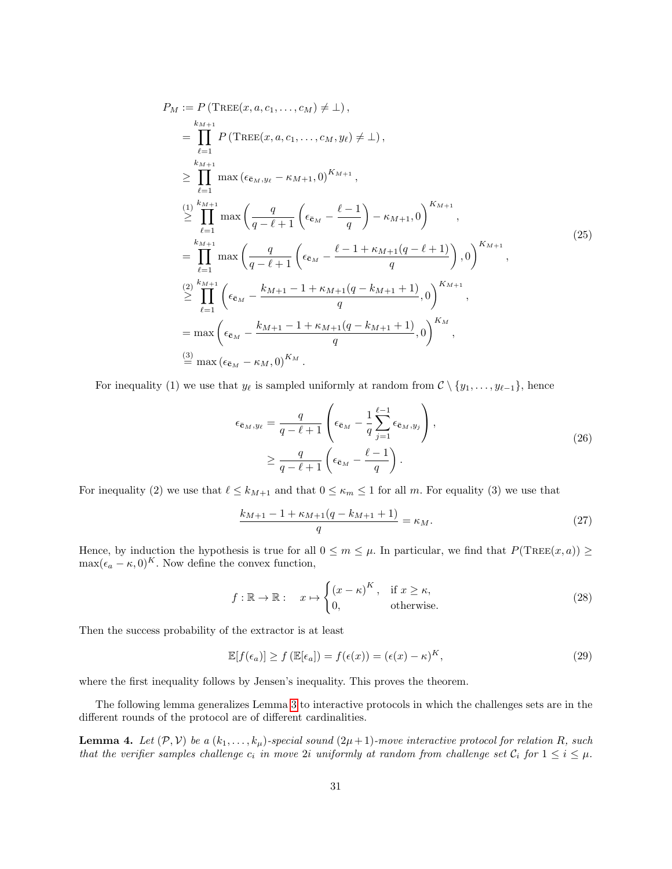$$
P_{M} := P(\text{TREE}(x, a, c_{1},...,c_{M}) \neq \bot),
$$
\n
$$
= \prod_{\ell=1}^{k_{M+1}} P(\text{TREE}(x, a, c_{1},...,c_{M}, y_{\ell}) \neq \bot),
$$
\n
$$
\geq \prod_{\ell=1}^{k_{M+1}} \max (\epsilon_{\bar{c}_{M}, y_{\ell}} - \kappa_{M+1}, 0)^{K_{M+1}},
$$
\n
$$
\geq \prod_{\ell=1}^{(1)} \max \left( \frac{q}{q - \ell + 1} \left( \epsilon_{\bar{c}_{M}} - \frac{\ell - 1}{q} \right) - \kappa_{M+1}, 0 \right)^{K_{M+1}},
$$
\n
$$
= \prod_{\ell=1}^{k_{M+1}} \max \left( \frac{q}{q - \ell + 1} \left( \epsilon_{\bar{c}_{M}} - \frac{\ell - 1 + \kappa_{M+1}(q - \ell + 1)}{q} \right), 0 \right)^{K_{M+1}},
$$
\n
$$
\geq \prod_{\ell=1}^{(2)} \left( \epsilon_{\bar{c}_{M}} - \frac{k_{M+1} - 1 + \kappa_{M+1}(q - k_{M+1} + 1)}{q}, 0 \right)^{K_{M+1}},
$$
\n
$$
= \max \left( \epsilon_{\bar{c}_{M}} - \frac{k_{M+1} - 1 + \kappa_{M+1}(q - k_{M+1} + 1)}{q}, 0 \right)^{K_{M}},
$$
\n
$$
\stackrel{(3)}{=} \max (\epsilon_{\bar{c}_{M}} - \kappa_{M}, 0)^{K_{M}}.
$$

For inequality (1) we use that  $y_\ell$  is sampled uniformly at random from  $\mathcal{C} \setminus \{y_1, \ldots, y_{\ell-1}\}\$ , hence

$$
\epsilon_{\bar{\mathbf{c}}_M, y_\ell} = \frac{q}{q - \ell + 1} \left( \epsilon_{\bar{\mathbf{c}}_M} - \frac{1}{q} \sum_{j=1}^{\ell-1} \epsilon_{\bar{\mathbf{c}}_M, y_j} \right),
$$
\n
$$
\geq \frac{q}{q - \ell + 1} \left( \epsilon_{\bar{\mathbf{c}}_M} - \frac{\ell - 1}{q} \right).
$$
\n(26)

For inequality (2) we use that  $\ell \leq k_{M+1}$  and that  $0 \leq \kappa_m \leq 1$  for all m. For equality (3) we use that

$$
\frac{k_{M+1} - 1 + \kappa_{M+1}(q - k_{M+1} + 1)}{q} = \kappa_M.
$$
\n(27)

Hence, by induction the hypothesis is true for all  $0 \le m \le \mu$ . In particular, we find that  $P(\text{Tree}(x, a)) \ge$  $\max(\epsilon_a - \kappa, 0)^K$ . Now define the convex function,

$$
f: \mathbb{R} \to \mathbb{R}: \quad x \mapsto \begin{cases} (x - \kappa)^K, & \text{if } x \ge \kappa, \\ 0, & \text{otherwise.} \end{cases}
$$
 (28)

Then the success probability of the extractor is at least

$$
\mathbb{E}[f(\epsilon_a)] \ge f(\mathbb{E}[\epsilon_a]) = f(\epsilon(x)) = (\epsilon(x) - \kappa)^K,
$$
\n(29)

where the first inequality follows by Jensen's inequality. This proves the theorem.

The following lemma generalizes Lemma [3](#page-29-1) to interactive protocols in which the challenges sets are in the different rounds of the protocol are of different cardinalities.

<span id="page-30-0"></span>**Lemma 4.** Let  $(\mathcal{P}, \mathcal{V})$  be a  $(k_1, \ldots, k_\mu)$ -special sound  $(2\mu+1)$ -move interactive protocol for relation R, such that the verifier samples challenge  $c_i$  in move 2i uniformly at random from challenge set  $C_i$  for  $1 \leq i \leq \mu$ .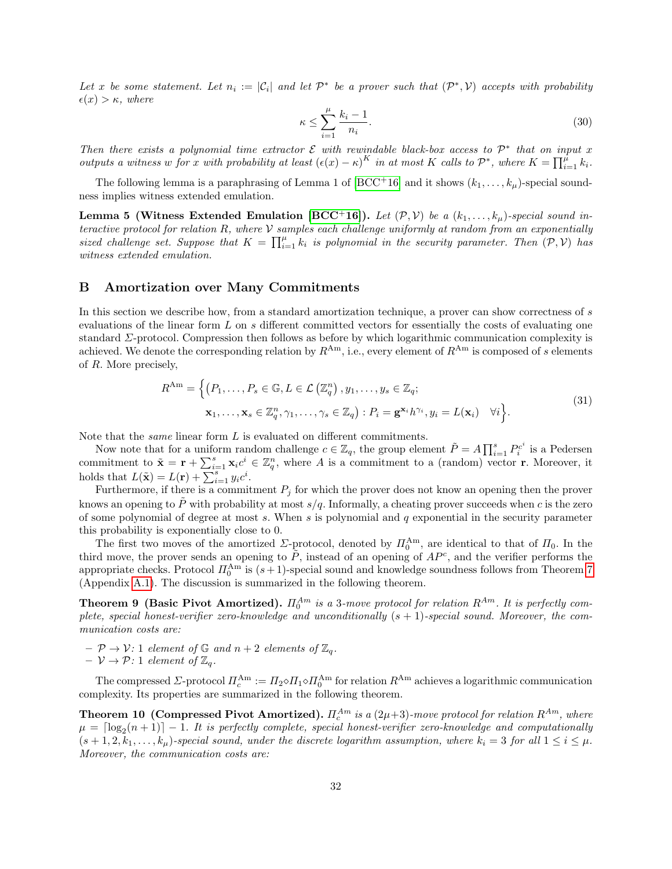Let x be some statement. Let  $n_i := |\mathcal{C}_i|$  and let  $\mathcal{P}^*$  be a prover such that  $(\mathcal{P}^*, \mathcal{V})$  accepts with probability  $\epsilon(x) > \kappa$ , where

$$
\kappa \le \sum_{i=1}^{\mu} \frac{k_i - 1}{n_i}.\tag{30}
$$

Then there exists a polynomial time extractor  $\mathcal E$  with rewindable black-box access to  $\mathcal P^*$  that on input x outputs a witness w for x with probability at least  $(\epsilon(x) - \kappa)^K$  in at most K calls to  $\mathcal{P}^*$ , where  $K = \prod_{i=1}^{\hat{\mu}} k_i$ .

The following lemma is a paraphrasing of Lemma 1 of  $[BCC^+16]$  $[BCC^+16]$  and it shows  $(k_1, \ldots, k_\mu)$ -special soundness implies witness extended emulation.

<span id="page-31-2"></span>**Lemma 5 (Witness Extended Emulation [\[BCC](#page-23-0)+16]).** Let  $(\mathcal{P}, \mathcal{V})$  be a  $(k_1, \ldots, k_\mu)$ -special sound interactive protocol for relation  $R$ , where  $\mathcal V$  samples each challenge uniformly at random from an exponentially sized challenge set. Suppose that  $K = \prod_{i=1}^{\mu} k_i$  is polynomial in the security parameter. Then  $(\mathcal{P}, \mathcal{V})$  has witness extended emulation.

### <span id="page-31-0"></span>B Amortization over Many Commitments

In this section we describe how, from a standard amortization technique, a prover can show correctness of s evaluations of the linear form L on s different committed vectors for essentially the costs of evaluating one standard Σ-protocol. Compression then follows as before by which logarithmic communication complexity is achieved. We denote the corresponding relation by  $R^{Am}$ , i.e., every element of  $R^{Am}$  is composed of s elements of R. More precisely,

$$
R^{\text{Am}} = \left\{ (P_1, \dots, P_s \in \mathbb{G}, L \in \mathcal{L}(\mathbb{Z}_q^n), y_1, \dots, y_s \in \mathbb{Z}_q; \mathbf{x}_1, \dots, \mathbf{x}_s \in \mathbb{Z}_q^n, \gamma_1, \dots, \gamma_s \in \mathbb{Z}_q \right\} : P_i = \mathbf{g}^{\mathbf{x}_i} h^{\gamma_i}, y_i = L(\mathbf{x}_i) \quad \forall i \right\}.
$$
\n
$$
(31)
$$

Note that the same linear form L is evaluated on different commitments.

Now note that for a uniform random challenge  $c \in \mathbb{Z}_q$ , the group element  $\tilde{P} = A \prod_{i=1}^s P_i^{c^i}$  is a Pedersen commitment to  $\tilde{\mathbf{x}} = \mathbf{r} + \sum_{i=1}^{s} \mathbf{x}_i c^i \in \mathbb{Z}_q^n$ , where A is a commitment to a (random) vector **r**. Moreover, it holds that  $L(\tilde{\mathbf{x}}) = L(\mathbf{r}) + \sum_{i=1}^{s} y_i c^i$ .

Furthermore, if there is a commitment  $P_j$  for which the prover does not know an opening then the prover knows an opening to P with probability at most  $s/q$ . Informally, a cheating prover succeeds when c is the zero of some polynomial of degree at most  $s$ . When  $s$  is polynomial and  $q$  exponential in the security parameter this probability is exponentially close to 0.

The first two moves of the amortized  $\Sigma$ -protocol, denoted by  $\Pi_0^{\text{Am}}$ , are identical to that of  $\Pi_0$ . In the third move, the prover sends an opening to  $\tilde{P}$ , instead of an opening of  $AP<sup>c</sup>$ , and the verifier performs the appropriate checks. Protocol  $\Pi_0^{\text{Am}}$  is  $(s+1)$ -special sound and knowledge soundness follows from Theorem [7](#page-26-1) (Appendix [A.1\)](#page-25-0). The discussion is summarized in the following theorem.

<span id="page-31-1"></span>**Theorem 9 (Basic Pivot Amortized).**  $\Pi_0^{Am}$  is a 3-move protocol for relation  $R^{Am}$ . It is perfectly complete, special honest-verifier zero-knowledge and unconditionally  $(s + 1)$ -special sound. Moreover, the communication costs are:

- $\mathcal{P} \rightarrow \mathcal{V}$ : 1 element of  $\mathbb{G}$  and  $n+2$  elements of  $\mathbb{Z}_q$ .
- $V \rightarrow \mathcal{P}$ : 1 element of  $\mathbb{Z}_q$ .

The compressed  $\Sigma$ -protocol  $\Pi_c^{\text{Am}} := \Pi_2 \diamond \Pi_1 \diamond \Pi_0^{\text{Am}}$  for relation  $R^{\text{Am}}$  achieves a logarithmic communication complexity. Its properties are summarized in the following theorem.

**Theorem 10 (Compressed Pivot Amortized).**  $\Pi_c^{Am}$  is a (2 $\mu$ +3)-move protocol for relation  $R^{Am}$ , where  $\mu = \lceil \log_2(n+1) \rceil - 1$ . It is perfectly complete, special honest-verifier zero-knowledge and computationally  $(s + 1, 2, k_1, \ldots, k_\mu)$ -special sound, under the discrete logarithm assumption, where  $k_i = 3$  for all  $1 \leq i \leq \mu$ . Moreover, the communication costs are: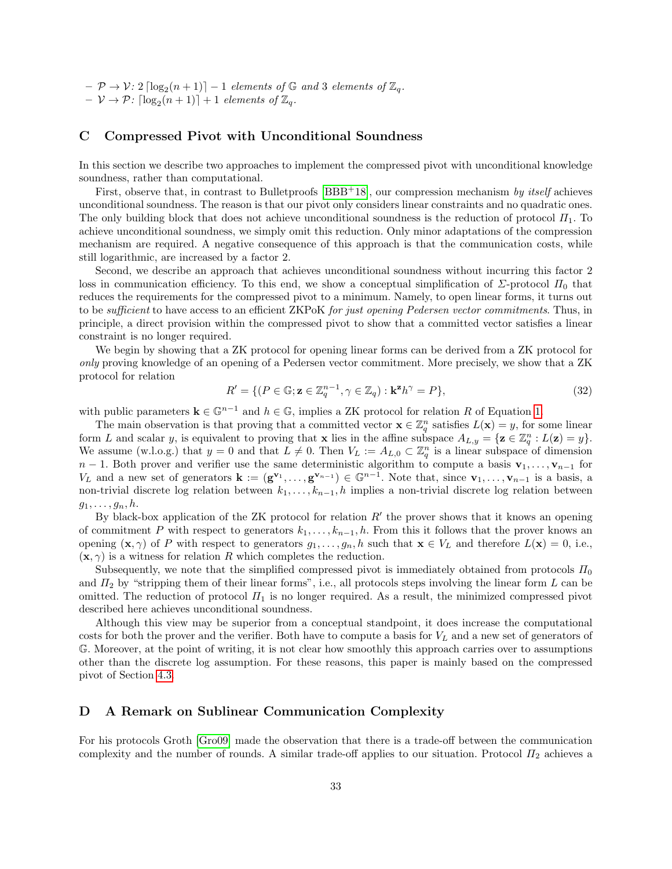$- \mathcal{P} \rightarrow \mathcal{V}$ : 2  $\lceil \log_2(n+1) \rceil - 1$  elements of  $\mathbb{G}$  and 3 elements of  $\mathbb{Z}_q$ .  $- \nu \rightarrow \mathcal{P}$ :  $\lceil \log_2(n+1) \rceil + 1$  elements of  $\mathbb{Z}_q$ .

### <span id="page-32-0"></span>C Compressed Pivot with Unconditional Soundness

In this section we describe two approaches to implement the compressed pivot with unconditional knowledge soundness, rather than computational.

First, observe that, in contrast to Bulletproofs  $[BBB<sup>+</sup>18]$  $[BBB<sup>+</sup>18]$ , our compression mechanism by itself achieves unconditional soundness. The reason is that our pivot only considers linear constraints and no quadratic ones. The only building block that does not achieve unconditional soundness is the reduction of protocol  $\Pi_1$ . To achieve unconditional soundness, we simply omit this reduction. Only minor adaptations of the compression mechanism are required. A negative consequence of this approach is that the communication costs, while still logarithmic, are increased by a factor 2.

Second, we describe an approach that achieves unconditional soundness without incurring this factor 2 loss in communication efficiency. To this end, we show a conceptual simplification of  $\Sigma$ -protocol  $\Pi_0$  that reduces the requirements for the compressed pivot to a minimum. Namely, to open linear forms, it turns out to be *sufficient* to have access to an efficient ZKPoK for just opening Pedersen vector commitments. Thus, in principle, a direct provision within the compressed pivot to show that a committed vector satisfies a linear constraint is no longer required.

We begin by showing that a ZK protocol for opening linear forms can be derived from a ZK protocol for only proving knowledge of an opening of a Pedersen vector commitment. More precisely, we show that a ZK protocol for relation

$$
R' = \{ (P \in \mathbb{G}; \mathbf{z} \in \mathbb{Z}_q^{n-1}, \gamma \in \mathbb{Z}_q) : \mathbf{k}^{\mathbf{z}} h^{\gamma} = P \},\tag{32}
$$

with public parameters  $\mathbf{k} \in \mathbb{G}^{n-1}$  and  $h \in \mathbb{G}$ , implies a ZK protocol for relation R of Equation [1.](#page-9-2)

The main observation is that proving that a committed vector  $\mathbf{x} \in \mathbb{Z}_q^n$  satisfies  $L(\mathbf{x}) = y$ , for some linear form L and scalar y, is equivalent to proving that **x** lies in the affine subspace  $A_{L,y} = \{ \mathbf{z} \in \mathbb{Z}_q^n : L(\mathbf{z}) = y \}.$ We assume (w.l.o.g.) that  $y = 0$  and that  $L \neq 0$ . Then  $V_L := A_{L,0} \subset \mathbb{Z}_q^n$  is a linear subspace of dimension  $n-1$ . Both prover and verifier use the same deterministic algorithm to compute a basis  $\mathbf{v}_1, \ldots, \mathbf{v}_{n-1}$  for  $V_L$  and a new set of generators  $\mathbf{k} := (\mathbf{g}^{\mathbf{v}_1}, \ldots, \mathbf{g}^{\mathbf{v}_{n-1}}) \in \mathbb{G}^{n-1}$ . Note that, since  $\mathbf{v}_1, \ldots, \mathbf{v}_{n-1}$  is a basis, a non-trivial discrete log relation between  $k_1, \ldots, k_{n-1}, h$  implies a non-trivial discrete log relation between  $g_1, \ldots, g_n, h$ .

By black-box application of the ZK protocol for relation  $R'$  the prover shows that it knows an opening of commitment P with respect to generators  $k_1, \ldots, k_{n-1}, h$ . From this it follows that the prover knows an opening  $(\mathbf{x}, \gamma)$  of P with respect to generators  $g_1, \ldots, g_n, h$  such that  $\mathbf{x} \in V_L$  and therefore  $L(\mathbf{x}) = 0$ , i.e.,  $(\mathbf{x}, \gamma)$  is a witness for relation R which completes the reduction.

Subsequently, we note that the simplified compressed pivot is immediately obtained from protocols  $\Pi_0$ and  $\Pi_2$  by "stripping them of their linear forms", i.e., all protocols steps involving the linear form L can be omitted. The reduction of protocol  $\Pi_1$  is no longer required. As a result, the minimized compressed pivot described here achieves unconditional soundness.

Although this view may be superior from a conceptual standpoint, it does increase the computational costs for both the prover and the verifier. Both have to compute a basis for  $V_L$  and a new set of generators of G. Moreover, at the point of writing, it is not clear how smoothly this approach carries over to assumptions other than the discrete log assumption. For these reasons, this paper is mainly based on the compressed pivot of Section [4.3.](#page-13-2)

### <span id="page-32-1"></span>D A Remark on Sublinear Communication Complexity

For his protocols Groth [\[Gro09\]](#page-23-15) made the observation that there is a trade-off between the communication complexity and the number of rounds. A similar trade-off applies to our situation. Protocol  $\Pi_2$  achieves a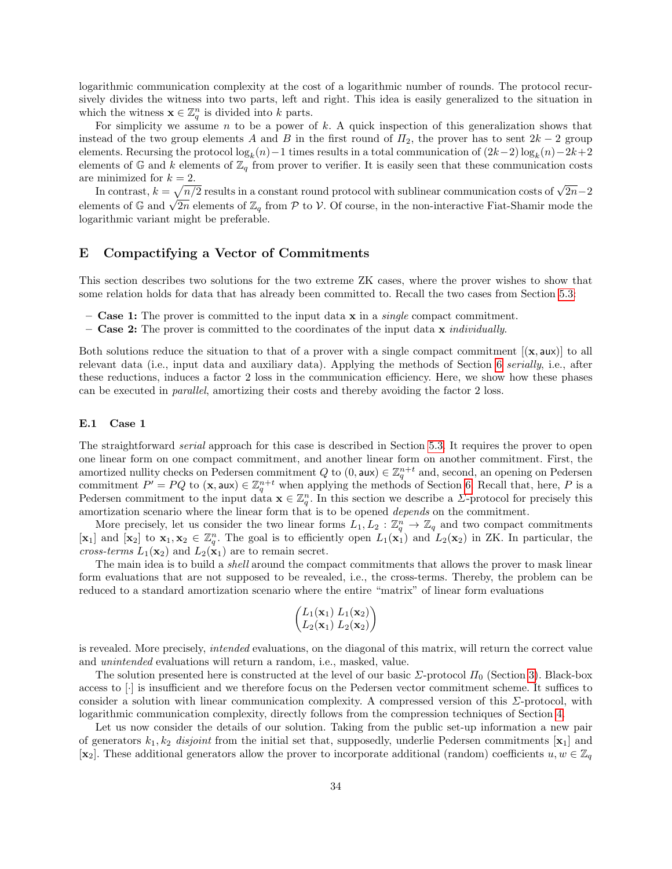logarithmic communication complexity at the cost of a logarithmic number of rounds. The protocol recursively divides the witness into two parts, left and right. This idea is easily generalized to the situation in which the witness  $\mathbf{x} \in \mathbb{Z}_q^n$  is divided into k parts.

For simplicity we assume  $n$  to be a power of  $k$ . A quick inspection of this generalization shows that instead of the two group elements A and B in the first round of  $\Pi_2$ , the prover has to sent  $2k-2$  group elements. Recursing the protocol  $\log_k(n) - 1$  times results in a total communication of  $(2k-2)\log_k(n) - 2k+2$ elements of  $\mathbb{G}$  and k elements of  $\mathbb{Z}_q$  from prover to verifier. It is easily seen that these communication costs are minimized for  $k = 2$ .

minimized for  $k = 2$ .<br>In contrast,  $k = \sqrt{n/2}$  results in a constant round protocol with sublinear communication costs of  $\sqrt{2n-2}$ In contrast,  $\kappa = \sqrt{n/2}$  results in a constant round protocol with submitted communication costs of  $\sqrt{2n-2}$  elements of  $\mathbb{Z}_q$  from  $\mathcal{P}$  to  $\mathcal{V}$ . Of course, in the non-interactive Fiat-Shamir mode the logarithmic variant might be preferable.

### E Compactifying a Vector of Commitments

This section describes two solutions for the two extreme ZK cases, where the prover wishes to show that some relation holds for data that has already been committed to. Recall the two cases from Section [5.3:](#page-16-0)

- **Case 1:** The prover is committed to the input data  $x$  in a *single* compact commitment.
- Case 2: The prover is committed to the coordinates of the input data  $x$  *individually.*

Both solutions reduce the situation to that of a prover with a single compact commitment  $[(x, aux)]$  to all relevant data (i.e., input data and auxiliary data). Applying the methods of Section [6](#page-17-0) serially, i.e., after these reductions, induces a factor 2 loss in the communication efficiency. Here, we show how these phases can be executed in parallel, amortizing their costs and thereby avoiding the factor 2 loss.

### <span id="page-33-0"></span>E.1 Case 1

The straightforward *serial* approach for this case is described in Section [5.3.](#page-16-0) It requires the prover to open one linear form on one compact commitment, and another linear form on another commitment. First, the amortized nullity checks on Pedersen commitment  $Q$  to  $(0, \text{aux}) \in \mathbb{Z}_q^{n+t}$  and, second, an opening on Pedersen commitment  $P' = PQ$  to  $(\mathbf{x}, \mathsf{aux}) \in \mathbb{Z}_q^{n+t}$  when applying the methods of Section [6.](#page-17-0) Recall that, here, P is a Pedersen commitment to the input data  $\mathbf{x} \in \mathbb{Z}_q^n$ . In this section we describe a  $\Sigma$ -protocol for precisely this amortization scenario where the linear form that is to be opened depends on the commitment.

More precisely, let us consider the two linear forms  $L_1, L_2 : \mathbb{Z}_q^n \to \mathbb{Z}_q$  and two compact commitments  $[\mathbf{x}_1]$  and  $[\mathbf{x}_2]$  to  $\mathbf{x}_1, \mathbf{x}_2 \in \mathbb{Z}_q^n$ . The goal is to efficiently open  $L_1(\mathbf{x}_1)$  and  $L_2(\mathbf{x}_2)$  in ZK. In particular, the cross-terms  $L_1(\mathbf{x}_2)$  and  $L_2(\mathbf{x}_1)$  are to remain secret.

The main idea is to build a *shell* around the compact commitments that allows the prover to mask linear form evaluations that are not supposed to be revealed, i.e., the cross-terms. Thereby, the problem can be reduced to a standard amortization scenario where the entire "matrix" of linear form evaluations

$$
\begin{pmatrix} L_1(\mathbf{x}_1) & L_1(\mathbf{x}_2) \\ L_2(\mathbf{x}_1) & L_2(\mathbf{x}_2) \end{pmatrix}
$$

is revealed. More precisely, intended evaluations, on the diagonal of this matrix, will return the correct value and unintended evaluations will return a random, i.e., masked, value.

The solution presented here is constructed at the level of our basic  $\Sigma$ -protocol  $\Pi_0$  (Section [3\)](#page-9-0). Black-box access to [·] is insufficient and we therefore focus on the Pedersen vector commitment scheme. It suffices to consider a solution with linear communication complexity. A compressed version of this  $\Sigma$ -protocol, with logarithmic communication complexity, directly follows from the compression techniques of Section [4.](#page-10-0)

Let us now consider the details of our solution. Taking from the public set-up information a new pair of generators  $k_1, k_2$  disjoint from the initial set that, supposedly, underlie Pedersen commitments  $[\mathbf{x}_1]$  and [ $\mathbf{x}_2$ ]. These additional generators allow the prover to incorporate additional (random) coefficients  $u, w \in \mathbb{Z}_q$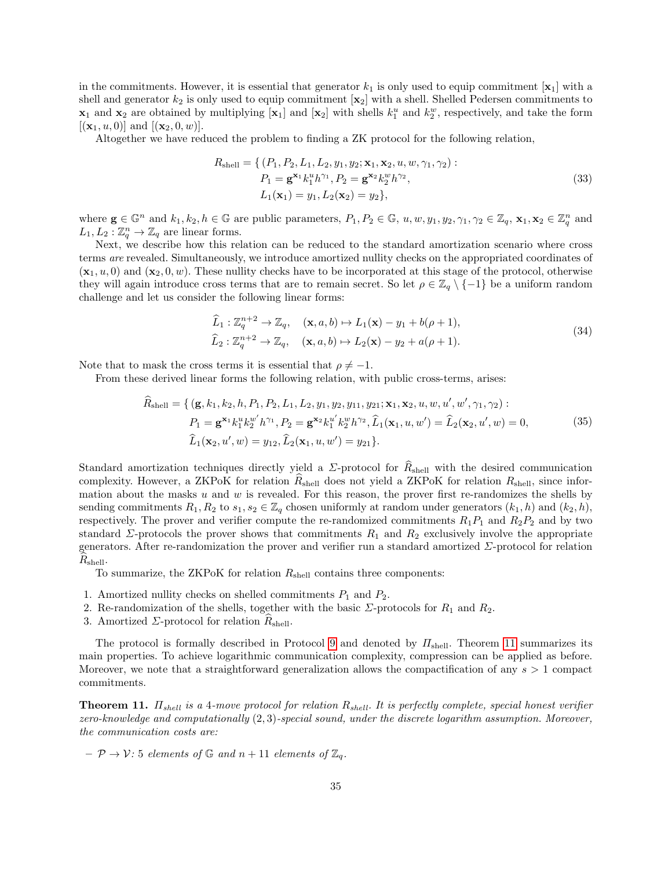in the commitments. However, it is essential that generator  $k_1$  is only used to equip commitment  $[\mathbf{x}_1]$  with a shell and generator  $k_2$  is only used to equip commitment  $\mathbf{x}_2$  with a shell. Shelled Pedersen commitments to  $\mathbf{x}_1$  and  $\mathbf{x}_2$  are obtained by multiplying  $[\mathbf{x}_1]$  and  $[\mathbf{x}_2]$  with shells  $k_1^u$  and  $k_2^w$ , respectively, and take the form  $[(\mathbf{x}_1, u, 0)]$  and  $[(\mathbf{x}_2, 0, w)]$ .

Altogether we have reduced the problem to finding a ZK protocol for the following relation,

$$
R_{\text{shell}} = \{ (P_1, P_2, L_1, L_2, y_1, y_2; \mathbf{x}_1, \mathbf{x}_2, u, w, \gamma_1, \gamma_2) : P_1 = \mathbf{g}^{\mathbf{x}_1} k_1^u h^{\gamma_1}, P_2 = \mathbf{g}^{\mathbf{x}_2} k_2^w h^{\gamma_2}, L_1(\mathbf{x}_1) = y_1, L_2(\mathbf{x}_2) = y_2 \},
$$
 (33)

where  $\mathbf{g} \in \mathbb{G}^n$  and  $k_1, k_2, h \in \mathbb{G}$  are public parameters,  $P_1, P_2 \in \mathbb{G}$ ,  $u, w, y_1, y_2, \gamma_1, \gamma_2 \in \mathbb{Z}_q$ ,  $\mathbf{x}_1, \mathbf{x}_2 \in \mathbb{Z}_q^n$  and  $L_1, L_2 : \mathbb{Z}_q^n \to \mathbb{Z}_q$  are linear forms.

Next, we describe how this relation can be reduced to the standard amortization scenario where cross terms are revealed. Simultaneously, we introduce amortized nullity checks on the appropriated coordinates of  $(\mathbf{x}_1, u, 0)$  and  $(\mathbf{x}_2, 0, w)$ . These nullity checks have to be incorporated at this stage of the protocol, otherwise they will again introduce cross terms that are to remain secret. So let  $\rho \in \mathbb{Z}_q \setminus \{-1\}$  be a uniform random challenge and let us consider the following linear forms:

$$
\widehat{L}_1: \mathbb{Z}_q^{n+2} \to \mathbb{Z}_q, \quad (\mathbf{x}, a, b) \mapsto L_1(\mathbf{x}) - y_1 + b(\rho + 1),
$$
  
\n
$$
\widehat{L}_2: \mathbb{Z}_q^{n+2} \to \mathbb{Z}_q, \quad (\mathbf{x}, a, b) \mapsto L_2(\mathbf{x}) - y_2 + a(\rho + 1).
$$
\n(34)

Note that to mask the cross terms it is essential that  $\rho \neq -1$ .

From these derived linear forms the following relation, with public cross-terms, arises:

$$
\widehat{R}_{shell} = \{ (\mathbf{g}, k_1, k_2, h, P_1, P_2, L_1, L_2, y_1, y_2, y_{11}, y_{21}; \mathbf{x}_1, \mathbf{x}_2, u, w, u', w', \gamma_1, \gamma_2) : \n P_1 = \mathbf{g}^{\mathbf{x}_1} k_1^u k_2^{w'} h^{\gamma_1}, P_2 = \mathbf{g}^{\mathbf{x}_2} k_1^{u'} k_2^{v} h^{\gamma_2}, \widehat{L}_1(\mathbf{x}_1, u, w') = \widehat{L}_2(\mathbf{x}_2, u', w) = 0, \n \widehat{L}_1(\mathbf{x}_2, u', w) = y_{12}, \widehat{L}_2(\mathbf{x}_1, u, w') = y_{21} \}.
$$
\n(35)

Standard amortization techniques directly yield a  $\Sigma$ -protocol for  $R_{shell}$  with the desired communication complexity. However, a ZKPoK for relation  $R_{\text{shell}}$  does not yield a ZKPoK for relation  $R_{\text{shell}}$ , since information about the masks  $u$  and  $w$  is revealed. For this reason, the prover first re-randomizes the shells by sending commitments  $R_1, R_2$  to  $s_1, s_2 \in \mathbb{Z}_q$  chosen uniformly at random under generators  $(k_1, h)$  and  $(k_2, h)$ , respectively. The prover and verifier compute the re-randomized commitments  $R_1P_1$  and  $R_2P_2$  and by two standard  $\Sigma$ -protocols the prover shows that commitments  $R_1$  and  $R_2$  exclusively involve the appropriate generators. After re-randomization the prover and verifier run a standard amortized  $\Sigma$ -protocol for relation  $R_{\text{shell}}$ .

To summarize, the ZKPoK for relation  $R_{\text{shell}}$  contains three components:

- 1. Amortized nullity checks on shelled commitments  $P_1$  and  $P_2$ .
- 2. Re-randomization of the shells, together with the basic  $\Sigma$ -protocols for  $R_1$  and  $R_2$ .
- 3. Amortized  $\Sigma$ -protocol for relation  $R_{\text{shell}}$ .

The protocol is formally described in Protocol [9](#page-36-0) and denoted by  $\Pi_{shell}$ . Theorem [11](#page-34-0) summarizes its main properties. To achieve logarithmic communication complexity, compression can be applied as before. Moreover, we note that a straightforward generalization allows the compactification of any  $s > 1$  compact commitments.

<span id="page-34-0"></span>**Theorem 11.**  $\Pi_{shell}$  is a 4-move protocol for relation  $R_{shell}$ . It is perfectly complete, special honest verifier zero-knowledge and computationally (2, 3)-special sound, under the discrete logarithm assumption. Moreover, the communication costs are:

 $-\mathcal{P} \rightarrow \mathcal{V}$ : 5 elements of  $\mathbb{G}$  and  $n+11$  elements of  $\mathbb{Z}_q$ .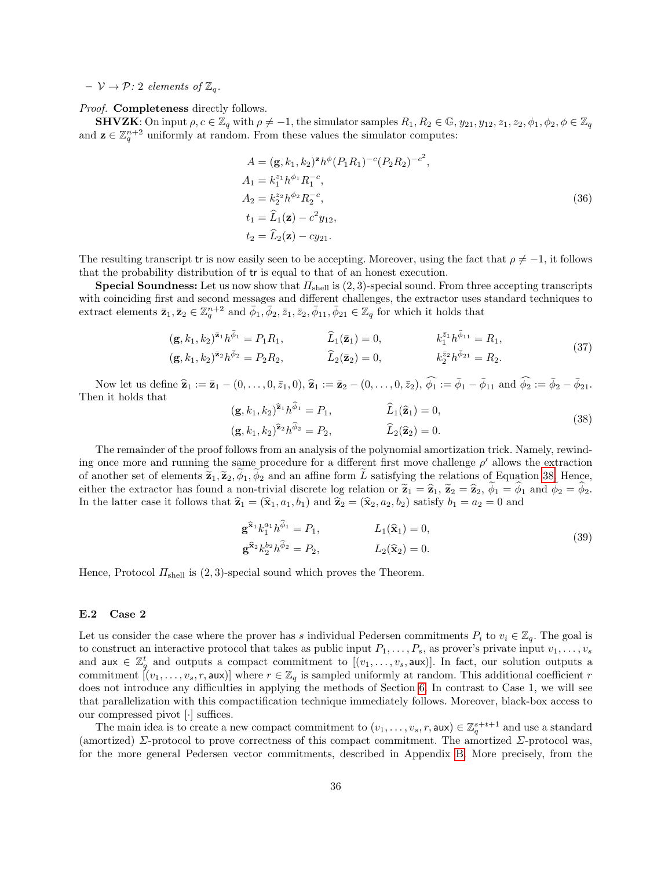$-\nu \rightarrow \mathcal{P}: 2$  elements of  $\mathbb{Z}_q$ .

Proof. **Completeness** directly follows.

**SHVZK**: On input  $\rho, c \in \mathbb{Z}_q$  with  $\rho \neq -1$ , the simulator samples  $R_1, R_2 \in \mathbb{G}$ ,  $y_{21}, y_{12}, z_1, z_2, \phi_1, \phi_2, \phi \in \mathbb{Z}_q$ and  $\mathbf{z} \in \mathbb{Z}_q^{n+2}$  uniformly at random. From these values the simulator computes:

$$
A = (\mathbf{g}, k_1, k_2)^{\mathbf{z}} h^{\phi} (P_1 R_1)^{-c} (P_2 R_2)^{-c^2},
$$
  
\n
$$
A_1 = k_1^{z_1} h^{\phi_1} R_1^{-c},
$$
  
\n
$$
A_2 = k_2^{z_2} h^{\phi_2} R_2^{-c},
$$
  
\n
$$
t_1 = \hat{L}_1(\mathbf{z}) - c^2 y_{12},
$$
  
\n
$$
t_2 = \hat{L}_2(\mathbf{z}) - c y_{21}.
$$
  
\n(36)

The resulting transcript tr is now easily seen to be accepting. Moreover, using the fact that  $\rho \neq -1$ , it follows that the probability distribution of tr is equal to that of an honest execution.

**Special Soundness:** Let us now show that  $\Pi_{\text{shell}}$  is (2, 3)-special sound. From three accepting transcripts with coinciding first and second messages and different challenges, the extractor uses standard techniques to extract elements  $\bar{\mathbf{z}}_1, \bar{\mathbf{z}}_2 \in \mathbb{Z}_q^{n+2}$  and  $\bar{\phi}_1, \bar{\phi}_2, \bar{z}_1, \bar{z}_2, \bar{\phi}_{11}, \bar{\phi}_{21} \in \mathbb{Z}_q$  for which it holds that

$$
(\mathbf{g}, k_1, k_2)^{\bar{\mathbf{z}}_1} h^{\bar{\phi}_1} = P_1 R_1, \qquad \qquad \widehat{L}_1(\bar{\mathbf{z}}_1) = 0, \qquad k_1^{\bar{z}_1} h^{\bar{\phi}_{11}} = R_1, \n(\mathbf{g}, k_1, k_2)^{\bar{\mathbf{z}}_2} h^{\bar{\phi}_2} = P_2 R_2, \qquad \qquad \widehat{L}_2(\bar{\mathbf{z}}_2) = 0, \qquad k_2^{\bar{z}_2} h^{\bar{\phi}_{21}} = R_2.
$$
\n(37)

Now let us define  $\hat{\mathbf{z}}_1 := \bar{\mathbf{z}}_1 - (0, \ldots, 0, \bar{z}_1, 0), \hat{\mathbf{z}}_1 := \bar{\mathbf{z}}_2 - (0, \ldots, 0, \bar{z}_2), \hat{\phi}_1 := \bar{\phi}_1 - \bar{\phi}_{11}$  and  $\hat{\phi}_2 := \bar{\phi}_2 - \bar{\phi}_{21}$ . Then it holds that

<span id="page-35-1"></span>
$$
(\mathbf{g}, k_1, k_2)^{\hat{\mathbf{z}}_1} h^{\phi_1} = P_1, \qquad \hat{L}_1(\hat{\mathbf{z}}_1) = 0,
$$
  
\n
$$
(\mathbf{g}, k_1, k_2)^{\hat{\mathbf{z}}_2} h^{\hat{\phi}_2} = P_2, \qquad \hat{L}_2(\hat{\mathbf{z}}_2) = 0.
$$
\n(38)

The remainder of the proof follows from an analysis of the polynomial amortization trick. Namely, rewinding once more and running the same procedure for a different first move challenge  $\rho'$  allows the extraction of another set of elements  $\tilde{\mathbf{z}}_1, \tilde{\mathbf{z}}_2, \phi_1, \phi_2$  and an affine form L satisfying the relations of Equation [38.](#page-35-1) Hence, either the extractor has found a non-trivial discrete log relation or  $\tilde{\mathbf{z}}_1 = \hat{\mathbf{z}}_1$ ,  $\tilde{\mathbf{z}}_2 = \hat{\mathbf{z}}_2$ ,  $\phi_1 = \phi_1$  and  $\phi_2 = \phi_2$ . In the latter case it follows that  $\hat{\mathbf{z}}_1 = (\hat{\mathbf{x}}_1, a_1, b_1)$  and  $\hat{\mathbf{z}}_2 = (\hat{\mathbf{x}}_2, a_2, b_2)$  satisfy  $b_1 = a_2 = 0$  and

$$
\mathbf{g}^{\hat{\mathbf{x}}_1} k_1^{a_1} h^{\hat{\phi}_1} = P_1, \qquad L_1(\hat{\mathbf{x}}_1) = 0, \n\mathbf{g}^{\hat{\mathbf{x}}_2} k_2^{b_2} h^{\hat{\phi}_2} = P_2, \qquad L_2(\hat{\mathbf{x}}_2) = 0.
$$
\n(39)

Hence, Protocol  $\Pi_{shell}$  is (2,3)-special sound which proves the Theorem.

### <span id="page-35-0"></span>E.2 Case 2

Let us consider the case where the prover has s individual Pedersen commitments  $P_i$  to  $v_i \in \mathbb{Z}_q$ . The goal is to construct an interactive protocol that takes as public input  $P_1, \ldots, P_s$ , as prover's private input  $v_1, \ldots, v_s$ and aux  $\in \mathbb{Z}_q^t$  and outputs a compact commitment to  $[(v_1,\ldots,v_s,\text{aux})]$ . In fact, our solution outputs a commitment  $[(v_1,\ldots,v_s,r,\mathsf{aux})]$  where  $r \in \mathbb{Z}_q$  is sampled uniformly at random. This additional coefficient r does not introduce any difficulties in applying the methods of Section [6.](#page-17-0) In contrast to Case 1, we will see that parallelization with this compactification technique immediately follows. Moreover, black-box access to our compressed pivot [·] suffices.

The main idea is to create a new compact commitment to  $(v_1, \ldots, v_s, r, \text{aux}) \in \mathbb{Z}_q^{s+t+1}$  and use a standard (amortized)  $\Sigma$ -protocol to prove correctness of this compact commitment. The amortized  $\Sigma$ -protocol was, for the more general Pedersen vector commitments, described in Appendix [B.](#page-31-0) More precisely, from the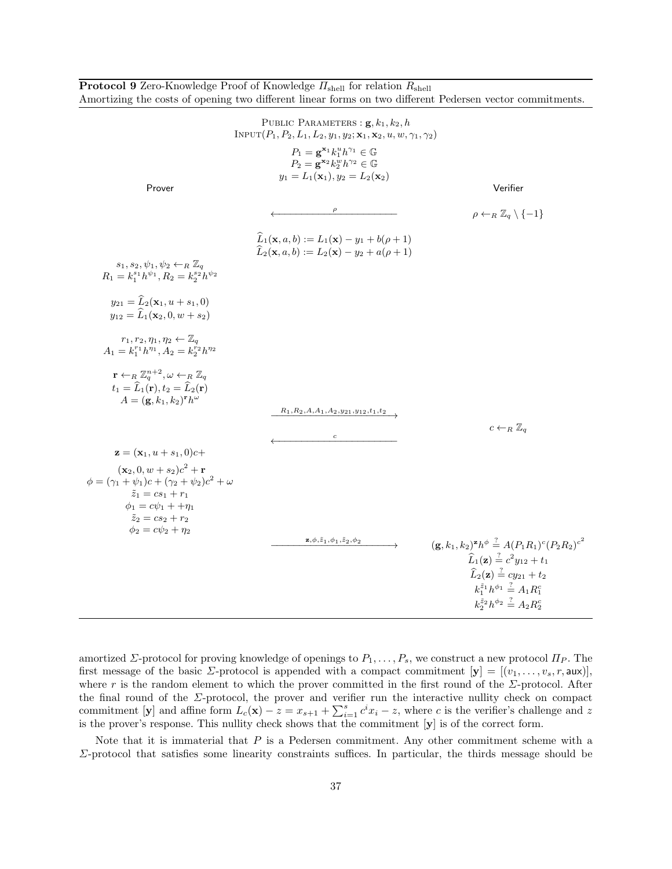|                                                                                                                                                                                                              | Amortizing the costs of opening two different linear forms on two different Pedersen vector commitments.                                                                                         |                                                                                                                     |
|--------------------------------------------------------------------------------------------------------------------------------------------------------------------------------------------------------------|--------------------------------------------------------------------------------------------------------------------------------------------------------------------------------------------------|---------------------------------------------------------------------------------------------------------------------|
|                                                                                                                                                                                                              | PUBLIC PARAMETERS : $\mathbf{g}, k_1, k_2, h$<br>INPUT $(P_1, P_2, L_1, L_2, y_1, y_2; \mathbf{x}_1, \mathbf{x}_2, u, w, \gamma_1, \gamma_2)$                                                    |                                                                                                                     |
|                                                                                                                                                                                                              | $P_1 = \mathbf{g}^{\mathbf{x}_1} k_1^u h^{\gamma_1} \in \mathbb{G}$<br>$P_2 = \mathbf{g}^{\mathbf{x}_2} k_2^w h^{\gamma_2} \in \mathbb{G}$<br>$y_1 = L_1(\mathbf{x}_1), y_2 = L_2(\mathbf{x}_2)$ |                                                                                                                     |
| Prover                                                                                                                                                                                                       |                                                                                                                                                                                                  | Verifier                                                                                                            |
|                                                                                                                                                                                                              |                                                                                                                                                                                                  | $\rho \leftarrow_R \mathbb{Z}_q \setminus \{-1\}$                                                                   |
|                                                                                                                                                                                                              | $\widehat{L}_1(\mathbf{x}, a, b) := L_1(\mathbf{x}) - y_1 + b(\rho + 1)$<br>$\widehat{L}_2(\mathbf{x}, a, b) := L_2(\mathbf{x}) - y_2 + a(\rho + 1)$                                             |                                                                                                                     |
| $s_1, s_2, \psi_1, \psi_2 \leftarrow_R \mathbb{Z}_q$<br>$R_1 = k_1^{s_1} h^{\psi_1}, R_2 = k_2^{s_2} h^{\psi_2}$                                                                                             |                                                                                                                                                                                                  |                                                                                                                     |
| $y_{21} = \widehat{L}_2(\mathbf{x}_1, u + s_1, 0)$<br>$y_{12} = \widehat{L}_1(\mathbf{x}_2, 0, w + s_2)$                                                                                                     |                                                                                                                                                                                                  |                                                                                                                     |
| $r_1, r_2, \eta_1, \eta_2 \leftarrow \mathbb{Z}_q$<br>$A_1 = k_1^{r_1} h^{\eta_1}, A_2 = k_2^{r_2} h^{\eta_2}$                                                                                               |                                                                                                                                                                                                  |                                                                                                                     |
| $\mathbf{r} \leftarrow_R \mathbb{Z}_q^{n+2}, \omega \leftarrow_R \mathbb{Z}_q$<br>$t_1 = \widehat{L}_1(\mathbf{r}), t_2 = \widehat{L}_2(\mathbf{r})$<br>$A = (\mathbf{g}, k_1, k_2)^{\mathbf{r}} h^{\omega}$ | $R_1, R_2, A, A_1, A_2, y_{21}, y_{12}, t_1, t_2$                                                                                                                                                |                                                                                                                     |
|                                                                                                                                                                                                              |                                                                                                                                                                                                  | $c \leftarrow_R \mathbb{Z}_q$                                                                                       |
| $z = (x_1, u + s_1, 0)c +$                                                                                                                                                                                   | $\boldsymbol{c}$                                                                                                                                                                                 |                                                                                                                     |
| $({\bf x}_2, 0, w + s_2)c^2 + {\bf r}$                                                                                                                                                                       |                                                                                                                                                                                                  |                                                                                                                     |
| $\phi = (\gamma_1 + \psi_1)c + (\gamma_2 + \psi_2)c^2 + \omega$<br>$\tilde{z}_1 = cs_1 + r_1$<br>$\phi_1 = c\psi_1 + \eta_1$<br>$\tilde{z}_2 = cs_2 + r_2$<br>$\phi_2 = c\psi_2 + \eta_2$                    |                                                                                                                                                                                                  |                                                                                                                     |
|                                                                                                                                                                                                              | $\mathbf{z},\phi,\tilde{z}_1,\phi_1,\tilde{z}_2,\phi_2$                                                                                                                                          | $(\mathbf{g}, k_1, k_2)^{\mathbf{z}} h^{\phi} \stackrel{?}{=} A (P_1 R_1)^c (P_2 R_2)^{c^2}$                        |
|                                                                                                                                                                                                              |                                                                                                                                                                                                  | $\widehat{L}_1(\mathbf{z}) \stackrel{?}{=} c^2 y_{12} + t_1$                                                        |
|                                                                                                                                                                                                              |                                                                                                                                                                                                  | $\widehat{L}_2(\mathbf{z}) \stackrel{?}{=} cy_{21} + t_2$<br>$k_1^{\tilde{z}_1}h^{\phi_1} \stackrel{?}{=} A_1R_1^c$ |
|                                                                                                                                                                                                              |                                                                                                                                                                                                  | $k_2^{\tilde{z}_2}h^{\phi_2} \stackrel{?}{=} A_2R_2^c$                                                              |

<span id="page-36-0"></span>**Protocol 9** Zero-Knowledge Proof of Knowledge  $\Pi_{shell}$  for relation  $R_{shell}$ 

amortized  $\Sigma$ -protocol for proving knowledge of openings to  $P_1, \ldots, P_s$ , we construct a new protocol  $\Pi_P$ . The first message of the basic  $\Sigma$ -protocol is appended with a compact commitment  $[\mathbf{y}] = [(v_1, \ldots, v_s, r, \mathsf{aux})],$ where r is the random element to which the prover committed in the first round of the  $\Sigma$ -protocol. After the final round of the  $\Sigma$ -protocol, the prover and verifier run the interactive nullity check on compact commitment [y] and affine form  $L_c(\mathbf{x}) - z = x_{s+1} + \sum_{i=1}^s c^i x_i - z$ , where c is the verifier's challenge and z is the prover's response. This nullity check shows that the commitment [y] is of the correct form.

Note that it is immaterial that  $P$  is a Pedersen commitment. Any other commitment scheme with a Σ-protocol that satisfies some linearity constraints suffices. In particular, the thirds message should be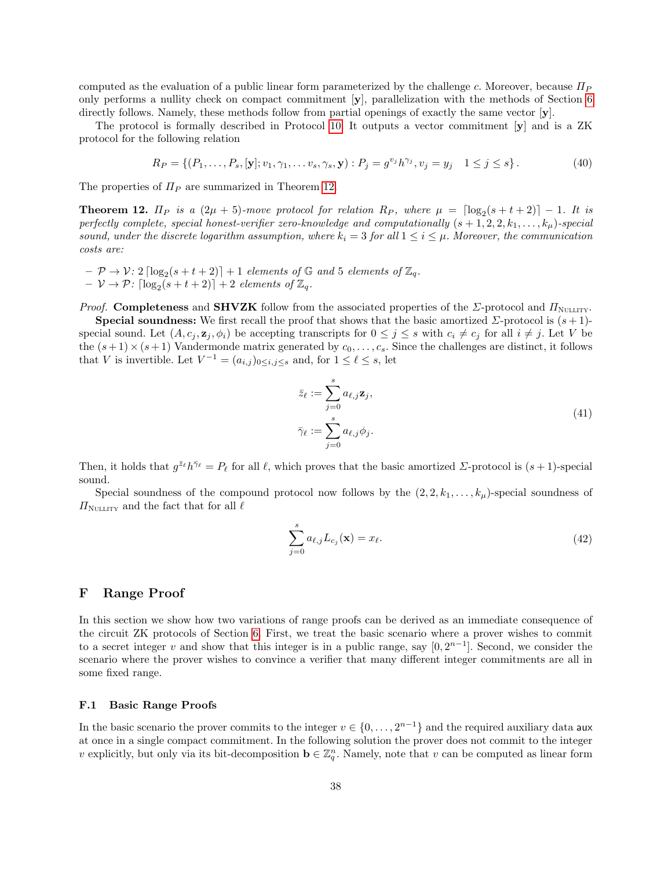computed as the evaluation of a public linear form parameterized by the challenge c. Moreover, because  $\Pi_P$ only performs a nullity check on compact commitment [y], parallelization with the methods of Section [6](#page-17-0) directly follows. Namely, these methods follow from partial openings of exactly the same vector  $[y]$ .

The protocol is formally described in Protocol [10.](#page-38-0) It outputs a vector commitment [y] and is a ZK protocol for the following relation

$$
R_P = \{ (P_1, \ldots, P_s, [\mathbf{y}]; v_1, \gamma_1, \ldots v_s, \gamma_s, \mathbf{y}) : P_j = g^{v_j} h^{\gamma_j}, v_j = y_j \quad 1 \le j \le s \}.
$$
 (40)

<span id="page-37-1"></span>The properties of  $\Pi_P$  are summarized in Theorem [12.](#page-37-1)

**Theorem 12.**  $\Pi_P$  is a  $(2\mu + 5)$ -move protocol for relation  $R_P$ , where  $\mu = \lfloor \log_2(s + t + 2) \rfloor - 1$ . It is perfectly complete, special honest-verifier zero-knowledge and computationally  $(s + 1, 2, 2, k_1, \ldots, k_\mu)$ -special sound, under the discrete logarithm assumption, where  $k_i = 3$  for all  $1 \le i \le \mu$ . Moreover, the communication costs are:

 $- \mathcal{P} \rightarrow \mathcal{V}$ :  $2 \lceil \log_2(s+t+2) \rceil + 1$  elements of  $\mathbb{G}$  and 5 elements of  $\mathbb{Z}_q$ .  $- \nu \rightarrow \mathcal{P}$ :  $\lceil \log_2(s+t+2) \rceil + 2$  elements of  $\mathbb{Z}_q$ .

*Proof.* Completeness and SHVZK follow from the associated properties of the  $\Sigma$ -protocol and  $\Pi_{\text{NULLITY}}$ .

**Special soundness:** We first recall the proof that shows that the basic amortized  $\Sigma$ -protocol is  $(s+1)$ special sound. Let  $(A, c_j, \mathbf{z}_j, \phi_i)$  be accepting transcripts for  $0 \leq j \leq s$  with  $c_i \neq c_j$  for all  $i \neq j$ . Let V be the  $(s+1)\times(s+1)$  Vandermonde matrix generated by  $c_0,\ldots,c_s$ . Since the challenges are distinct, it follows that V is invertible. Let  $V^{-1} = (a_{i,j})_{0 \le i,j \le s}$  and, for  $1 \le \ell \le s$ , let

$$
\bar{z}_{\ell} := \sum_{j=0}^{s} a_{\ell,j} \mathbf{z}_{j},
$$
  

$$
\bar{\gamma}_{\ell} := \sum_{j=0}^{s} a_{\ell,j} \phi_{j}.
$$
 (41)

Then, it holds that  $g^{\bar{z}_{\ell}} h^{\bar{\gamma}_{\ell}} = P_{\ell}$  for all  $\ell$ , which proves that the basic amortized  $\Sigma$ -protocol is  $(s + 1)$ -special sound.

Special soundness of the compound protocol now follows by the  $(2, 2, k_1, \ldots, k_\mu)$ -special soundness of  $\Pi_{\text{NULITY}}$  and the fact that for all  $\ell$ 

$$
\sum_{j=0}^{s} a_{\ell,j} L_{c_j}(\mathbf{x}) = x_{\ell}.
$$
 (42)

### <span id="page-37-0"></span>F Range Proof

In this section we show how two variations of range proofs can be derived as an immediate consequence of the circuit ZK protocols of Section [6.](#page-17-0) First, we treat the basic scenario where a prover wishes to commit to a secret integer v and show that this integer is in a public range, say  $[0, 2^{n-1}]$ . Second, we consider the scenario where the prover wishes to convince a verifier that many different integer commitments are all in some fixed range.

#### F.1 Basic Range Proofs

In the basic scenario the prover commits to the integer  $v \in \{0, \ldots, 2^{n-1}\}\$  and the required auxiliary data aux at once in a single compact commitment. In the following solution the prover does not commit to the integer v explicitly, but only via its bit-decomposition  $\mathbf{b} \in \mathbb{Z}_q^n$ . Namely, note that v can be computed as linear form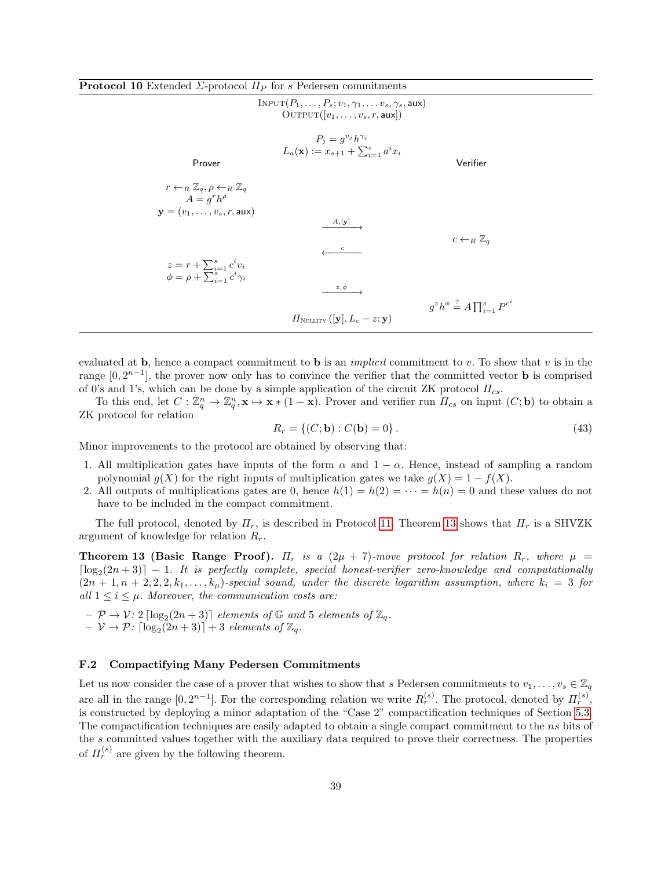<span id="page-38-0"></span>

| <b>Protocol 10</b> Extended $\Sigma$ -protocol $\Pi_P$ for s Pedersen commitments |  |
|-----------------------------------------------------------------------------------|--|
|-----------------------------------------------------------------------------------|--|

|                                                                                                                                      | $INPUT(P_1, \ldots, P_s; v_1, \gamma_1, \ldots v_s, \gamma_s, \text{aux})$<br>$\text{OUTPUT}([v_1, \ldots, v_s, r, \text{aux}])$ |                                                       |
|--------------------------------------------------------------------------------------------------------------------------------------|----------------------------------------------------------------------------------------------------------------------------------|-------------------------------------------------------|
| Prover                                                                                                                               | $P_i = q^{v_j} h^{\gamma_j}$<br>$L_a(\mathbf{x}) := x_{s+1} + \sum_{i=1}^s a^i x_i$                                              | Verifier                                              |
| $r \leftarrow_R \mathbb{Z}_q, \rho \leftarrow_R \mathbb{Z}_q$<br>$A=q^rh^\rho$<br>$\mathbf{y} = (v_1, \ldots, v_s, r, \mathsf{aux})$ |                                                                                                                                  |                                                       |
|                                                                                                                                      | $A, [\mathbf{y}]$<br>$\mathbf{c}$                                                                                                | $c \leftarrow_R \mathbb{Z}_q$                         |
| $z = r + \sum_{i=1}^{s} c^i v_i$<br>$\phi = \rho + \sum_{i=1}^s c^i \gamma_i$                                                        | $z, \phi \rightarrow$                                                                                                            |                                                       |
|                                                                                                                                      | $\Pi_{\text{NULITY}}\left( \mathbf{y} , L_c - z; \mathbf{y}\right)$                                                              | $q^zh^{\phi} \stackrel{?}{=} A \prod_{i=1}^s P^{c^i}$ |

evaluated at b, hence a compact commitment to b is an *implicit* commitment to v. To show that v is in the range  $[0, 2^{n-1}]$ , the prover now only has to convince the verifier that the committed vector **b** is comprised of 0's and 1's, which can be done by a simple application of the circuit ZK protocol  $\Pi_{cs}$ .

To this end, let  $C: \mathbb{Z}_q^n \to \mathbb{Z}_q^n$ ,  $\mathbf{x} \mapsto \mathbf{x} * (1 - \mathbf{x})$ . Prover and verifier run  $\overline{\Pi}_{cs}$  on input  $(C; \mathbf{b})$  to obtain a ZK protocol for relation

$$
R_r = \{ (C; \mathbf{b}) : C(\mathbf{b}) = 0 \}.
$$
 (43)

Minor improvements to the protocol are obtained by observing that:

- 1. All multiplication gates have inputs of the form  $\alpha$  and  $1 \alpha$ . Hence, instead of sampling a random polynomial  $q(X)$  for the right inputs of multiplication gates we take  $q(X) = 1 - f(X)$ .
- 2. All outputs of multiplications gates are 0, hence  $h(1) = h(2) = \cdots = h(n) = 0$  and these values do not have to be included in the compact commitment.

The full protocol, denoted by  $\Pi_r$ , is described in Protocol [11.](#page-39-1) Theorem [13](#page-38-1) shows that  $\Pi_r$  is a SHVZK argument of knowledge for relation  $R_r$ .

<span id="page-38-1"></span>**Theorem 13 (Basic Range Proof).**  $\Pi_r$  is a  $(2\mu + 7)$ -move protocol for relation  $R_r$ , where  $\mu$  $\lceil \log_2(2n+3) \rceil - 1$ . It is perfectly complete, special honest-verifier zero-knowledge and computationally  $(2n+1, n+2, 2, 2, k_1, \ldots, k_\mu)$ -special sound, under the discrete logarithm assumption, where  $k_i = 3$  for all  $1 \leq i \leq \mu$ . Moreover, the communication costs are:

 $- \mathcal{P} \rightarrow \mathcal{V}$ : 2  $\lceil \log_2(2n+3) \rceil$  elements of  $\mathbb{G}$  and 5 elements of  $\mathbb{Z}_q$ .  $- \nu \rightarrow \mathcal{P}$ :  $\lceil \log_2(2n+3) \rceil + 3$  elements of  $\mathbb{Z}_q$ .

### F.2 Compactifying Many Pedersen Commitments

Let us now consider the case of a prover that wishes to show that s Pedersen commitments to  $v_1, \ldots, v_s \in \mathbb{Z}_q$ are all in the range  $[0, 2^{n-1}]$ . For the corresponding relation we write  $R_r^{(s)}$ . The protocol, denoted by  $\Pi_r^{(s)}$ , is constructed by deploying a minor adaptation of the "Case 2" compactification techniques of Section [5.3.](#page-16-0) The compactification techniques are easily adapted to obtain a single compact commitment to the ns bits of the s committed values together with the auxiliary data required to prove their correctness. The properties of  $\Pi_r^{(s)}$  are given by the following theorem.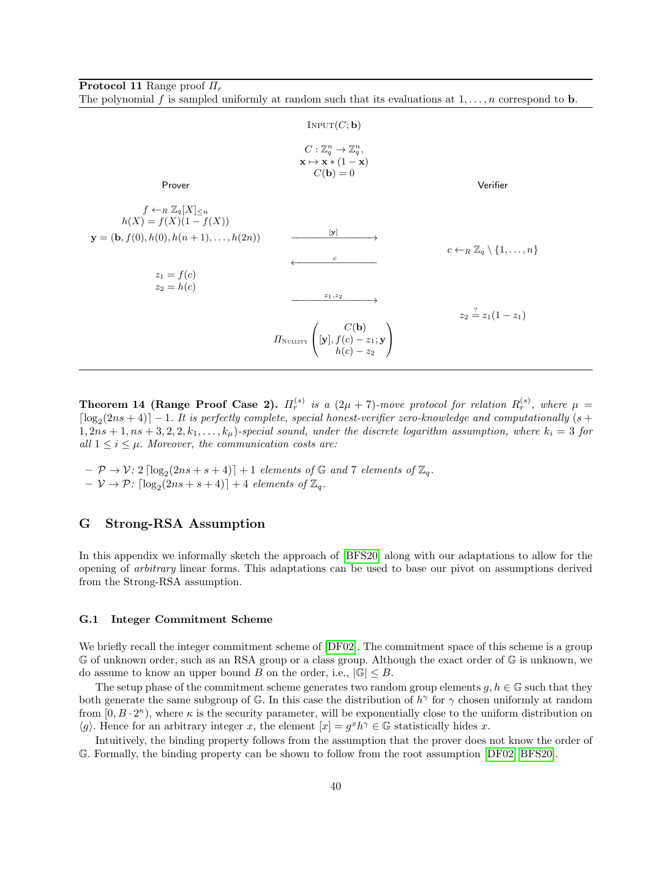<span id="page-39-1"></span>**Protocol 11** Range proof  $\Pi_r$ 

The polynomial f is sampled uniformly at random such that its evaluations at  $1, \ldots, n$  correspond to **b**.

|                                                                                                                                                        | INPUT(C; b)                                                                                                                                          |                                                          |
|--------------------------------------------------------------------------------------------------------------------------------------------------------|------------------------------------------------------------------------------------------------------------------------------------------------------|----------------------------------------------------------|
| Prover                                                                                                                                                 | $C: \mathbb{Z}_q^n \to \mathbb{Z}_q^n$ ,<br>$\mathbf{x} \mapsto \mathbf{x} * (1 - \mathbf{x})$<br>$C(\mathbf{b})=0$                                  | Verifier                                                 |
| $f \leftarrow_R \mathbb{Z}_q[X]_{\leq n}$<br>$h(X) = f(X)(1 - f(X))$<br>$\mathbf{y} = (\mathbf{b}, f(0), h(0), h(n+1), \ldots, h(2n))$<br>$z_1 = f(c)$ | $\mathbf{y}$<br>$\mathfrak{c}$                                                                                                                       | $c \leftarrow_R \mathbb{Z}_q \setminus \{1, \ldots, n\}$ |
| $z_2 = h(c)$                                                                                                                                           | $z_1, z_2$<br>$\prod_{\text{NULLITY}}\left(\begin{aligned}\nC(\mathbf{b}) \\ \mathbf{y}, f(c) - z_1; \mathbf{y} \\ h(c) - z_2\n\end{aligned}\right)$ | $z_2 \stackrel{?}{=} z_1(1-z_1)$                         |

**Theorem 14 (Range Proof Case 2).**  $\Pi_r^{(s)}$  is a  $(2\mu + 7)$ -move protocol for relation  $R_r^{(s)}$ , where  $\mu$  =  $\lceil \log_2(2ns + 4) \rceil - 1$ . It is perfectly complete, special honest-verifier zero-knowledge and computationally (s +  $1, 2ns + 1, ns + 3, 2, 2, k_1, \ldots, k_\mu$ )-special sound, under the discrete logarithm assumption, where  $k_i = 3$  for all  $1 \leq i \leq \mu$ . Moreover, the communication costs are:

 $- \mathcal{P} \rightarrow \mathcal{V}$ : 2  $\lceil \log_2(2ns + s + 4) \rceil + 1$  elements of  $\mathbb{G}$  and 7 elements of  $\mathbb{Z}_q$ .  $- \mathcal{V} \rightarrow \mathcal{P}$ :  $\lceil \log_2(2ns + s + 4) \rceil + 4$  elements of  $\mathbb{Z}_q$ .

### <span id="page-39-0"></span>G Strong-RSA Assumption

In this appendix we informally sketch the approach of [\[BFS20\]](#page-23-3) along with our adaptations to allow for the opening of arbitrary linear forms. This adaptations can be used to base our pivot on assumptions derived from the Strong-RSA assumption.

#### G.1 Integer Commitment Scheme

We briefly recall the integer commitment scheme of  $[DF02]$ . The commitment space of this scheme is a group G of unknown order, such as an RSA group or a class group. Although the exact order of G is unknown, we do assume to know an upper bound B on the order, i.e.,  $|\mathbb{G}| \leq B$ .

The setup phase of the commitment scheme generates two random group elements  $g, h \in \mathbb{G}$  such that they both generate the same subgroup of G. In this case the distribution of  $h^{\gamma}$  for  $\gamma$  chosen uniformly at random from  $[0, B \cdot 2^{\kappa})$ , where  $\kappa$  is the security parameter, will be exponentially close to the uniform distribution on  $\langle g \rangle$ . Hence for an arbitrary integer x, the element  $[x] = g^x h^\gamma \in \mathbb{G}$  statistically hides x.

Intuitively, the binding property follows from the assumption that the prover does not know the order of G. Formally, the binding property can be shown to follow from the root assumption [\[DF02,](#page-23-18) [BFS20\]](#page-23-3).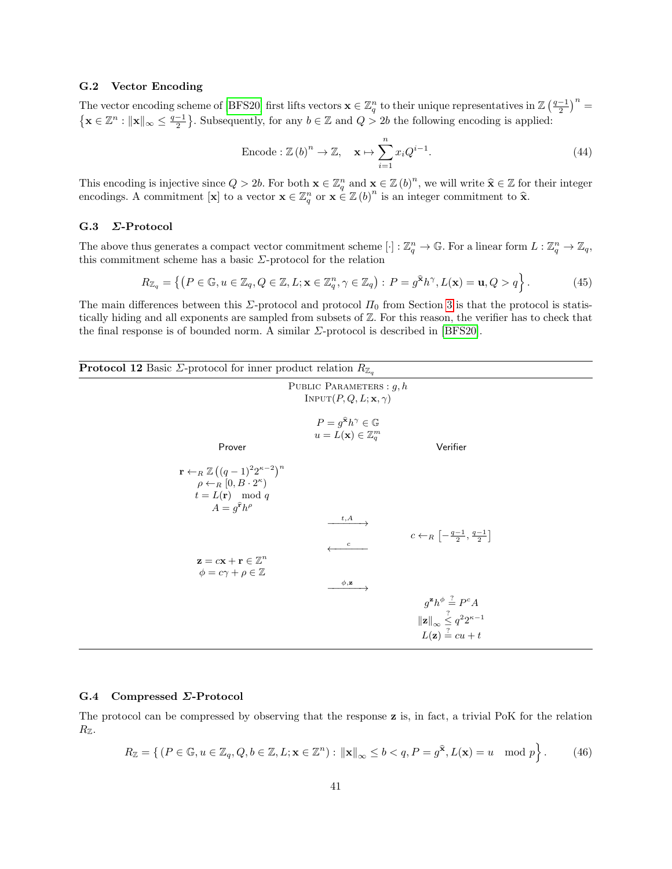#### G.2 Vector Encoding

The vector encoding scheme of [\[BFS20\]](#page-23-3) first lifts vectors  $\mathbf{x} \in \mathbb{Z}_q^n$  to their unique representatives in  $\mathbb{Z}(\frac{q-1}{2})^n =$  $\left\{ \mathbf{x} \in \mathbb{Z}^n : ||\mathbf{x}||_{\infty} \leq \frac{q-1}{2} \right\}$ . Subsequently, for any  $b \in \mathbb{Z}$  and  $Q > 2b$  the following encoding is applied:

$$
\text{Encode}: \mathbb{Z}(b)^n \to \mathbb{Z}, \quad \mathbf{x} \mapsto \sum_{i=1}^n x_i Q^{i-1}.
$$
\n
$$
(44)
$$

This encoding is injective since  $Q > 2b$ . For both  $\mathbf{x} \in \mathbb{Z}_q^n$  and  $\mathbf{x} \in \mathbb{Z}$  (b)<sup>n</sup>, we will write  $\hat{\mathbf{x}} \in \mathbb{Z}$  for their integer encodings. A commitment [**x**] to a vector  $\mathbf{x} \in \mathbb{Z}_q^n$  or  $\mathbf{x} \in \mathbb$ 

#### G.3 Σ-Protocol

The above thus generates a compact vector commitment scheme  $[\cdot] : \mathbb{Z}_q^n \to \mathbb{G}$ . For a linear form  $L : \mathbb{Z}_q^n \to \mathbb{Z}_q$ , this commitment scheme has a basic  $\varSigma\text{-protocol}$  for the relation

$$
R_{\mathbb{Z}_q} = \left\{ \left( P \in \mathbb{G}, u \in \mathbb{Z}_q, Q \in \mathbb{Z}, L; \mathbf{x} \in \mathbb{Z}_q^n, \gamma \in \mathbb{Z}_q \right) : P = g^{\mathbf{\hat{x}}h\gamma}, L(\mathbf{x}) = \mathbf{u}, Q > q \right\}.
$$
 (45)

The main differences between this  $\Sigma$ -protocol and protocol  $\Pi_0$  from Section [3](#page-9-0) is that the protocol is statistically hiding and all exponents are sampled from subsets of Z. For this reason, the verifier has to check that the final response is of bounded norm. A similar Σ-protocol is described in [\[BFS20\]](#page-23-3).

| <b>Protocol 12</b> Basic $\Sigma$ -protocol for inner product relation $R_{\mathbb{Z}_q}$ |  |  |  |  |  |
|-------------------------------------------------------------------------------------------|--|--|--|--|--|
|-------------------------------------------------------------------------------------------|--|--|--|--|--|

|                                                                                                                                                                 | PUBLIC PARAMETERS : $q, h$<br>INPUT $(P, Q, L; \mathbf{x}, \gamma)$                            |                                                                                                                                            |
|-----------------------------------------------------------------------------------------------------------------------------------------------------------------|------------------------------------------------------------------------------------------------|--------------------------------------------------------------------------------------------------------------------------------------------|
| Prover                                                                                                                                                          | $P = q^{\hat{\mathbf{x}}} h^{\gamma} \in \mathbb{G}$<br>$u = L(\mathbf{x}) \in \mathbb{Z}_q^m$ | Verifier                                                                                                                                   |
| $\mathbf{r} \leftarrow_R \mathbb{Z} ((q-1)^2 2^{\kappa-2})^n$<br>$\rho \leftarrow_R [0, B \cdot 2^{\kappa})$<br>$t = L(r) \mod q$<br>$A=q^{\mathbf{r}}h^{\rho}$ |                                                                                                |                                                                                                                                            |
|                                                                                                                                                                 | t,A<br>$\boldsymbol{c}$                                                                        | $c \leftarrow_R \left[-\frac{q-1}{2}, \frac{q-1}{2}\right]$                                                                                |
| $\mathbf{z} = c\mathbf{x} + \mathbf{r} \in \mathbb{Z}^n$<br>$\phi = c\gamma + \rho \in \mathbb{Z}$                                                              | $\phi, z$                                                                                      |                                                                                                                                            |
|                                                                                                                                                                 |                                                                                                | $g^{\mathbf{z}}h^{\phi} \stackrel{?}{=} P^cA$<br>$\ \mathbf{z}\ _{\infty} \leq \frac{2}{3} q^2 2^{\kappa - 1}$<br>$L(\mathbf{z}) = cu + t$ |

#### G.4 Compressed Σ-Protocol

The protocol can be compressed by observing that the response z is, in fact, a trivial PoK for the relation  $R_{\mathbb{Z}}$ .

$$
R_{\mathbb{Z}} = \left\{ (P \in \mathbb{G}, u \in \mathbb{Z}_q, Q, b \in \mathbb{Z}, L; \mathbf{x} \in \mathbb{Z}^n) : ||\mathbf{x}||_{\infty} \le b < q, P = g^{\widehat{\mathbf{x}}}, L(\mathbf{x}) = u \mod p \right\}.
$$
 (46)